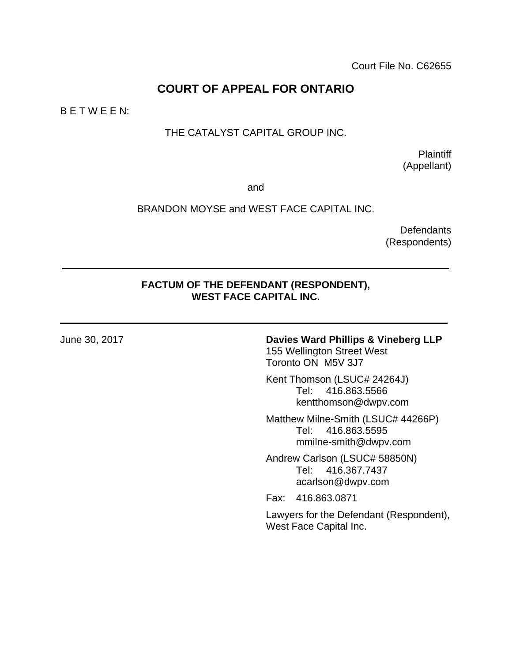# **COURT OF APPEAL FOR ONTARIO**

B E T W E E N:

## THE CATALYST CAPITAL GROUP INC.

**Plaintiff** (Appellant)

and

#### BRANDON MOYSE and WEST FACE CAPITAL INC.

**Defendants** (Respondents)

#### **FACTUM OF THE DEFENDANT (RESPONDENT), WEST FACE CAPITAL INC.**

#### June 30, 2017 **Davies Ward Phillips & Vineberg LLP** 155 Wellington Street West Toronto ON M5V 3J7

Kent Thomson (LSUC# 24264J) Tel: 416.863.5566 kentthomson@dwpv.com

Matthew Milne-Smith (LSUC# 44266P) Tel: 416.863.5595 mmilne-smith@dwpv.com

Andrew Carlson (LSUC# 58850N) Tel: 416.367.7437 acarlson@dwpv.com

Fax: 416.863.0871

Lawyers for the Defendant (Respondent), West Face Capital Inc.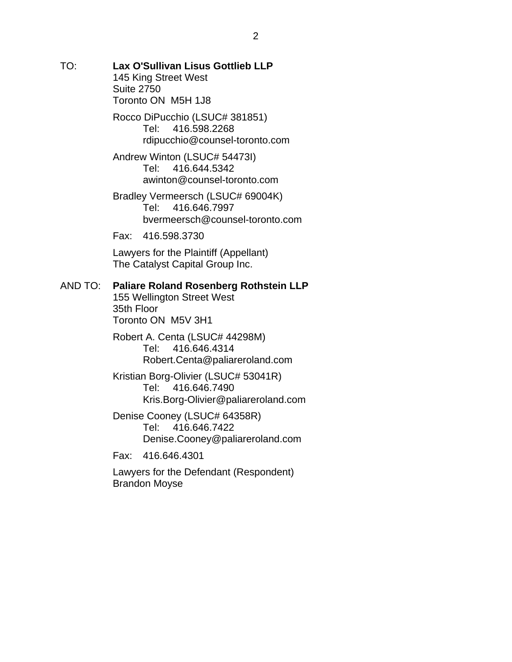TO: **Lax O'Sullivan Lisus Gottlieb LLP**  145 King Street West Suite 2750 Toronto ON M5H 1J8

> Rocco DiPucchio (LSUC# 381851) Tel: 416.598.2268 rdipucchio@counsel-toronto.com

Andrew Winton (LSUC# 54473I) Tel: 416.644.5342 awinton@counsel-toronto.com

Bradley Vermeersch (LSUC# 69004K) Tel: 416.646.7997 bvermeersch@counsel-toronto.com

Fax: 416.598.3730

Lawyers for the Plaintiff (Appellant) The Catalyst Capital Group Inc.

#### AND TO: **Paliare Roland Rosenberg Rothstein LLP**

155 Wellington Street West 35th Floor Toronto ON M5V 3H1

Robert A. Centa (LSUC# 44298M) Tel: 416.646.4314 Robert.Centa@paliareroland.com

Kristian Borg-Olivier (LSUC# 53041R) Tel: 416.646.7490 Kris.Borg-Olivier@paliareroland.com

Denise Cooney (LSUC# 64358R) Tel: 416.646.7422 Denise.Cooney@paliareroland.com

Fax: 416.646.4301

Lawyers for the Defendant (Respondent) Brandon Moyse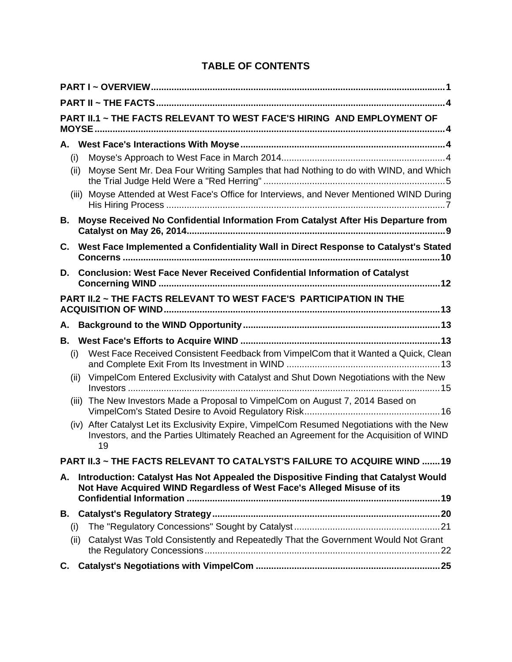# **TABLE OF CONTENTS**

| PART II.1 ~ THE FACTS RELEVANT TO WEST FACE'S HIRING AND EMPLOYMENT OF |                                                                           |                                                                                                                                                                                             |  |  |  |
|------------------------------------------------------------------------|---------------------------------------------------------------------------|---------------------------------------------------------------------------------------------------------------------------------------------------------------------------------------------|--|--|--|
| (i)                                                                    | (ii)                                                                      | Moyse Sent Mr. Dea Four Writing Samples that had Nothing to do with WIND, and Which<br>(iii) Moyse Attended at West Face's Office for Interviews, and Never Mentioned WIND During           |  |  |  |
| В.                                                                     |                                                                           | Moyse Received No Confidential Information From Catalyst After His Departure from                                                                                                           |  |  |  |
| C.                                                                     |                                                                           | West Face Implemented a Confidentiality Wall in Direct Response to Catalyst's Stated                                                                                                        |  |  |  |
| D.                                                                     |                                                                           | Conclusion: West Face Never Received Confidential Information of Catalyst                                                                                                                   |  |  |  |
|                                                                        | <b>PART II.2 ~ THE FACTS RELEVANT TO WEST FACE'S PARTICIPATION IN THE</b> |                                                                                                                                                                                             |  |  |  |
| Α.                                                                     |                                                                           |                                                                                                                                                                                             |  |  |  |
|                                                                        |                                                                           |                                                                                                                                                                                             |  |  |  |
| (i)                                                                    |                                                                           | West Face Received Consistent Feedback from VimpelCom that it Wanted a Quick, Clean                                                                                                         |  |  |  |
|                                                                        | (ii)                                                                      | VimpelCom Entered Exclusivity with Catalyst and Shut Down Negotiations with the New                                                                                                         |  |  |  |
|                                                                        | (iii)                                                                     | The New Investors Made a Proposal to VimpelCom on August 7, 2014 Based on                                                                                                                   |  |  |  |
|                                                                        |                                                                           | (iv) After Catalyst Let its Exclusivity Expire, VimpelCom Resumed Negotiations with the New<br>Investors, and the Parties Ultimately Reached an Agreement for the Acquisition of WIND<br>19 |  |  |  |
|                                                                        |                                                                           | <b>PART II.3 ~ THE FACTS RELEVANT TO CATALYST'S FAILURE TO ACQUIRE WIND 19</b>                                                                                                              |  |  |  |
| А.                                                                     |                                                                           | Introduction: Catalyst Has Not Appealed the Dispositive Finding that Catalyst Would<br>Not Have Acquired WIND Regardless of West Face's Alleged Misuse of its                               |  |  |  |
|                                                                        |                                                                           |                                                                                                                                                                                             |  |  |  |
| (i)                                                                    |                                                                           |                                                                                                                                                                                             |  |  |  |
|                                                                        | (ii)                                                                      | Catalyst Was Told Consistently and Repeatedly That the Government Would Not Grant                                                                                                           |  |  |  |
| C.                                                                     |                                                                           |                                                                                                                                                                                             |  |  |  |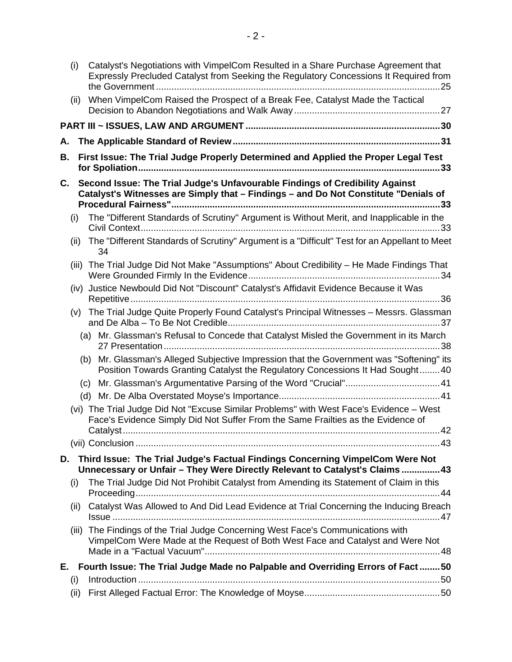| When VimpelCom Raised the Prospect of a Break Fee, Catalyst Made the Tactical<br>(ii)<br>А.<br>First Issue: The Trial Judge Properly Determined and Applied the Proper Legal Test<br>В.<br>Second Issue: The Trial Judge's Unfavourable Findings of Credibility Against<br>C.<br>Catalyst's Witnesses are Simply that - Findings - and Do Not Constitute "Denials of<br>The "Different Standards of Scrutiny" Argument is Without Merit, and Inapplicable in the<br>(i)<br>The "Different Standards of Scrutiny" Argument is a "Difficult" Test for an Appellant to Meet<br>(ii)<br>34<br>The Trial Judge Did Not Make "Assumptions" About Credibility - He Made Findings That<br>(iii)<br>Justice Newbould Did Not "Discount" Catalyst's Affidavit Evidence Because it Was<br>(iv)<br>The Trial Judge Quite Properly Found Catalyst's Principal Witnesses - Messrs. Glassman<br>(v)<br>(a) Mr. Glassman's Refusal to Concede that Catalyst Misled the Government in its March<br>(b) Mr. Glassman's Alleged Subjective Impression that the Government was "Softening" its<br>Position Towards Granting Catalyst the Regulatory Concessions It Had Sought40<br>(vi) The Trial Judge Did Not "Excuse Similar Problems" with West Face's Evidence - West<br>Face's Evidence Simply Did Not Suffer From the Same Frailties as the Evidence of<br>Third Issue: The Trial Judge's Factual Findings Concerning VimpelCom Were Not<br>D.<br>Unnecessary or Unfair - They Were Directly Relevant to Catalyst's Claims 43<br>The Trial Judge Did Not Prohibit Catalyst from Amending its Statement of Claim in this<br>(i)<br>Catalyst Was Allowed to And Did Lead Evidence at Trial Concerning the Inducing Breach<br>(ii)<br>(iii) The Findings of the Trial Judge Concerning West Face's Communications with<br>VimpelCom Were Made at the Request of Both West Face and Catalyst and Were Not<br>Fourth Issue: The Trial Judge Made no Palpable and Overriding Errors of Fact 50<br>Е.<br>(i) | (i)  | Catalyst's Negotiations with VimpelCom Resulted in a Share Purchase Agreement that<br>Expressly Precluded Catalyst from Seeking the Regulatory Concessions It Required from |
|------------------------------------------------------------------------------------------------------------------------------------------------------------------------------------------------------------------------------------------------------------------------------------------------------------------------------------------------------------------------------------------------------------------------------------------------------------------------------------------------------------------------------------------------------------------------------------------------------------------------------------------------------------------------------------------------------------------------------------------------------------------------------------------------------------------------------------------------------------------------------------------------------------------------------------------------------------------------------------------------------------------------------------------------------------------------------------------------------------------------------------------------------------------------------------------------------------------------------------------------------------------------------------------------------------------------------------------------------------------------------------------------------------------------------------------------------------------------------------------------------------------------------------------------------------------------------------------------------------------------------------------------------------------------------------------------------------------------------------------------------------------------------------------------------------------------------------------------------------------------------------------------------------------------------------------------------------------------------------------|------|-----------------------------------------------------------------------------------------------------------------------------------------------------------------------------|
|                                                                                                                                                                                                                                                                                                                                                                                                                                                                                                                                                                                                                                                                                                                                                                                                                                                                                                                                                                                                                                                                                                                                                                                                                                                                                                                                                                                                                                                                                                                                                                                                                                                                                                                                                                                                                                                                                                                                                                                          |      |                                                                                                                                                                             |
|                                                                                                                                                                                                                                                                                                                                                                                                                                                                                                                                                                                                                                                                                                                                                                                                                                                                                                                                                                                                                                                                                                                                                                                                                                                                                                                                                                                                                                                                                                                                                                                                                                                                                                                                                                                                                                                                                                                                                                                          |      |                                                                                                                                                                             |
|                                                                                                                                                                                                                                                                                                                                                                                                                                                                                                                                                                                                                                                                                                                                                                                                                                                                                                                                                                                                                                                                                                                                                                                                                                                                                                                                                                                                                                                                                                                                                                                                                                                                                                                                                                                                                                                                                                                                                                                          |      |                                                                                                                                                                             |
|                                                                                                                                                                                                                                                                                                                                                                                                                                                                                                                                                                                                                                                                                                                                                                                                                                                                                                                                                                                                                                                                                                                                                                                                                                                                                                                                                                                                                                                                                                                                                                                                                                                                                                                                                                                                                                                                                                                                                                                          |      |                                                                                                                                                                             |
|                                                                                                                                                                                                                                                                                                                                                                                                                                                                                                                                                                                                                                                                                                                                                                                                                                                                                                                                                                                                                                                                                                                                                                                                                                                                                                                                                                                                                                                                                                                                                                                                                                                                                                                                                                                                                                                                                                                                                                                          |      |                                                                                                                                                                             |
|                                                                                                                                                                                                                                                                                                                                                                                                                                                                                                                                                                                                                                                                                                                                                                                                                                                                                                                                                                                                                                                                                                                                                                                                                                                                                                                                                                                                                                                                                                                                                                                                                                                                                                                                                                                                                                                                                                                                                                                          |      |                                                                                                                                                                             |
|                                                                                                                                                                                                                                                                                                                                                                                                                                                                                                                                                                                                                                                                                                                                                                                                                                                                                                                                                                                                                                                                                                                                                                                                                                                                                                                                                                                                                                                                                                                                                                                                                                                                                                                                                                                                                                                                                                                                                                                          |      |                                                                                                                                                                             |
|                                                                                                                                                                                                                                                                                                                                                                                                                                                                                                                                                                                                                                                                                                                                                                                                                                                                                                                                                                                                                                                                                                                                                                                                                                                                                                                                                                                                                                                                                                                                                                                                                                                                                                                                                                                                                                                                                                                                                                                          |      |                                                                                                                                                                             |
|                                                                                                                                                                                                                                                                                                                                                                                                                                                                                                                                                                                                                                                                                                                                                                                                                                                                                                                                                                                                                                                                                                                                                                                                                                                                                                                                                                                                                                                                                                                                                                                                                                                                                                                                                                                                                                                                                                                                                                                          |      |                                                                                                                                                                             |
|                                                                                                                                                                                                                                                                                                                                                                                                                                                                                                                                                                                                                                                                                                                                                                                                                                                                                                                                                                                                                                                                                                                                                                                                                                                                                                                                                                                                                                                                                                                                                                                                                                                                                                                                                                                                                                                                                                                                                                                          |      |                                                                                                                                                                             |
|                                                                                                                                                                                                                                                                                                                                                                                                                                                                                                                                                                                                                                                                                                                                                                                                                                                                                                                                                                                                                                                                                                                                                                                                                                                                                                                                                                                                                                                                                                                                                                                                                                                                                                                                                                                                                                                                                                                                                                                          |      |                                                                                                                                                                             |
|                                                                                                                                                                                                                                                                                                                                                                                                                                                                                                                                                                                                                                                                                                                                                                                                                                                                                                                                                                                                                                                                                                                                                                                                                                                                                                                                                                                                                                                                                                                                                                                                                                                                                                                                                                                                                                                                                                                                                                                          |      |                                                                                                                                                                             |
|                                                                                                                                                                                                                                                                                                                                                                                                                                                                                                                                                                                                                                                                                                                                                                                                                                                                                                                                                                                                                                                                                                                                                                                                                                                                                                                                                                                                                                                                                                                                                                                                                                                                                                                                                                                                                                                                                                                                                                                          |      |                                                                                                                                                                             |
|                                                                                                                                                                                                                                                                                                                                                                                                                                                                                                                                                                                                                                                                                                                                                                                                                                                                                                                                                                                                                                                                                                                                                                                                                                                                                                                                                                                                                                                                                                                                                                                                                                                                                                                                                                                                                                                                                                                                                                                          |      |                                                                                                                                                                             |
|                                                                                                                                                                                                                                                                                                                                                                                                                                                                                                                                                                                                                                                                                                                                                                                                                                                                                                                                                                                                                                                                                                                                                                                                                                                                                                                                                                                                                                                                                                                                                                                                                                                                                                                                                                                                                                                                                                                                                                                          |      |                                                                                                                                                                             |
|                                                                                                                                                                                                                                                                                                                                                                                                                                                                                                                                                                                                                                                                                                                                                                                                                                                                                                                                                                                                                                                                                                                                                                                                                                                                                                                                                                                                                                                                                                                                                                                                                                                                                                                                                                                                                                                                                                                                                                                          |      |                                                                                                                                                                             |
|                                                                                                                                                                                                                                                                                                                                                                                                                                                                                                                                                                                                                                                                                                                                                                                                                                                                                                                                                                                                                                                                                                                                                                                                                                                                                                                                                                                                                                                                                                                                                                                                                                                                                                                                                                                                                                                                                                                                                                                          |      |                                                                                                                                                                             |
|                                                                                                                                                                                                                                                                                                                                                                                                                                                                                                                                                                                                                                                                                                                                                                                                                                                                                                                                                                                                                                                                                                                                                                                                                                                                                                                                                                                                                                                                                                                                                                                                                                                                                                                                                                                                                                                                                                                                                                                          |      |                                                                                                                                                                             |
|                                                                                                                                                                                                                                                                                                                                                                                                                                                                                                                                                                                                                                                                                                                                                                                                                                                                                                                                                                                                                                                                                                                                                                                                                                                                                                                                                                                                                                                                                                                                                                                                                                                                                                                                                                                                                                                                                                                                                                                          |      |                                                                                                                                                                             |
|                                                                                                                                                                                                                                                                                                                                                                                                                                                                                                                                                                                                                                                                                                                                                                                                                                                                                                                                                                                                                                                                                                                                                                                                                                                                                                                                                                                                                                                                                                                                                                                                                                                                                                                                                                                                                                                                                                                                                                                          |      |                                                                                                                                                                             |
|                                                                                                                                                                                                                                                                                                                                                                                                                                                                                                                                                                                                                                                                                                                                                                                                                                                                                                                                                                                                                                                                                                                                                                                                                                                                                                                                                                                                                                                                                                                                                                                                                                                                                                                                                                                                                                                                                                                                                                                          |      |                                                                                                                                                                             |
|                                                                                                                                                                                                                                                                                                                                                                                                                                                                                                                                                                                                                                                                                                                                                                                                                                                                                                                                                                                                                                                                                                                                                                                                                                                                                                                                                                                                                                                                                                                                                                                                                                                                                                                                                                                                                                                                                                                                                                                          | (ii) |                                                                                                                                                                             |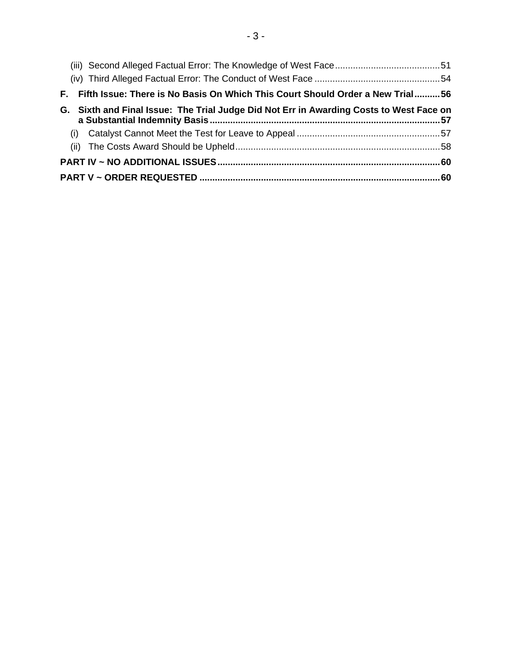| F. Fifth Issue: There is No Basis On Which This Court Should Order a New Trial56        |  |  |  |  |
|-----------------------------------------------------------------------------------------|--|--|--|--|
| G. Sixth and Final Issue: The Trial Judge Did Not Err in Awarding Costs to West Face on |  |  |  |  |
|                                                                                         |  |  |  |  |
|                                                                                         |  |  |  |  |
|                                                                                         |  |  |  |  |
|                                                                                         |  |  |  |  |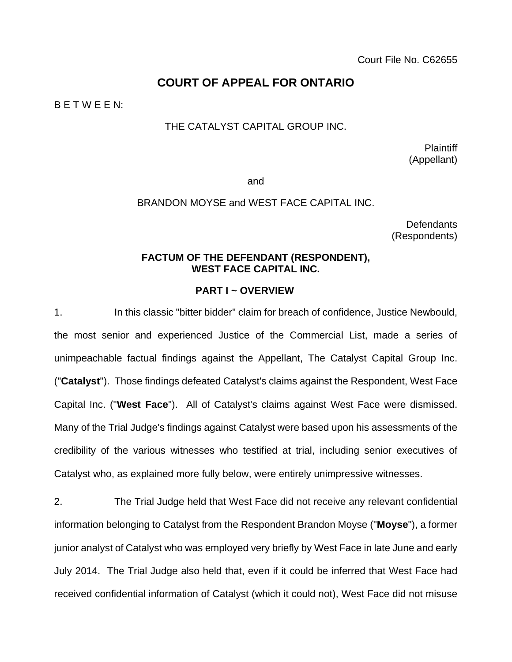Court File No. C62655

# **COURT OF APPEAL FOR ONTARIO**

B E T W E E N:

#### THE CATALYST CAPITAL GROUP INC.

Plaintiff (Appellant)

and

#### BRANDON MOYSE and WEST FACE CAPITAL INC.

**Defendants** (Respondents)

#### **FACTUM OF THE DEFENDANT (RESPONDENT), WEST FACE CAPITAL INC.**

#### **PART I ~ OVERVIEW**

1. In this classic "bitter bidder" claim for breach of confidence, Justice Newbould, the most senior and experienced Justice of the Commercial List, made a series of unimpeachable factual findings against the Appellant, The Catalyst Capital Group Inc. ("**Catalyst**"). Those findings defeated Catalyst's claims against the Respondent, West Face Capital Inc. ("**West Face**"). All of Catalyst's claims against West Face were dismissed. Many of the Trial Judge's findings against Catalyst were based upon his assessments of the credibility of the various witnesses who testified at trial, including senior executives of Catalyst who, as explained more fully below, were entirely unimpressive witnesses.

2. The Trial Judge held that West Face did not receive any relevant confidential information belonging to Catalyst from the Respondent Brandon Moyse ("**Moyse**"), a former junior analyst of Catalyst who was employed very briefly by West Face in late June and early July 2014. The Trial Judge also held that, even if it could be inferred that West Face had received confidential information of Catalyst (which it could not), West Face did not misuse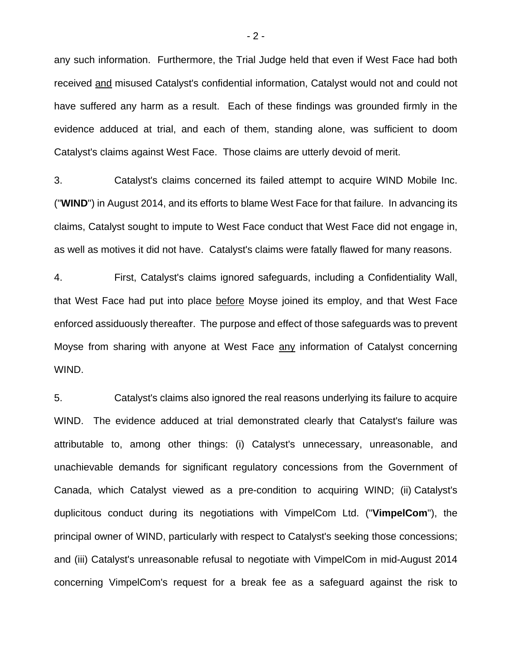any such information. Furthermore, the Trial Judge held that even if West Face had both received and misused Catalyst's confidential information, Catalyst would not and could not have suffered any harm as a result. Each of these findings was grounded firmly in the evidence adduced at trial, and each of them, standing alone, was sufficient to doom Catalyst's claims against West Face. Those claims are utterly devoid of merit.

3. Catalyst's claims concerned its failed attempt to acquire WIND Mobile Inc. ("**WIND**") in August 2014, and its efforts to blame West Face for that failure. In advancing its claims, Catalyst sought to impute to West Face conduct that West Face did not engage in, as well as motives it did not have. Catalyst's claims were fatally flawed for many reasons.

4. First, Catalyst's claims ignored safeguards, including a Confidentiality Wall, that West Face had put into place before Moyse joined its employ, and that West Face enforced assiduously thereafter. The purpose and effect of those safeguards was to prevent Moyse from sharing with anyone at West Face any information of Catalyst concerning WIND.

5. Catalyst's claims also ignored the real reasons underlying its failure to acquire WIND. The evidence adduced at trial demonstrated clearly that Catalyst's failure was attributable to, among other things: (i) Catalyst's unnecessary, unreasonable, and unachievable demands for significant regulatory concessions from the Government of Canada, which Catalyst viewed as a pre-condition to acquiring WIND; (ii) Catalyst's duplicitous conduct during its negotiations with VimpelCom Ltd. ("**VimpelCom**"), the principal owner of WIND, particularly with respect to Catalyst's seeking those concessions; and (iii) Catalyst's unreasonable refusal to negotiate with VimpelCom in mid-August 2014 concerning VimpelCom's request for a break fee as a safeguard against the risk to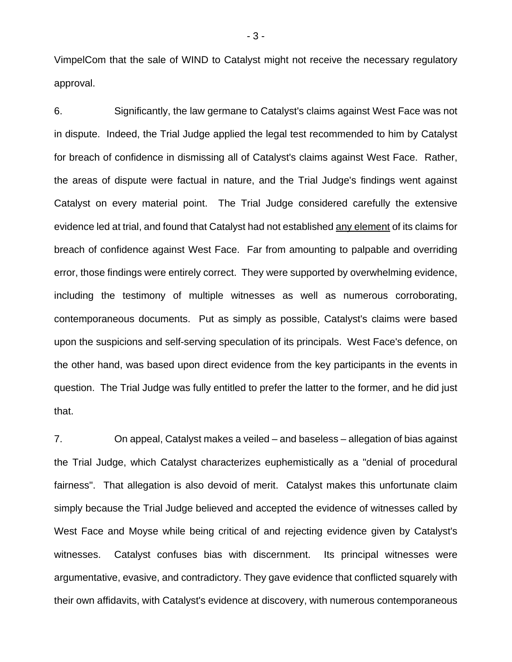VimpelCom that the sale of WIND to Catalyst might not receive the necessary regulatory approval.

6. Significantly, the law germane to Catalyst's claims against West Face was not in dispute. Indeed, the Trial Judge applied the legal test recommended to him by Catalyst for breach of confidence in dismissing all of Catalyst's claims against West Face. Rather, the areas of dispute were factual in nature, and the Trial Judge's findings went against Catalyst on every material point. The Trial Judge considered carefully the extensive evidence led at trial, and found that Catalyst had not established any element of its claims for breach of confidence against West Face. Far from amounting to palpable and overriding error, those findings were entirely correct. They were supported by overwhelming evidence, including the testimony of multiple witnesses as well as numerous corroborating, contemporaneous documents. Put as simply as possible, Catalyst's claims were based upon the suspicions and self-serving speculation of its principals. West Face's defence, on the other hand, was based upon direct evidence from the key participants in the events in question. The Trial Judge was fully entitled to prefer the latter to the former, and he did just that.

7. On appeal, Catalyst makes a veiled – and baseless – allegation of bias against the Trial Judge, which Catalyst characterizes euphemistically as a "denial of procedural fairness". That allegation is also devoid of merit. Catalyst makes this unfortunate claim simply because the Trial Judge believed and accepted the evidence of witnesses called by West Face and Moyse while being critical of and rejecting evidence given by Catalyst's witnesses. Catalyst confuses bias with discernment. Its principal witnesses were argumentative, evasive, and contradictory. They gave evidence that conflicted squarely with their own affidavits, with Catalyst's evidence at discovery, with numerous contemporaneous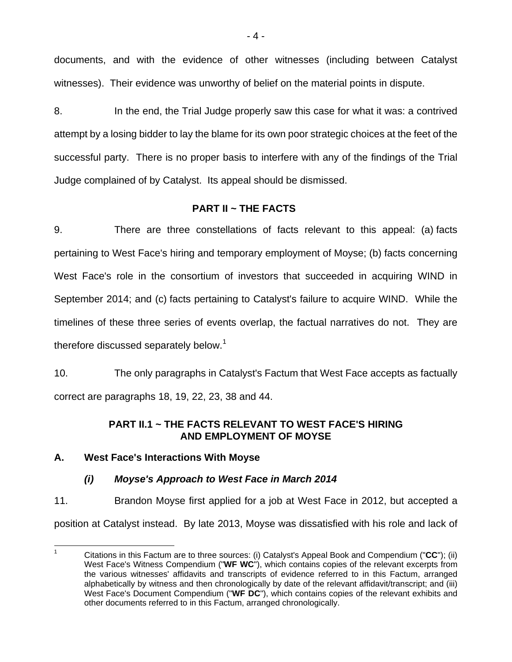documents, and with the evidence of other witnesses (including between Catalyst witnesses). Their evidence was unworthy of belief on the material points in dispute.

8. In the end, the Trial Judge properly saw this case for what it was: a contrived attempt by a losing bidder to lay the blame for its own poor strategic choices at the feet of the successful party. There is no proper basis to interfere with any of the findings of the Trial Judge complained of by Catalyst. Its appeal should be dismissed.

# **PART II ~ THE FACTS**

9. There are three constellations of facts relevant to this appeal: (a) facts pertaining to West Face's hiring and temporary employment of Moyse; (b) facts concerning West Face's role in the consortium of investors that succeeded in acquiring WIND in September 2014; and (c) facts pertaining to Catalyst's failure to acquire WIND. While the timelines of these three series of events overlap, the factual narratives do not. They are therefore discussed separately below.<sup>1</sup>

10. The only paragraphs in Catalyst's Factum that West Face accepts as factually correct are paragraphs 18, 19, 22, 23, 38 and 44.

### **PART II.1 ~ THE FACTS RELEVANT TO WEST FACE'S HIRING AND EMPLOYMENT OF MOYSE**

### **A. West Face's Interactions With Moyse**

# *(i) Moyse's Approach to West Face in March 2014*

11. Brandon Moyse first applied for a job at West Face in 2012, but accepted a position at Catalyst instead. By late 2013, Moyse was dissatisfied with his role and lack of

 $\frac{1}{1}$  Citations in this Factum are to three sources: (i) Catalyst's Appeal Book and Compendium ("**CC**"); (ii) West Face's Witness Compendium ("**WF WC**"), which contains copies of the relevant excerpts from the various witnesses' affidavits and transcripts of evidence referred to in this Factum, arranged alphabetically by witness and then chronologically by date of the relevant affidavit/transcript; and (iii) West Face's Document Compendium ("**WF DC**"), which contains copies of the relevant exhibits and other documents referred to in this Factum, arranged chronologically.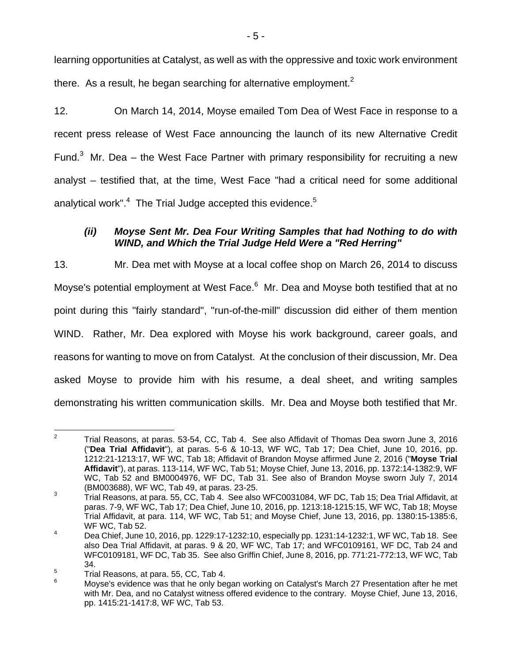learning opportunities at Catalyst, as well as with the oppressive and toxic work environment there. As a result, he began searching for alternative employment.<sup>2</sup>

12. On March 14, 2014, Moyse emailed Tom Dea of West Face in response to a recent press release of West Face announcing the launch of its new Alternative Credit Fund. $3$  Mr. Dea – the West Face Partner with primary responsibility for recruiting a new analyst – testified that, at the time, West Face "had a critical need for some additional analytical work". $4$  The Trial Judge accepted this evidence.<sup>5</sup>

## *(ii) Moyse Sent Mr. Dea Four Writing Samples that had Nothing to do with WIND, and Which the Trial Judge Held Were a "Red Herring"*

13. Mr. Dea met with Moyse at a local coffee shop on March 26, 2014 to discuss Moyse's potential employment at West Face.<sup>6</sup> Mr. Dea and Moyse both testified that at no point during this "fairly standard", "run-of-the-mill" discussion did either of them mention WIND. Rather, Mr. Dea explored with Moyse his work background, career goals, and reasons for wanting to move on from Catalyst. At the conclusion of their discussion, Mr. Dea asked Moyse to provide him with his resume, a deal sheet, and writing samples demonstrating his written communication skills. Mr. Dea and Moyse both testified that Mr.

 $\frac{1}{2}$  Trial Reasons, at paras. 53-54, CC, Tab 4. See also Affidavit of Thomas Dea sworn June 3, 2016 ("**Dea Trial Affidavit**"), at paras. 5-6 & 10-13, WF WC, Tab 17; Dea Chief, June 10, 2016, pp. 1212:21-1213:17, WF WC, Tab 18; Affidavit of Brandon Moyse affirmed June 2, 2016 ("**Moyse Trial Affidavit**"), at paras. 113-114, WF WC, Tab 51; Moyse Chief, June 13, 2016, pp. 1372:14-1382:9, WF WC, Tab 52 and BM0004976, WF DC, Tab 31. See also of Brandon Moyse sworn July 7, 2014 (BM003688), WF WC, Tab 49, at paras. 23-25.

Trial Reasons, at para. 55, CC, Tab 4. See also WFC0031084, WF DC, Tab 15; Dea Trial Affidavit, at paras. 7-9, WF WC, Tab 17; Dea Chief, June 10, 2016, pp. 1213:18-1215:15, WF WC, Tab 18; Moyse Trial Affidavit, at para. 114, WF WC, Tab 51; and Moyse Chief, June 13, 2016, pp. 1380:15-1385:6, WF WC, Tab 52.

<sup>4</sup> Dea Chief, June 10, 2016, pp. 1229:17-1232:10, especially pp. 1231:14-1232:1, WF WC, Tab 18. See also Dea Trial Affidavit, at paras. 9 & 20, WF WC, Tab 17; and WFC0109161, WF DC, Tab 24 and WFC0109181, WF DC, Tab 35. See also Griffin Chief, June 8, 2016, pp. 771:21-772:13, WF WC, Tab 34.

<sup>5</sup> Trial Reasons, at para. 55, CC, Tab 4.

<sup>6</sup> Moyse's evidence was that he only began working on Catalyst's March 27 Presentation after he met with Mr. Dea, and no Catalyst witness offered evidence to the contrary. Moyse Chief, June 13, 2016, pp. 1415:21-1417:8, WF WC, Tab 53.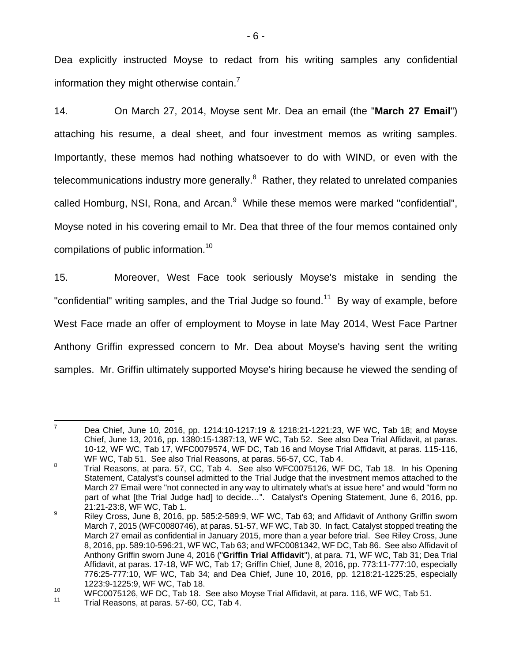Dea explicitly instructed Moyse to redact from his writing samples any confidential information they might otherwise contain. $^7$ 

14. On March 27, 2014, Moyse sent Mr. Dea an email (the "**March 27 Email**") attaching his resume, a deal sheet, and four investment memos as writing samples. Importantly, these memos had nothing whatsoever to do with WIND, or even with the telecommunications industry more generally.<sup>8</sup> Rather, they related to unrelated companies called Homburg, NSI, Rona, and Arcan.<sup>9</sup> While these memos were marked "confidential", Moyse noted in his covering email to Mr. Dea that three of the four memos contained only compilations of public information.<sup>10</sup>

15. Moreover, West Face took seriously Moyse's mistake in sending the "confidential" writing samples, and the Trial Judge so found.<sup>11</sup> By way of example, before West Face made an offer of employment to Moyse in late May 2014, West Face Partner Anthony Griffin expressed concern to Mr. Dea about Moyse's having sent the writing samples. Mr. Griffin ultimately supported Moyse's hiring because he viewed the sending of

<sup>-&</sup>lt;br>7 Dea Chief, June 10, 2016, pp. 1214:10-1217:19 & 1218:21-1221:23, WF WC, Tab 18; and Moyse Chief, June 13, 2016, pp. 1380:15-1387:13, WF WC, Tab 52. See also Dea Trial Affidavit, at paras. 10-12, WF WC, Tab 17, WFC0079574, WF DC, Tab 16 and Moyse Trial Affidavit, at paras. 115-116, WF WC, Tab 51. See also Trial Reasons, at paras. 56-57, CC, Tab 4.<br><sup>8</sup> Trial Bossons, at para 53, CC, Tab 4, See also WEC0075126, WE

Trial Reasons, at para. 57, CC, Tab 4. See also WFC0075126, WF DC, Tab 18. In his Opening Statement, Catalyst's counsel admitted to the Trial Judge that the investment memos attached to the March 27 Email were "not connected in any way to ultimately what's at issue here" and would "form no part of what [the Trial Judge had] to decide…". Catalyst's Opening Statement, June 6, 2016, pp. 21:21-23:8, WF WC, Tab 1.

<sup>9</sup> Riley Cross, June 8, 2016, pp. 585:2-589:9, WF WC, Tab 63; and Affidavit of Anthony Griffin sworn March 7, 2015 (WFC0080746), at paras. 51-57, WF WC, Tab 30. In fact, Catalyst stopped treating the March 27 email as confidential in January 2015, more than a year before trial. See Riley Cross, June 8, 2016, pp. 589:10-596:21, WF WC, Tab 63; and WFC0081342, WF DC, Tab 86. See also Affidavit of Anthony Griffin sworn June 4, 2016 ("**Griffin Trial Affidavit**"), at para. 71, WF WC, Tab 31; Dea Trial Affidavit, at paras. 17-18, WF WC, Tab 17; Griffin Chief, June 8, 2016, pp. 773:11-777:10, especially 776:25-777:10, WF WC, Tab 34; and Dea Chief, June 10, 2016, pp. 1218:21-1225:25, especially 1223:9-1225:9, WF WC, Tab 18.

<sup>&</sup>lt;sup>10</sup> WFC0075126, WF DC, Tab 18. See also Moyse Trial Affidavit, at para. 116, WF WC, Tab 51.<br><sup>11</sup> Trial Reasons, at paras. 57-60, CC, Tab 4.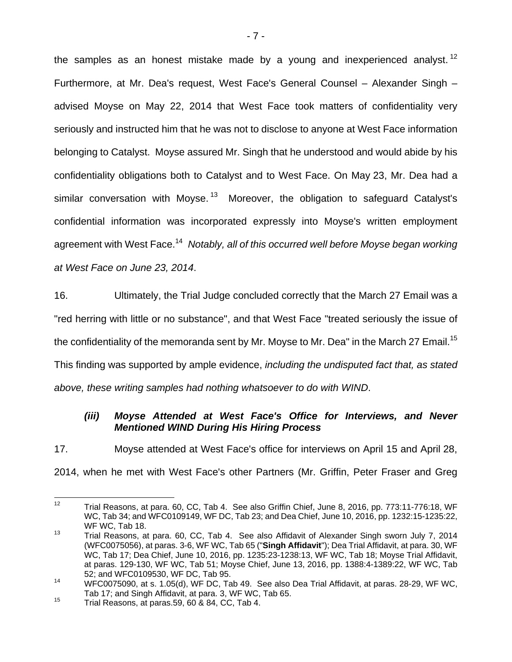the samples as an honest mistake made by a young and inexperienced analyst.<sup>12</sup> Furthermore, at Mr. Dea's request, West Face's General Counsel – Alexander Singh – advised Moyse on May 22, 2014 that West Face took matters of confidentiality very seriously and instructed him that he was not to disclose to anyone at West Face information belonging to Catalyst. Moyse assured Mr. Singh that he understood and would abide by his confidentiality obligations both to Catalyst and to West Face. On May 23, Mr. Dea had a similar conversation with Moyse.<sup>13</sup> Moreover, the obligation to safeguard Catalyst's confidential information was incorporated expressly into Moyse's written employment agreement with West Face.<sup>14</sup> *Notably, all of this occurred well before Moyse began working at West Face on June 23, 2014*.

16. Ultimately, the Trial Judge concluded correctly that the March 27 Email was a "red herring with little or no substance", and that West Face "treated seriously the issue of the confidentiality of the memoranda sent by Mr. Moyse to Mr. Dea" in the March 27 Email.<sup>15</sup> This finding was supported by ample evidence, *including the undisputed fact that, as stated above, these writing samples had nothing whatsoever to do with WIND*.

### *(iii) Moyse Attended at West Face's Office for Interviews, and Never Mentioned WIND During His Hiring Process*

17. Moyse attended at West Face's office for interviews on April 15 and April 28, 2014, when he met with West Face's other Partners (Mr. Griffin, Peter Fraser and Greg

 $12$ 12 Trial Reasons, at para. 60, CC, Tab 4. See also Griffin Chief, June 8, 2016, pp. 773:11-776:18, WF WC, Tab 34; and WFC0109149, WF DC, Tab 23; and Dea Chief, June 10, 2016, pp. 1232:15-1235:22, WF WC, Tab 18.

<sup>13</sup> Trial Reasons, at para. 60, CC, Tab 4. See also Affidavit of Alexander Singh sworn July 7, 2014 (WFC0075056), at paras. 3-6, WF WC, Tab 65 ("**Singh Affidavit**"); Dea Trial Affidavit, at para. 30, WF WC, Tab 17; Dea Chief, June 10, 2016, pp. 1235:23-1238:13, WF WC, Tab 18; Moyse Trial Affidavit, at paras. 129-130, WF WC, Tab 51; Moyse Chief, June 13, 2016, pp. 1388:4-1389:22, WF WC, Tab 52; and WFC0109530, WF DC, Tab 95.

<sup>14</sup> WFC0075090, at s. 1.05(d), WF DC, Tab 49. See also Dea Trial Affidavit, at paras. 28-29, WF WC, Tab 17; and Singh Affidavit, at para. 3, WF WC, Tab 65.<br><sup>15</sup> Trial Reasons, at paras.59, 60 & 84, CC, Tab 4.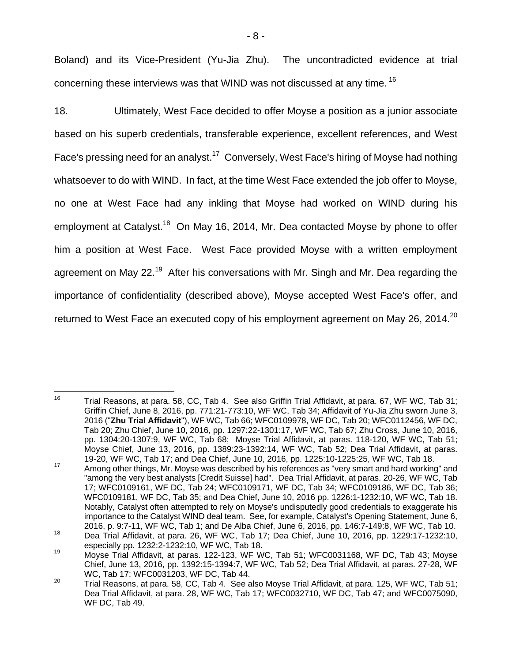Boland) and its Vice-President (Yu-Jia Zhu). The uncontradicted evidence at trial concerning these interviews was that WIND was not discussed at any time. <sup>16</sup>

18. Ultimately, West Face decided to offer Moyse a position as a junior associate based on his superb credentials, transferable experience, excellent references, and West Face's pressing need for an analyst.<sup>17</sup> Conversely, West Face's hiring of Moyse had nothing whatsoever to do with WIND. In fact, at the time West Face extended the job offer to Moyse, no one at West Face had any inkling that Moyse had worked on WIND during his employment at Catalyst.<sup>18</sup> On May 16, 2014, Mr. Dea contacted Moyse by phone to offer him a position at West Face. West Face provided Moyse with a written employment agreement on May 22.<sup>19</sup> After his conversations with Mr. Singh and Mr. Dea regarding the importance of confidentiality (described above), Moyse accepted West Face's offer, and returned to West Face an executed copy of his employment agreement on May 26, 2014.<sup>20</sup>

<sup>16</sup> Trial Reasons, at para. 58, CC, Tab 4. See also Griffin Trial Affidavit, at para. 67, WF WC, Tab 31; Griffin Chief, June 8, 2016, pp. 771:21-773:10, WF WC, Tab 34; Affidavit of Yu-Jia Zhu sworn June 3, 2016 ("**Zhu Trial Affidavit**"), WF WC, Tab 66; WFC0109978, WF DC, Tab 20; WFC0112456, WF DC, Tab 20; Zhu Chief, June 10, 2016, pp. 1297:22-1301:17, WF WC, Tab 67; Zhu Cross, June 10, 2016, pp. 1304:20-1307:9, WF WC, Tab 68; Moyse Trial Affidavit, at paras. 118-120, WF WC, Tab 51; Moyse Chief, June 13, 2016, pp. 1389:23-1392:14, WF WC, Tab 52; Dea Trial Affidavit, at paras.

<sup>19-20,</sup> WF WC, Tab 17; and Dea Chief, June 10, 2016, pp. 1225:10-1225:25, WF WC, Tab 18.<br><sup>17</sup> Among other things, Mr. Moyse was described by his references as "very smart and hard working" and "among the very best analysts [Credit Suisse] had". Dea Trial Affidavit, at paras. 20-26, WF WC, Tab 17; WFC0109161, WF DC, Tab 24; WFC0109171, WF DC, Tab 34; WFC0109186, WF DC, Tab 36; WFC0109181, WF DC, Tab 35; and Dea Chief, June 10, 2016 pp. 1226:1-1232:10, WF WC, Tab 18. Notably, Catalyst often attempted to rely on Moyse's undisputedly good credentials to exaggerate his importance to the Catalyst WIND deal team. See, for example, Catalyst's Opening Statement, June 6, 2016, p. 9:7-11, WF WC, Tab 1; and De Alba Chief, June 6, 2016, pp. 146:7-149:8, WF WC, Tab 10.

<sup>2016,</sup> p. 9:7-11, WF WC, Tab 1; and De Alba Chief, June 6, 2016, pp. 146:7-149:8, WF WC, Tab 10. 18 Dea Trial Affidavit, at para. 26, WF WC, Tab 17; Dea Chief, June 10, 2016, pp. 1229:17-1232:10,

especially pp. 1232:2-1232:10, WF WC, Tab 18.<br><sup>19</sup> Moyse Trial Affidavit, at paras. 122-123, WF WC, Tab 51; WFC0031168, WF DC, Tab 43; Moyse Chief, June 13, 2016, pp. 1392:15-1394:7, WF WC, Tab 52; Dea Trial Affidavit, at paras. 27-28, WF WC, Tab 17; WFC0031203, WF DC, Tab 44.

<sup>&</sup>lt;sup>20</sup> Trial Reasons, at para. 58, CC, Tab 4. See also Moyse Trial Affidavit, at para. 125, WF WC, Tab 51; Dea Trial Affidavit, at para. 28, WF WC, Tab 17; WFC0032710, WF DC, Tab 47; and WFC0075090, WF DC, Tab 49.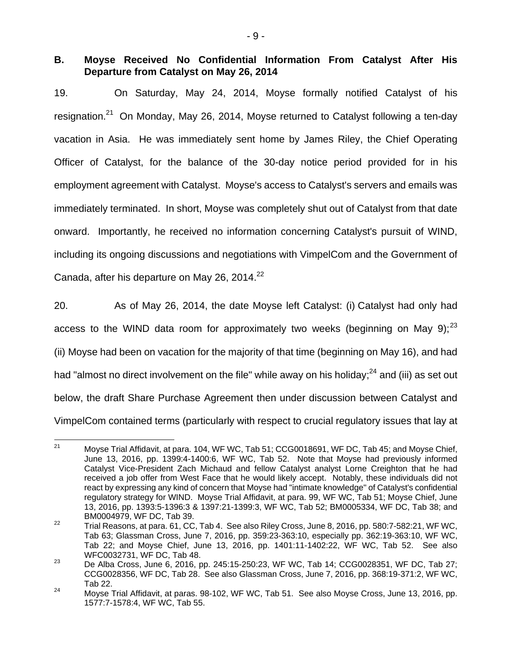### **B. Moyse Received No Confidential Information From Catalyst After His Departure from Catalyst on May 26, 2014**

19. On Saturday, May 24, 2014, Moyse formally notified Catalyst of his resignation.<sup>21</sup> On Monday, May 26, 2014, Moyse returned to Catalyst following a ten-day vacation in Asia. He was immediately sent home by James Riley, the Chief Operating Officer of Catalyst, for the balance of the 30-day notice period provided for in his employment agreement with Catalyst. Moyse's access to Catalyst's servers and emails was immediately terminated. In short, Moyse was completely shut out of Catalyst from that date onward. Importantly, he received no information concerning Catalyst's pursuit of WIND, including its ongoing discussions and negotiations with VimpelCom and the Government of Canada, after his departure on May 26, 2014. $^{22}$ 

20. As of May 26, 2014, the date Moyse left Catalyst: (i) Catalyst had only had access to the WIND data room for approximately two weeks (beginning on May 9);  $^{23}$ (ii) Moyse had been on vacation for the majority of that time (beginning on May 16), and had had "almost no direct involvement on the file" while away on his holiday; $^{24}$  and (iii) as set out below, the draft Share Purchase Agreement then under discussion between Catalyst and VimpelCom contained terms (particularly with respect to crucial regulatory issues that lay at

 $21$ 21 Moyse Trial Affidavit, at para. 104, WF WC, Tab 51; CCG0018691, WF DC, Tab 45; and Moyse Chief, June 13, 2016, pp. 1399:4-1400:6, WF WC, Tab 52. Note that Moyse had previously informed Catalyst Vice-President Zach Michaud and fellow Catalyst analyst Lorne Creighton that he had received a job offer from West Face that he would likely accept. Notably, these individuals did not react by expressing any kind of concern that Moyse had "intimate knowledge" of Catalyst's confidential regulatory strategy for WIND. Moyse Trial Affidavit, at para. 99, WF WC, Tab 51; Moyse Chief, June 13, 2016, pp. 1393:5-1396:3 & 1397:21-1399:3, WF WC, Tab 52; BM0005334, WF DC, Tab 38; and BM0004979, WF DC, Tab 39.

 $22$  Trial Reasons, at para. 61, CC, Tab 4. See also Riley Cross, June 8, 2016, pp. 580:7-582:21, WF WC, Tab 63; Glassman Cross, June 7, 2016, pp. 359:23-363:10, especially pp. 362:19-363:10, WF WC, Tab 22; and Moyse Chief, June 13, 2016, pp. 1401:11-1402:22, WF WC, Tab 52. See also WFC0032731, WF DC, Tab 48.

 $23$  De Alba Cross, June 6, 2016, pp. 245:15-250:23, WF WC, Tab 14; CCG0028351, WF DC, Tab 27; CCG0028356, WF DC, Tab 28. See also Glassman Cross, June 7, 2016, pp. 368:19-371:2, WF WC, Tab 22.

<sup>&</sup>lt;sup>24</sup> Moyse Trial Affidavit, at paras. 98-102, WF WC, Tab 51. See also Moyse Cross, June 13, 2016, pp. 1577:7-1578:4, WF WC, Tab 55.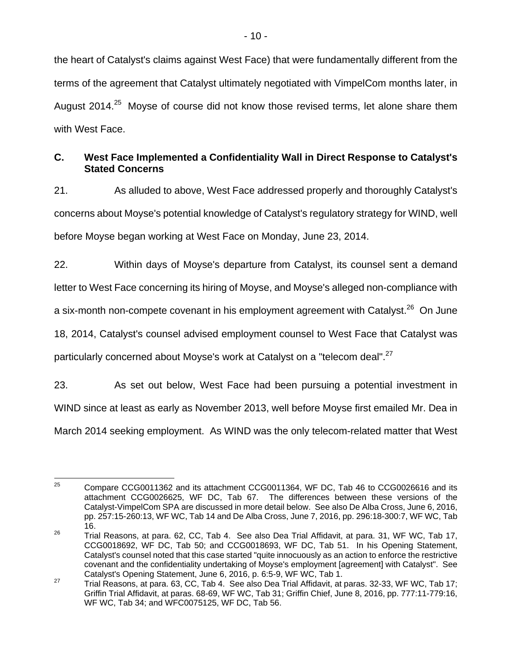the heart of Catalyst's claims against West Face) that were fundamentally different from the terms of the agreement that Catalyst ultimately negotiated with VimpelCom months later, in August 2014.<sup>25</sup> Moyse of course did not know those revised terms, let alone share them with West Face.

# **C. West Face Implemented a Confidentiality Wall in Direct Response to Catalyst's Stated Concerns**

21. As alluded to above, West Face addressed properly and thoroughly Catalyst's concerns about Moyse's potential knowledge of Catalyst's regulatory strategy for WIND, well before Moyse began working at West Face on Monday, June 23, 2014.

22. Within days of Moyse's departure from Catalyst, its counsel sent a demand letter to West Face concerning its hiring of Moyse, and Moyse's alleged non-compliance with a six-month non-compete covenant in his employment agreement with Catalyst.<sup>26</sup> On June 18, 2014, Catalyst's counsel advised employment counsel to West Face that Catalyst was particularly concerned about Moyse's work at Catalyst on a "telecom deal".<sup>27</sup>

23. As set out below, West Face had been pursuing a potential investment in

WIND since at least as early as November 2013, well before Moyse first emailed Mr. Dea in

March 2014 seeking employment. As WIND was the only telecom-related matter that West

<sup>25</sup> 25 Compare CCG0011362 and its attachment CCG0011364, WF DC, Tab 46 to CCG0026616 and its attachment CCG0026625, WF DC, Tab 67. The differences between these versions of the Catalyst-VimpelCom SPA are discussed in more detail below. See also De Alba Cross, June 6, 2016, pp. 257:15-260:13, WF WC, Tab 14 and De Alba Cross, June 7, 2016, pp. 296:18-300:7, WF WC, Tab 16.

 $26$  Trial Reasons, at para. 62, CC, Tab 4. See also Dea Trial Affidavit, at para. 31, WF WC, Tab 17, CCG0018692, WF DC, Tab 50; and CCG0018693, WF DC, Tab 51. In his Opening Statement, Catalyst's counsel noted that this case started "quite innocuously as an action to enforce the restrictive covenant and the confidentiality undertaking of Moyse's employment [agreement] with Catalyst". See

Catalyst's Opening Statement, June 6, 2016, p. 6:5-9, WF WC, Tab 1.<br><sup>27</sup> Trial Reasons, at para. 63, CC, Tab 4. See also Dea Trial Affidavit, at paras. 32-33, WF WC, Tab 17; Griffin Trial Affidavit, at paras. 68-69, WF WC, Tab 31; Griffin Chief, June 8, 2016, pp. 777:11-779:16, WF WC, Tab 34; and WFC0075125, WF DC, Tab 56.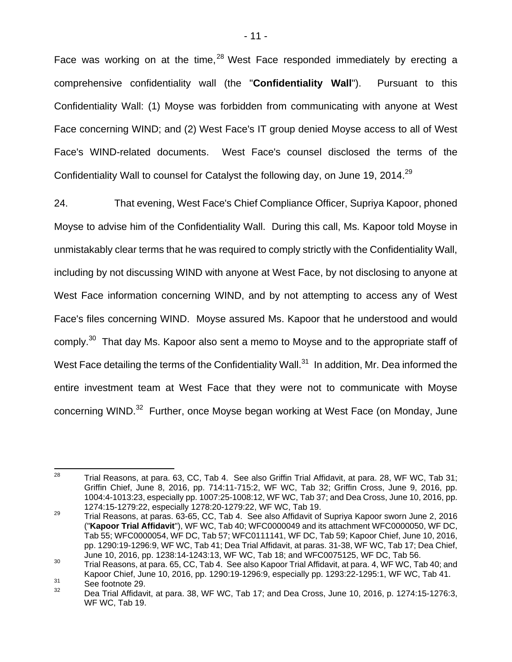Face was working on at the time,  $28$  West Face responded immediately by erecting a comprehensive confidentiality wall (the "**Confidentiality Wall**"). Pursuant to this Confidentiality Wall: (1) Moyse was forbidden from communicating with anyone at West Face concerning WIND; and (2) West Face's IT group denied Moyse access to all of West Face's WIND-related documents. West Face's counsel disclosed the terms of the Confidentiality Wall to counsel for Catalyst the following day, on June 19, 2014.<sup>29</sup>

24. That evening, West Face's Chief Compliance Officer, Supriya Kapoor, phoned Moyse to advise him of the Confidentiality Wall. During this call, Ms. Kapoor told Moyse in unmistakably clear terms that he was required to comply strictly with the Confidentiality Wall, including by not discussing WIND with anyone at West Face, by not disclosing to anyone at West Face information concerning WIND, and by not attempting to access any of West Face's files concerning WIND. Moyse assured Ms. Kapoor that he understood and would comply.<sup>30</sup> That day Ms. Kapoor also sent a memo to Moyse and to the appropriate staff of West Face detailing the terms of the Confidentiality Wall. $31$  In addition, Mr. Dea informed the entire investment team at West Face that they were not to communicate with Moyse concerning WIND.<sup>32</sup> Further, once Moyse began working at West Face (on Monday, June

<sup>28</sup> Trial Reasons, at para. 63, CC, Tab 4. See also Griffin Trial Affidavit, at para. 28, WF WC, Tab 31; Griffin Chief, June 8, 2016, pp. 714:11-715:2, WF WC, Tab 32; Griffin Cross, June 9, 2016, pp. 1004:4-1013:23, especially pp. 1007:25-1008:12, WF WC, Tab 37; and Dea Cross, June 10, 2016, pp. 1274:15-1279:22, especially 1278:20-1279:22, WF WC, Tab 19.

<sup>29</sup> Trial Reasons, at paras. 63-65, CC, Tab 4. See also Affidavit of Supriya Kapoor sworn June 2, 2016 ("**Kapoor Trial Affidavit**"), WF WC, Tab 40; WFC0000049 and its attachment WFC0000050, WF DC, Tab 55; WFC0000054, WF DC, Tab 57; WFC0111141, WF DC, Tab 59; Kapoor Chief, June 10, 2016, pp. 1290:19-1296:9, WF WC, Tab 41; Dea Trial Affidavit, at paras. 31-38, WF WC, Tab 17; Dea Chief,

June 10, 2016, pp. 1238:14-1243:13, WF WC, Tab 18; and WFC0075125, WF DC, Tab 56.<br>30 Trial Reasons, at para. 65, CC, Tab 4. See also Kapoor Trial Affidavit, at para. 4, WF WC, Tab 40; and Kapoor Chief, June 10, 2016, pp. 1290:19-1296:9, especially pp. 1293:22-1295:1, WF WC, Tab 41.<br>31 See footnote 29.<br>32 Dee Triel Affidavit, at para. 38, WE WC, Tab 17: and Dee Cross, June 10, 2016, p. 1274:15, 1276:2

<sup>32</sup> Dea Trial Affidavit, at para. 38, WF WC, Tab 17; and Dea Cross, June 10, 2016, p. 1274:15-1276:3, WF WC, Tab 19.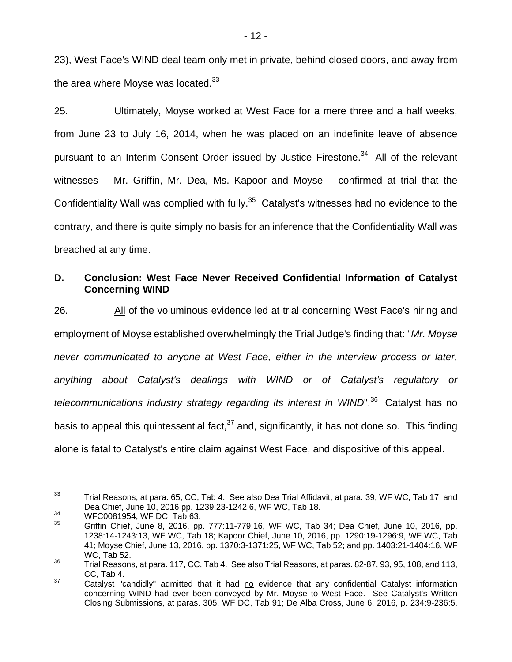23), West Face's WIND deal team only met in private, behind closed doors, and away from the area where Moyse was located. $33$ 

25. Ultimately, Moyse worked at West Face for a mere three and a half weeks, from June 23 to July 16, 2014, when he was placed on an indefinite leave of absence pursuant to an Interim Consent Order issued by Justice Firestone.<sup>34</sup> All of the relevant witnesses – Mr. Griffin, Mr. Dea, Ms. Kapoor and Moyse – confirmed at trial that the Confidentiality Wall was complied with fully.<sup>35</sup> Catalyst's witnesses had no evidence to the contrary, and there is quite simply no basis for an inference that the Confidentiality Wall was breached at any time.

## **D. Conclusion: West Face Never Received Confidential Information of Catalyst Concerning WIND**

26. All of the voluminous evidence led at trial concerning West Face's hiring and employment of Moyse established overwhelmingly the Trial Judge's finding that: "*Mr. Moyse never communicated to anyone at West Face, either in the interview process or later, anything about Catalyst's dealings with WIND or of Catalyst's regulatory or telecommunications industry strategy regarding its interest in WIND*".<sup>36</sup> Catalyst has no basis to appeal this quintessential fact,  $37$  and, significantly, it has not done so. This finding alone is fatal to Catalyst's entire claim against West Face, and dispositive of this appeal.

<sup>33</sup> 33 Trial Reasons, at para. 65, CC, Tab 4. See also Dea Trial Affidavit, at para. 39, WF WC, Tab 17; and Dea Chief, June 10, 2016 pp. 1239:23-1242:6, WF WC, Tab 18.<br>WFC0081954, WF DC, Tab 63.<br>35 A WE DO LLE LINE DO 2018.

<sup>35</sup> Griffin Chief, June 8, 2016, pp. 777:11-779:16, WF WC, Tab 34; Dea Chief, June 10, 2016, pp. 1238:14-1243:13, WF WC, Tab 18; Kapoor Chief, June 10, 2016, pp. 1290:19-1296:9, WF WC, Tab 41; Moyse Chief, June 13, 2016, pp. 1370:3-1371:25, WF WC, Tab 52; and pp. 1403:21-1404:16, WF WC, Tab 52.

 $^{36}$  Trial Reasons, at para. 117, CC, Tab 4. See also Trial Reasons, at paras. 82-87, 93, 95, 108, and 113, CC, Tab 4.

 $37$  Catalyst "candidly" admitted that it had no evidence that any confidential Catalyst information concerning WIND had ever been conveyed by Mr. Moyse to West Face. See Catalyst's Written Closing Submissions, at paras. 305, WF DC, Tab 91; De Alba Cross, June 6, 2016, p. 234:9-236:5,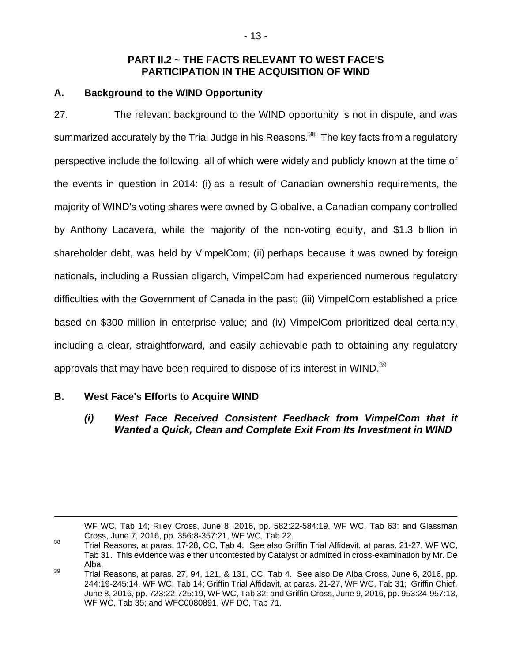## **PART II.2 ~ THE FACTS RELEVANT TO WEST FACE'S PARTICIPATION IN THE ACQUISITION OF WIND**

## **A. Background to the WIND Opportunity**

27. The relevant background to the WIND opportunity is not in dispute, and was summarized accurately by the Trial Judge in his Reasons.<sup>38</sup> The key facts from a regulatory perspective include the following, all of which were widely and publicly known at the time of the events in question in 2014: (i) as a result of Canadian ownership requirements, the majority of WIND's voting shares were owned by Globalive, a Canadian company controlled by Anthony Lacavera, while the majority of the non-voting equity, and \$1.3 billion in shareholder debt, was held by VimpelCom; (ii) perhaps because it was owned by foreign nationals, including a Russian oligarch, VimpelCom had experienced numerous regulatory difficulties with the Government of Canada in the past; (iii) VimpelCom established a price based on \$300 million in enterprise value; and (iv) VimpelCom prioritized deal certainty, including a clear, straightforward, and easily achievable path to obtaining any regulatory approvals that may have been required to dispose of its interest in WIND.<sup>39</sup>

# **B. West Face's Efforts to Acquire WIND**

## *(i) West Face Received Consistent Feedback from VimpelCom that it Wanted a Quick, Clean and Complete Exit From Its Investment in WIND*

WF WC, Tab 14; Riley Cross, June 8, 2016, pp. 582:22-584:19, WF WC, Tab 63; and Glassman

Cross, June 7, 2016, pp. 356:8-357:21, WF WC, Tab 22.<br><sup>38</sup> Trial Reasons, at paras. 17-28, CC, Tab 4. See also Griffin Trial Affidavit, at paras. 21-27, WF WC, Tab 31. This evidence was either uncontested by Catalyst or admitted in cross-examination by Mr. De Alba.

<sup>39</sup> Trial Reasons, at paras. 27, 94, 121, & 131, CC, Tab 4. See also De Alba Cross, June 6, 2016, pp. 244:19-245:14, WF WC, Tab 14; Griffin Trial Affidavit, at paras. 21-27, WF WC, Tab 31; Griffin Chief, June 8, 2016, pp. 723:22-725:19, WF WC, Tab 32; and Griffin Cross, June 9, 2016, pp. 953:24-957:13, WF WC, Tab 35; and WFC0080891, WF DC, Tab 71.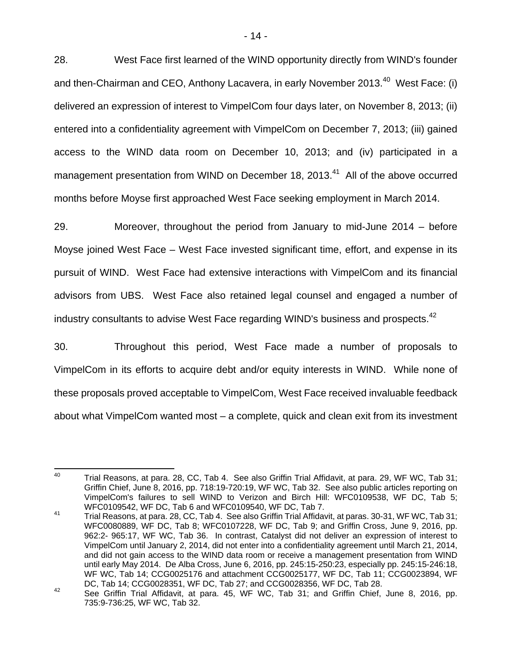28. West Face first learned of the WIND opportunity directly from WIND's founder and then-Chairman and CEO, Anthony Lacavera, in early November 2013.<sup>40</sup> West Face: (i) delivered an expression of interest to VimpelCom four days later, on November 8, 2013; (ii) entered into a confidentiality agreement with VimpelCom on December 7, 2013; (iii) gained access to the WIND data room on December 10, 2013; and (iv) participated in a management presentation from WIND on December 18, 2013.<sup>41</sup> All of the above occurred months before Moyse first approached West Face seeking employment in March 2014.

29. Moreover, throughout the period from January to mid-June 2014 – before Moyse joined West Face – West Face invested significant time, effort, and expense in its pursuit of WIND. West Face had extensive interactions with VimpelCom and its financial advisors from UBS. West Face also retained legal counsel and engaged a number of industry consultants to advise West Face regarding WIND's business and prospects.<sup>42</sup>

30. Throughout this period, West Face made a number of proposals to VimpelCom in its efforts to acquire debt and/or equity interests in WIND. While none of these proposals proved acceptable to VimpelCom, West Face received invaluable feedback about what VimpelCom wanted most – a complete, quick and clean exit from its investment

<sup>40</sup> Trial Reasons, at para. 28, CC, Tab 4. See also Griffin Trial Affidavit, at para. 29, WF WC, Tab 31; Griffin Chief, June 8, 2016, pp. 718:19-720:19, WF WC, Tab 32. See also public articles reporting on VimpelCom's failures to sell WIND to Verizon and Birch Hill: WFC0109538, WF DC, Tab 5; WFC0109542, WF DC, Tab 6 and WFC0109540, WF DC, Tab 7.

<sup>41</sup> Trial Reasons, at para. 28, CC, Tab 4. See also Griffin Trial Affidavit, at paras. 30-31, WF WC, Tab 31; WFC0080889, WF DC, Tab 8; WFC0107228, WF DC, Tab 9; and Griffin Cross, June 9, 2016, pp. 962:2- 965:17, WF WC, Tab 36. In contrast, Catalyst did not deliver an expression of interest to VimpelCom until January 2, 2014, did not enter into a confidentiality agreement until March 21, 2014, and did not gain access to the WIND data room or receive a management presentation from WIND until early May 2014. De Alba Cross, June 6, 2016, pp. 245:15-250:23, especially pp. 245:15-246:18, WF WC, Tab 14; CCG0025176 and attachment CCG0025177, WF DC, Tab 11; CCG0023894, WF DC, Tab 14; CCG0028351, WF DC, Tab 27; and CCG0028356, WF DC, Tab 28.

<sup>42</sup> See Griffin Trial Affidavit, at para. 45, WF WC, Tab 31; and Griffin Chief, June 8, 2016, pp. 735:9-736:25, WF WC, Tab 32.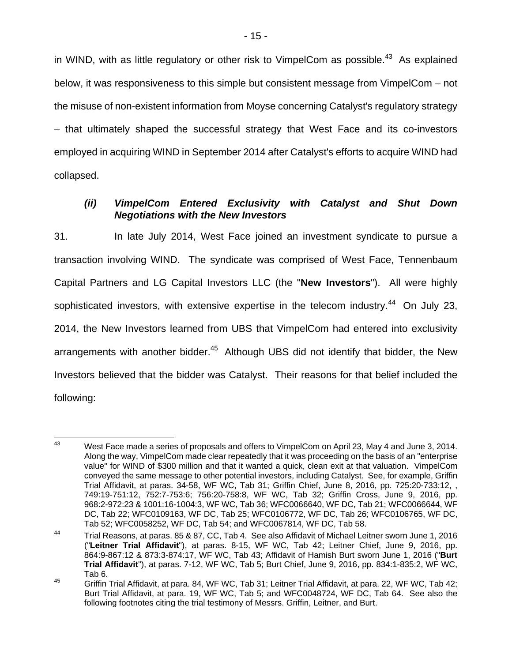in WIND, with as little regulatory or other risk to VimpelCom as possible. $43$  As explained below, it was responsiveness to this simple but consistent message from VimpelCom – not the misuse of non-existent information from Moyse concerning Catalyst's regulatory strategy – that ultimately shaped the successful strategy that West Face and its co-investors employed in acquiring WIND in September 2014 after Catalyst's efforts to acquire WIND had collapsed.

#### *(ii) VimpelCom Entered Exclusivity with Catalyst and Shut Down Negotiations with the New Investors*

31. In late July 2014, West Face joined an investment syndicate to pursue a transaction involving WIND. The syndicate was comprised of West Face, Tennenbaum Capital Partners and LG Capital Investors LLC (the "**New Investors**"). All were highly sophisticated investors, with extensive expertise in the telecom industry.<sup>44</sup> On July 23, 2014, the New Investors learned from UBS that VimpelCom had entered into exclusivity arrangements with another bidder. $45$  Although UBS did not identify that bidder, the New Investors believed that the bidder was Catalyst. Their reasons for that belief included the following:

<sup>43</sup> <sup>43</sup> West Face made a series of proposals and offers to VimpelCom on April 23, May 4 and June 3, 2014. Along the way, VimpelCom made clear repeatedly that it was proceeding on the basis of an "enterprise value" for WIND of \$300 million and that it wanted a quick, clean exit at that valuation. VimpelCom conveyed the same message to other potential investors, including Catalyst. See, for example, Griffin Trial Affidavit, at paras. 34-58, WF WC, Tab 31; Griffin Chief, June 8, 2016, pp. 725:20-733:12, , 749:19-751:12, 752:7-753:6; 756:20-758:8, WF WC, Tab 32; Griffin Cross, June 9, 2016, pp. 968:2-972:23 & 1001:16-1004:3, WF WC, Tab 36; WFC0066640, WF DC, Tab 21; WFC0066644, WF DC, Tab 22; WFC0109163, WF DC, Tab 25; WFC0106772, WF DC, Tab 26; WFC0106765, WF DC, Tab 52; WFC0058252, WF DC, Tab 54; and WFC0067814, WF DC, Tab 58.

<sup>44</sup> Trial Reasons, at paras. 85 & 87, CC, Tab 4. See also Affidavit of Michael Leitner sworn June 1, 2016 ("**Leitner Trial Affidavit**"), at paras. 8-15, WF WC, Tab 42; Leitner Chief, June 9, 2016, pp. 864:9-867:12 & 873:3-874:17, WF WC, Tab 43; Affidavit of Hamish Burt sworn June 1, 2016 ("**Burt Trial Affidavit**"), at paras. 7-12, WF WC, Tab 5; Burt Chief, June 9, 2016, pp. 834:1-835:2, WF WC, Tab 6.

<sup>45</sup> Griffin Trial Affidavit, at para. 84, WF WC, Tab 31; Leitner Trial Affidavit, at para. 22, WF WC, Tab 42; Burt Trial Affidavit, at para. 19, WF WC, Tab 5; and WFC0048724, WF DC, Tab 64. See also the following footnotes citing the trial testimony of Messrs. Griffin, Leitner, and Burt.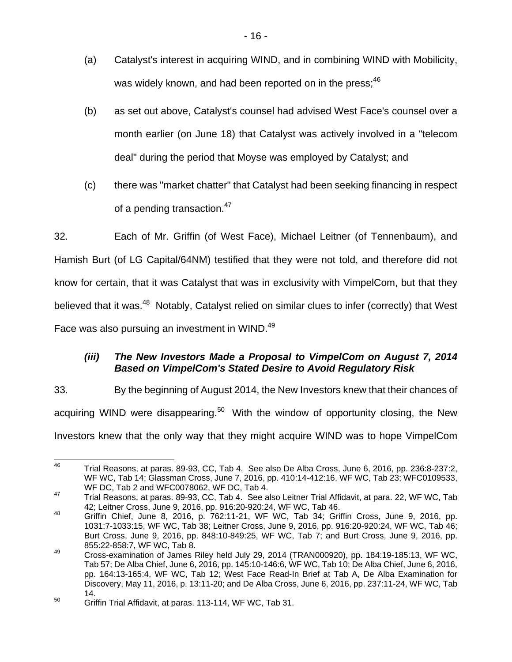- (a) Catalyst's interest in acquiring WIND, and in combining WIND with Mobilicity, was widely known, and had been reported on in the press;  $46$
- (b) as set out above, Catalyst's counsel had advised West Face's counsel over a month earlier (on June 18) that Catalyst was actively involved in a "telecom deal" during the period that Moyse was employed by Catalyst; and
- (c) there was "market chatter" that Catalyst had been seeking financing in respect of a pending transaction.<sup>47</sup>

32. Each of Mr. Griffin (of West Face), Michael Leitner (of Tennenbaum), and Hamish Burt (of LG Capital/64NM) testified that they were not told, and therefore did not know for certain, that it was Catalyst that was in exclusivity with VimpelCom, but that they believed that it was.<sup>48</sup> Notably, Catalyst relied on similar clues to infer (correctly) that West Face was also pursuing an investment in WIND.<sup>49</sup>

# *(iii) The New Investors Made a Proposal to VimpelCom on August 7, 2014 Based on VimpelCom's Stated Desire to Avoid Regulatory Risk*

33. By the beginning of August 2014, the New Investors knew that their chances of acquiring WIND were disappearing.<sup>50</sup> With the window of opportunity closing, the New Investors knew that the only way that they might acquire WIND was to hope VimpelCom

<sup>46</sup> Trial Reasons, at paras. 89-93, CC, Tab 4. See also De Alba Cross, June 6, 2016, pp. 236:8-237:2, WF WC, Tab 14; Glassman Cross, June 7, 2016, pp. 410:14-412:16, WF WC, Tab 23; WFC0109533, WF DC, Tab 2 and WFC0078062, WF DC, Tab 4.

<sup>&</sup>lt;sup>47</sup> Trial Reasons, at paras. 89-93, CC, Tab 4. See also Leitner Trial Affidavit, at para. 22, WF WC, Tab 42; Leitner Cross, June 9, 2016, pp. 916:20-920:24, WF WC, Tab 46.

<sup>48</sup> Griffin Chief, June 8, 2016, p. 762:11-21, WF WC, Tab 34; Griffin Cross, June 9, 2016, pp. 1031:7-1033:15, WF WC, Tab 38; Leitner Cross, June 9, 2016, pp. 916:20-920:24, WF WC, Tab 46; Burt Cross, June 9, 2016, pp. 848:10-849:25, WF WC, Tab 7; and Burt Cross, June 9, 2016, pp. 855:22-858:7, WF WC, Tab 8.

<sup>49</sup> Cross-examination of James Riley held July 29, 2014 (TRAN000920), pp. 184:19-185:13, WF WC, Tab 57; De Alba Chief, June 6, 2016, pp. 145:10-146:6, WF WC, Tab 10; De Alba Chief, June 6, 2016, pp. 164:13-165:4, WF WC, Tab 12; West Face Read-In Brief at Tab A, De Alba Examination for Discovery, May 11, 2016, p. 13:11-20; and De Alba Cross, June 6, 2016, pp. 237:11-24, WF WC, Tab 14.

<sup>&</sup>lt;sup>50</sup> Griffin Trial Affidavit, at paras. 113-114, WF WC, Tab 31.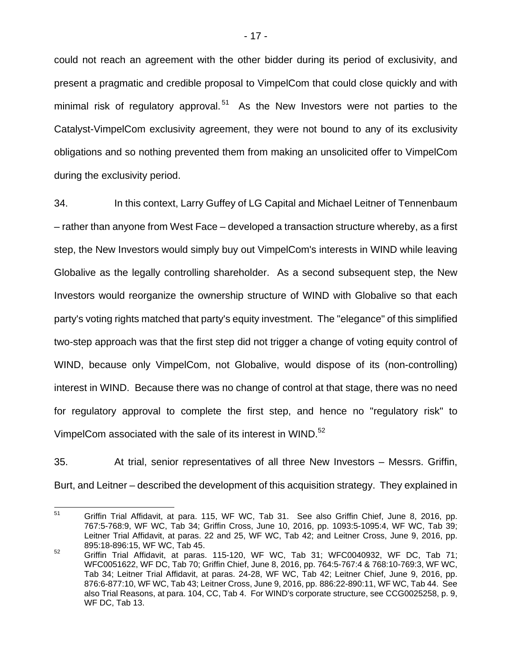could not reach an agreement with the other bidder during its period of exclusivity, and present a pragmatic and credible proposal to VimpelCom that could close quickly and with minimal risk of regulatory approval.<sup>51</sup> As the New Investors were not parties to the Catalyst-VimpelCom exclusivity agreement, they were not bound to any of its exclusivity obligations and so nothing prevented them from making an unsolicited offer to VimpelCom during the exclusivity period.

34. In this context, Larry Guffey of LG Capital and Michael Leitner of Tennenbaum – rather than anyone from West Face – developed a transaction structure whereby, as a first step, the New Investors would simply buy out VimpelCom's interests in WIND while leaving Globalive as the legally controlling shareholder. As a second subsequent step, the New Investors would reorganize the ownership structure of WIND with Globalive so that each party's voting rights matched that party's equity investment. The "elegance" of this simplified two-step approach was that the first step did not trigger a change of voting equity control of WIND, because only VimpelCom, not Globalive, would dispose of its (non-controlling) interest in WIND. Because there was no change of control at that stage, there was no need for regulatory approval to complete the first step, and hence no "regulatory risk" to VimpelCom associated with the sale of its interest in WIND.<sup>52</sup>

35. At trial, senior representatives of all three New Investors – Messrs. Griffin, Burt, and Leitner – described the development of this acquisition strategy. They explained in

<sup>51</sup> Griffin Trial Affidavit, at para. 115, WF WC, Tab 31. See also Griffin Chief, June 8, 2016, pp. 767:5-768:9, WF WC, Tab 34; Griffin Cross, June 10, 2016, pp. 1093:5-1095:4, WF WC, Tab 39; Leitner Trial Affidavit, at paras. 22 and 25, WF WC, Tab 42; and Leitner Cross, June 9, 2016, pp. 895:18-896:15, WF WC, Tab 45.

 $52$  Griffin Trial Affidavit, at paras. 115-120, WF WC, Tab 31; WFC0040932, WF DC, Tab 71; WFC0051622, WF DC, Tab 70; Griffin Chief, June 8, 2016, pp. 764:5-767:4 & 768:10-769:3, WF WC, Tab 34; Leitner Trial Affidavit, at paras. 24-28, WF WC, Tab 42; Leitner Chief, June 9, 2016, pp. 876:6-877:10, WF WC, Tab 43; Leitner Cross, June 9, 2016, pp. 886:22-890:11, WF WC, Tab 44. See also Trial Reasons, at para. 104, CC, Tab 4. For WIND's corporate structure, see CCG0025258, p. 9, WF DC, Tab 13.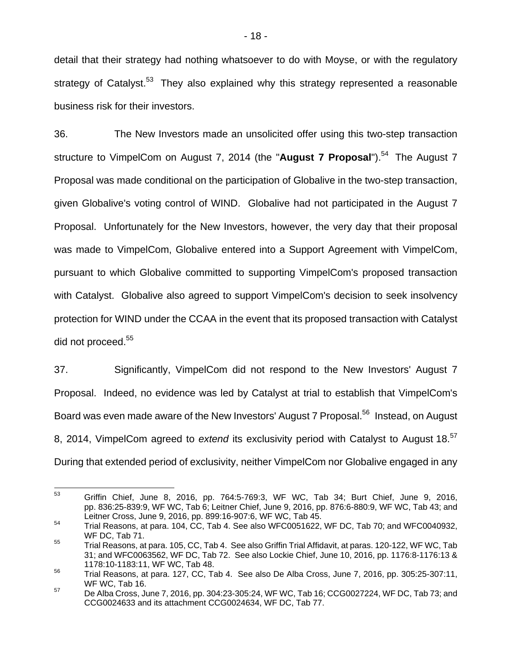detail that their strategy had nothing whatsoever to do with Moyse, or with the regulatory strategy of Catalyst.<sup>53</sup> They also explained why this strategy represented a reasonable business risk for their investors.

36. The New Investors made an unsolicited offer using this two-step transaction structure to VimpelCom on August 7, 2014 (the "**August 7 Proposal**").<sup>54</sup> The August 7 Proposal was made conditional on the participation of Globalive in the two-step transaction, given Globalive's voting control of WIND. Globalive had not participated in the August 7 Proposal. Unfortunately for the New Investors, however, the very day that their proposal was made to VimpelCom, Globalive entered into a Support Agreement with VimpelCom, pursuant to which Globalive committed to supporting VimpelCom's proposed transaction with Catalyst. Globalive also agreed to support VimpelCom's decision to seek insolvency protection for WIND under the CCAA in the event that its proposed transaction with Catalyst did not proceed.<sup>55</sup>

37. Significantly, VimpelCom did not respond to the New Investors' August 7 Proposal. Indeed, no evidence was led by Catalyst at trial to establish that VimpelCom's Board was even made aware of the New Investors' August 7 Proposal.<sup>56</sup> Instead, on August 8, 2014, VimpelCom agreed to *extend* its exclusivity period with Catalyst to August 18.57 During that extended period of exclusivity, neither VimpelCom nor Globalive engaged in any

<sup>53</sup> 53 Griffin Chief, June 8, 2016, pp. 764:5-769:3, WF WC, Tab 34; Burt Chief, June 9, 2016, pp. 836:25-839:9, WF WC, Tab 6; Leitner Chief, June 9, 2016, pp. 876:6-880:9, WF WC, Tab 43; and Leitner Cross, June 9, 2016, pp. 899:16-907:6, WF WC, Tab 45.

<sup>54</sup> Trial Reasons, at para. 104, CC, Tab 4. See also WFC0051622, WF DC, Tab 70; and WFC0040932, WF DC, Tab 71.

<sup>55</sup> Trial Reasons, at para. 105, CC, Tab 4. See also Griffin Trial Affidavit, at paras. 120-122, WF WC, Tab 31; and WFC0063562, WF DC, Tab 72. See also Lockie Chief, June 10, 2016, pp. 1176:8-1176:13 & 1178:10-1183:11, WF WC, Tab 48.

<sup>56</sup> Trial Reasons, at para. 127, CC, Tab 4. See also De Alba Cross, June 7, 2016, pp. 305:25-307:11, WF WC, Tab 16.

<sup>&</sup>lt;sup>57</sup> De Alba Cross, June 7, 2016, pp. 304:23-305:24, WF WC, Tab 16; CCG0027224, WF DC, Tab 73; and CCG0024633 and its attachment CCG0024634, WF DC, Tab 77.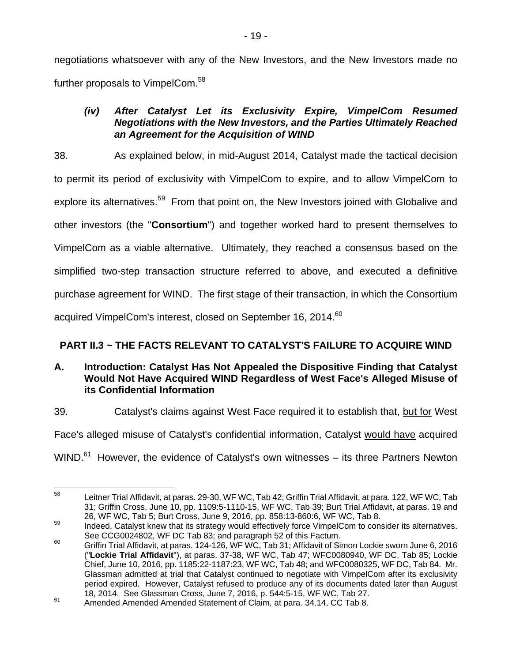negotiations whatsoever with any of the New Investors, and the New Investors made no further proposals to VimpelCom.<sup>58</sup>

## *(iv) After Catalyst Let its Exclusivity Expire, VimpelCom Resumed Negotiations with the New Investors, and the Parties Ultimately Reached an Agreement for the Acquisition of WIND*

38. As explained below, in mid-August 2014, Catalyst made the tactical decision to permit its period of exclusivity with VimpelCom to expire, and to allow VimpelCom to explore its alternatives.<sup>59</sup> From that point on, the New Investors joined with Globalive and other investors (the "**Consortium**") and together worked hard to present themselves to VimpelCom as a viable alternative. Ultimately, they reached a consensus based on the simplified two-step transaction structure referred to above, and executed a definitive purchase agreement for WIND. The first stage of their transaction, in which the Consortium acquired VimpelCom's interest, closed on September 16, 2014. $^{60}$ 

# **PART II.3 ~ THE FACTS RELEVANT TO CATALYST'S FAILURE TO ACQUIRE WIND**

## **A. Introduction: Catalyst Has Not Appealed the Dispositive Finding that Catalyst Would Not Have Acquired WIND Regardless of West Face's Alleged Misuse of its Confidential Information**

39. Catalyst's claims against West Face required it to establish that, but for West

Face's alleged misuse of Catalyst's confidential information, Catalyst would have acquired

 $WIND.<sup>61</sup>$  However, the evidence of Catalyst's own witnesses – its three Partners Newton

<sup>58</sup> Leitner Trial Affidavit, at paras. 29-30, WF WC, Tab 42; Griffin Trial Affidavit, at para. 122, WF WC, Tab 31; Griffin Cross, June 10, pp. 1109:5-1110-15, WF WC, Tab 39; Burt Trial Affidavit, at paras. 19 and

<sup>26,</sup> WF WC, Tab 5; Burt Cross, June 9, 2016, pp. 858:13-860:6, WF WC, Tab 8.<br><sup>59</sup> Indeed, Catalyst knew that its strategy would effectively force VimpelCom to consider its alternatives.

See CCG0024802, WF DC Tab 83; and paragraph 52 of this Factum.<br><sup>60</sup> Griffin Trial Affidavit, at paras. 124-126, WF WC, Tab 31; Affidavit of Simon Lockie sworn June 6, 2016 ("**Lockie Trial Affidavit**"), at paras. 37-38, WF WC, Tab 47; WFC0080940, WF DC, Tab 85; Lockie Chief, June 10, 2016, pp. 1185:22-1187:23, WF WC, Tab 48; and WFC0080325, WF DC, Tab 84. Mr. Glassman admitted at trial that Catalyst continued to negotiate with VimpelCom after its exclusivity period expired. However, Catalyst refused to produce any of its documents dated later than August

<sup>18, 2014.</sup> See Glassman Cross, June 7, 2016, p. 544:5-15, WF WC, Tab 27.<br><sup>61</sup> Amended Amended Amended Statement of Claim, at para. 34.14, CC Tab 8.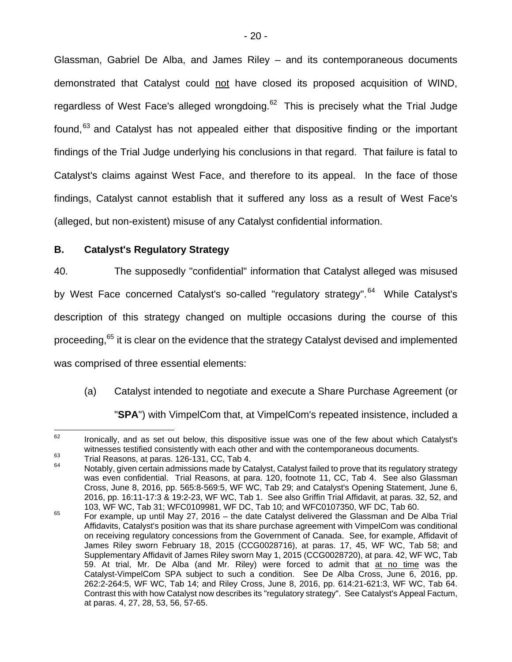Glassman, Gabriel De Alba, and James Riley – and its contemporaneous documents demonstrated that Catalyst could not have closed its proposed acquisition of WIND, regardless of West Face's alleged wrongdoing. $62$  This is precisely what the Trial Judge found, $63$  and Catalyst has not appealed either that dispositive finding or the important findings of the Trial Judge underlying his conclusions in that regard. That failure is fatal to Catalyst's claims against West Face, and therefore to its appeal. In the face of those findings, Catalyst cannot establish that it suffered any loss as a result of West Face's (alleged, but non-existent) misuse of any Catalyst confidential information.

### **B. Catalyst's Regulatory Strategy**

40. The supposedly "confidential" information that Catalyst alleged was misused by West Face concerned Catalyst's so-called "regulatory strategy".<sup>64</sup> While Catalyst's description of this strategy changed on multiple occasions during the course of this proceeding.<sup>65</sup> it is clear on the evidence that the strategy Catalyst devised and implemented was comprised of three essential elements:

(a) Catalyst intended to negotiate and execute a Share Purchase Agreement (or "**SPA**") with VimpelCom that, at VimpelCom's repeated insistence, included a

<sup>62</sup> Ironically, and as set out below, this dispositive issue was one of the few about which Catalyst's witnesses testified consistently with each other and with the contemporaneous documents.<br>
Trial Reasons, at paras. 126-131, CC, Tab 4.<br>
Notably, given certain admissions made by Catalyst, Catalyst failed to prove that its

was even confidential. Trial Reasons, at para. 120, footnote 11, CC, Tab 4. See also Glassman Cross, June 8, 2016, pp. 565:8-569:5, WF WC, Tab 29; and Catalyst's Opening Statement, June 6, 2016, pp. 16:11-17:3 & 19:2-23, WF WC, Tab 1. See also Griffin Trial Affidavit, at paras. 32, 52, and 103, WF WC, Tab 31; WFC0109981, WF DC, Tab 10; and WFC0107350, WF DC, Tab 60.

<sup>65</sup> For example, up until May 27, 2016 – the date Catalyst delivered the Glassman and De Alba Trial Affidavits, Catalyst's position was that its share purchase agreement with VimpelCom was conditional on receiving regulatory concessions from the Government of Canada. See, for example, Affidavit of James Riley sworn February 18, 2015 (CCG0028716), at paras. 17, 45, WF WC, Tab 58; and Supplementary Affidavit of James Riley sworn May 1, 2015 (CCG0028720), at para. 42, WF WC, Tab 59. At trial, Mr. De Alba (and Mr. Riley) were forced to admit that at no time was the Catalyst-VimpelCom SPA subject to such a condition. See De Alba Cross, June 6, 2016, pp. 262:2-264:5, WF WC, Tab 14; and Riley Cross, June 8, 2016, pp. 614:21-621:3, WF WC, Tab 64. Contrast this with how Catalyst now describes its "regulatory strategy". See Catalyst's Appeal Factum, at paras. 4, 27, 28, 53, 56, 57-65.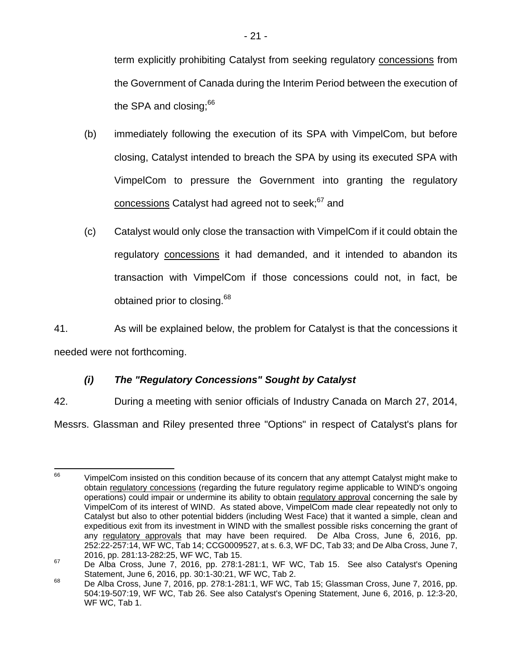term explicitly prohibiting Catalyst from seeking regulatory concessions from the Government of Canada during the Interim Period between the execution of the SPA and closing:<sup>66</sup>

- (b) immediately following the execution of its SPA with VimpelCom, but before closing, Catalyst intended to breach the SPA by using its executed SPA with VimpelCom to pressure the Government into granting the regulatory concessions Catalyst had agreed not to seek;<sup>67</sup> and
- (c) Catalyst would only close the transaction with VimpelCom if it could obtain the regulatory concessions it had demanded, and it intended to abandon its transaction with VimpelCom if those concessions could not, in fact, be obtained prior to closing.<sup>68</sup>

41. As will be explained below, the problem for Catalyst is that the concessions it needed were not forthcoming.

# *(i) The "Regulatory Concessions" Sought by Catalyst*

42. During a meeting with senior officials of Industry Canada on March 27, 2014,

Messrs. Glassman and Riley presented three "Options" in respect of Catalyst's plans for

<sup>66</sup> VimpelCom insisted on this condition because of its concern that any attempt Catalyst might make to obtain regulatory concessions (regarding the future regulatory regime applicable to WIND's ongoing operations) could impair or undermine its ability to obtain regulatory approval concerning the sale by VimpelCom of its interest of WIND. As stated above, VimpelCom made clear repeatedly not only to Catalyst but also to other potential bidders (including West Face) that it wanted a simple, clean and expeditious exit from its investment in WIND with the smallest possible risks concerning the grant of any regulatory approvals that may have been required. De Alba Cross, June 6, 2016, pp. 252:22-257:14, WF WC, Tab 14; CCG0009527, at s. 6.3, WF DC, Tab 33; and De Alba Cross, June 7, 2016, pp. 281:13-282:25, WF WC, Tab 15.<br><sup>67</sup> De Alba Cross, June 7, 2016, pp. 278:1-281:1, WF WC, Tab 15. See also Catalyst's Opening

Statement, June 6, 2016, pp. 30:1-30:21, WF WC, Tab 2.<br><sup>68</sup> De Alba Cross, June 7, 2016, pp. 278:1-281:1, WF WC, Tab 15; Glassman Cross, June 7, 2016, pp. 504:19-507:19, WF WC, Tab 26. See also Catalyst's Opening Statement, June 6, 2016, p. 12:3-20, WF WC, Tab 1.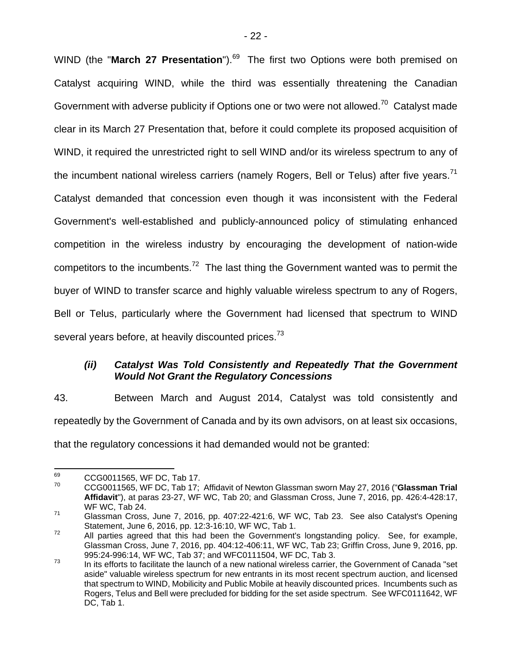WIND (the "March 27 Presentation").<sup>69</sup> The first two Options were both premised on Catalyst acquiring WIND, while the third was essentially threatening the Canadian Government with adverse publicity if Options one or two were not allowed.<sup>70</sup> Catalyst made clear in its March 27 Presentation that, before it could complete its proposed acquisition of WIND, it required the unrestricted right to sell WIND and/or its wireless spectrum to any of the incumbent national wireless carriers (namely Rogers, Bell or Telus) after five years.<sup>71</sup> Catalyst demanded that concession even though it was inconsistent with the Federal Government's well-established and publicly-announced policy of stimulating enhanced competition in the wireless industry by encouraging the development of nation-wide competitors to the incumbents.<sup>72</sup> The last thing the Government wanted was to permit the buyer of WIND to transfer scarce and highly valuable wireless spectrum to any of Rogers, Bell or Telus, particularly where the Government had licensed that spectrum to WIND several years before, at heavily discounted prices.<sup>73</sup>

### *(ii) Catalyst Was Told Consistently and Repeatedly That the Government Would Not Grant the Regulatory Concessions*

43. Between March and August 2014, Catalyst was told consistently and repeatedly by the Government of Canada and by its own advisors, on at least six occasions, that the regulatory concessions it had demanded would not be granted:

<sup>69</sup>  $^{69}$  CCG0011565, WF DC, Tab 17.

<sup>70</sup> CCG0011565, WF DC, Tab 17; Affidavit of Newton Glassman sworn May 27, 2016 ("**Glassman Trial Affidavit**"), at paras 23-27, WF WC, Tab 20; and Glassman Cross, June 7, 2016, pp. 426:4-428:17, WF WC, Tab 24.

 $71$  Glassman Cross, June 7, 2016, pp. 407:22-421:6, WF WC, Tab 23. See also Catalyst's Opening<br>Statement, June 6, 2016, pp. 12:3-16:10, WF WC, Tab 1.

 $\frac{3}{12}$  All parties agreed that this had been the Government's longstanding policy. See, for example, Glassman Cross, June 7, 2016, pp. 404:12-406:11, WF WC, Tab 23; Griffin Cross, June 9, 2016, pp. 995:24-996:14, WF WC, Tab 37; and WFC0111504, WF DC, Tab 3.

 $\frac{3}{13}$  In its efforts to facilitate the launch of a new national wireless carrier, the Government of Canada "set aside" valuable wireless spectrum for new entrants in its most recent spectrum auction, and licensed that spectrum to WIND, Mobilicity and Public Mobile at heavily discounted prices. Incumbents such as Rogers, Telus and Bell were precluded for bidding for the set aside spectrum. See WFC0111642, WF DC, Tab 1.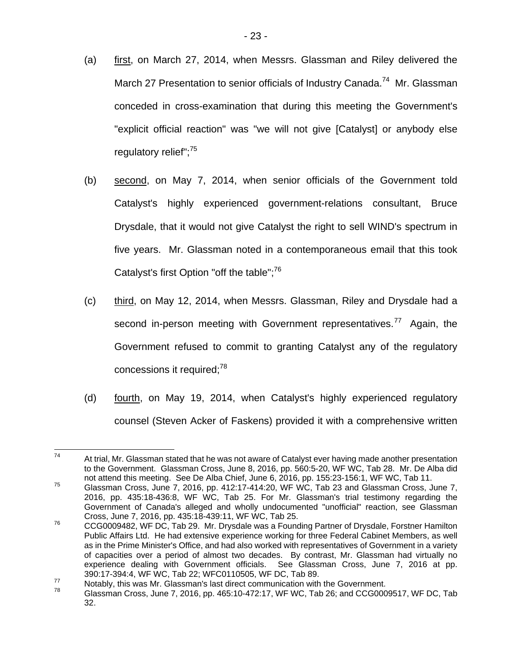- (a) first, on March 27, 2014, when Messrs. Glassman and Riley delivered the March 27 Presentation to senior officials of Industry Canada.<sup>74</sup> Mr. Glassman conceded in cross-examination that during this meeting the Government's "explicit official reaction" was "we will not give [Catalyst] or anybody else regulatory relief";<sup>75</sup>
- (b) second, on May 7, 2014, when senior officials of the Government told Catalyst's highly experienced government-relations consultant, Bruce Drysdale, that it would not give Catalyst the right to sell WIND's spectrum in five years. Mr. Glassman noted in a contemporaneous email that this took Catalyst's first Option "off the table"; $^{76}$
- (c) third, on May 12, 2014, when Messrs. Glassman, Riley and Drysdale had a second in-person meeting with Government representatives.<sup>77</sup> Again, the Government refused to commit to granting Catalyst any of the regulatory concessions it required;<sup>78</sup>
- (d) fourth, on May 19, 2014, when Catalyst's highly experienced regulatory counsel (Steven Acker of Faskens) provided it with a comprehensive written

<sup>74</sup> At trial, Mr. Glassman stated that he was not aware of Catalyst ever having made another presentation to the Government. Glassman Cross, June 8, 2016, pp. 560:5-20, WF WC, Tab 28. Mr. De Alba did not attend this meeting. See De Alba Chief, June 6, 2016, pp. 155:23-156:1, WF WC, Tab 11.

<sup>75</sup> Glassman Cross, June 7, 2016, pp. 412:17-414:20, WF WC, Tab 23 and Glassman Cross, June 7, 2016, pp. 435:18-436:8, WF WC, Tab 25. For Mr. Glassman's trial testimony regarding the Government of Canada's alleged and wholly undocumented "unofficial" reaction, see Glassman

Cross, June 7, 2016, pp. 435:18-439:11, WF WC, Tab 25.<br><sup>76</sup> CCG0009482, WF DC, Tab 29. Mr. Drysdale was a Founding Partner of Drysdale, Forstner Hamilton Public Affairs Ltd. He had extensive experience working for three Federal Cabinet Members, as well as in the Prime Minister's Office, and had also worked with representatives of Government in a variety of capacities over a period of almost two decades. By contrast, Mr. Glassman had virtually no experience dealing with Government officials. See Glassman Cross, June 7, 2016 at pp.

<sup>390:17-394:4,</sup> WF WC, Tab 22; WFC0110505, WF DC, Tab 89.<br>Notably, this was Mr. Glassman's last direct communication with the Government.<br>T<sup>8</sup> Glassman Cross, June 7, 2016, pp. 465:10-472:17, WF WC, Tab 26; and CCG0009517, W 32.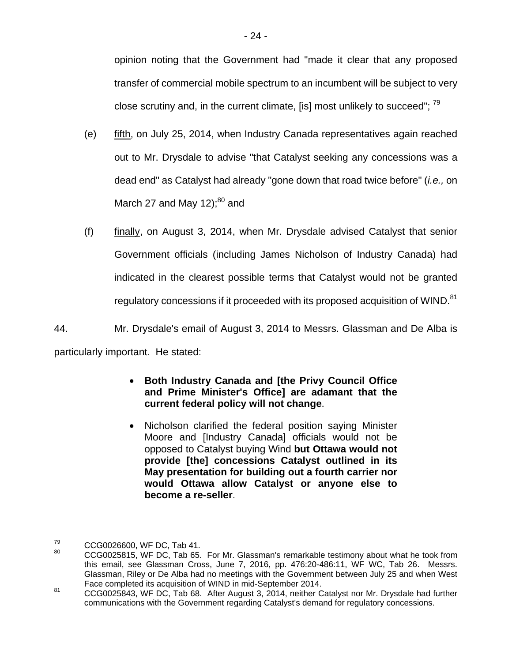opinion noting that the Government had "made it clear that any proposed transfer of commercial mobile spectrum to an incumbent will be subject to very close scrutiny and, in the current climate, [is] most unlikely to succeed";  $^{79}$ 

- (e) fifth, on July 25, 2014, when Industry Canada representatives again reached out to Mr. Drysdale to advise "that Catalyst seeking any concessions was a dead end" as Catalyst had already "gone down that road twice before" (*i.e.,* on March 27 and May 12); $^{80}$  and
- (f) finally, on August 3, 2014, when Mr. Drysdale advised Catalyst that senior Government officials (including James Nicholson of Industry Canada) had indicated in the clearest possible terms that Catalyst would not be granted regulatory concessions if it proceeded with its proposed acquisition of WIND.<sup>81</sup>

44. Mr. Drysdale's email of August 3, 2014 to Messrs. Glassman and De Alba is particularly important. He stated:

## • **Both Industry Canada and [the Privy Council Office and Prime Minister's Office] are adamant that the current federal policy will not change**.

• Nicholson clarified the federal position saying Minister Moore and [Industry Canada] officials would not be opposed to Catalyst buying Wind **but Ottawa would not provide [the] concessions Catalyst outlined in its May presentation for building out a fourth carrier nor would Ottawa allow Catalyst or anyone else to become a re-seller**.

<sup>79</sup>  $^{79}$  CCG0026600, WF DC, Tab 41.

<sup>80</sup> CCG0025815, WF DC, Tab 65. For Mr. Glassman's remarkable testimony about what he took from this email, see Glassman Cross, June 7, 2016, pp. 476:20-486:11, WF WC, Tab 26. Messrs. Glassman, Riley or De Alba had no meetings with the Government between July 25 and when West<br>Face completed its acquisition of WIND in mid-September 2014.

 $^{81}$  CCG0025843, WF DC, Tab 68. After August 3, 2014, neither Catalyst nor Mr. Drysdale had further communications with the Government regarding Catalyst's demand for regulatory concessions.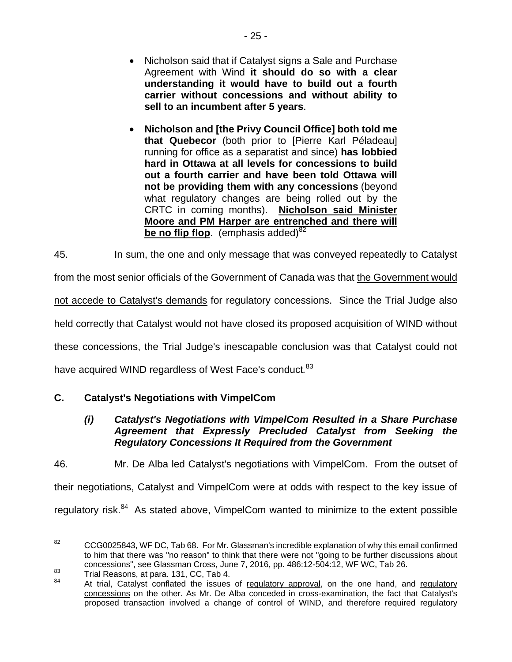- Nicholson said that if Catalyst signs a Sale and Purchase Agreement with Wind **it should do so with a clear understanding it would have to build out a fourth carrier without concessions and without ability to sell to an incumbent after 5 years**.
- **Nicholson and [the Privy Council Office] both told me that Quebecor** (both prior to [Pierre Karl Péladeau] running for office as a separatist and since) **has lobbied hard in Ottawa at all levels for concessions to build out a fourth carrier and have been told Ottawa will not be providing them with any concessions** (beyond what regulatory changes are being rolled out by the CRTC in coming months). **Nicholson said Minister Moore and PM Harper are entrenched and there will be no flip flop.** (emphasis added)<sup>82</sup>

45. In sum, the one and only message that was conveyed repeatedly to Catalyst

from the most senior officials of the Government of Canada was that the Government would

not accede to Catalyst's demands for regulatory concessions. Since the Trial Judge also

held correctly that Catalyst would not have closed its proposed acquisition of WIND without

these concessions, the Trial Judge's inescapable conclusion was that Catalyst could not

have acquired WIND regardless of West Face's conduct*.* 83

# **C. Catalyst's Negotiations with VimpelCom**

#### *(i) Catalyst's Negotiations with VimpelCom Resulted in a Share Purchase Agreement that Expressly Precluded Catalyst from Seeking the Regulatory Concessions It Required from the Government*

46. Mr. De Alba led Catalyst's negotiations with VimpelCom. From the outset of their negotiations, Catalyst and VimpelCom were at odds with respect to the key issue of regulatory risk.<sup>84</sup> As stated above, VimpelCom wanted to minimize to the extent possible

<sup>82</sup> 82 CCG0025843, WF DC, Tab 68. For Mr. Glassman's incredible explanation of why this email confirmed to him that there was "no reason" to think that there were not "going to be further discussions about concessions", see Glassman Cross, June 7, 2016, pp. 486:12-504:12, WF WC, Tab 26.

example 12016, and Trial Reasons, at para. 131, CC, Tab 4.<br><sup>84</sup> At trial, Catalyst conflated the issues of <u>regulatory approval</u>, on the one hand, and <u>regulatory</u> concessions on the other. As Mr. De Alba conceded in cross-examination, the fact that Catalyst's proposed transaction involved a change of control of WIND, and therefore required regulatory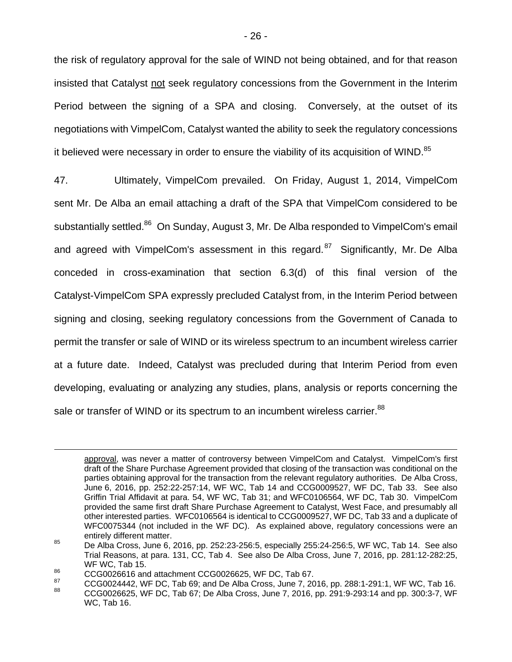the risk of regulatory approval for the sale of WIND not being obtained, and for that reason insisted that Catalyst not seek regulatory concessions from the Government in the Interim Period between the signing of a SPA and closing. Conversely, at the outset of its negotiations with VimpelCom, Catalyst wanted the ability to seek the regulatory concessions it believed were necessary in order to ensure the viability of its acquisition of WIND. $85$ 

47. Ultimately, VimpelCom prevailed. On Friday, August 1, 2014, VimpelCom sent Mr. De Alba an email attaching a draft of the SPA that VimpelCom considered to be substantially settled.<sup>86</sup> On Sunday, August 3, Mr. De Alba responded to VimpelCom's email and agreed with VimpelCom's assessment in this regard. $87$  Significantly, Mr. De Alba conceded in cross-examination that section 6.3(d) of this final version of the Catalyst-VimpelCom SPA expressly precluded Catalyst from, in the Interim Period between signing and closing, seeking regulatory concessions from the Government of Canada to permit the transfer or sale of WIND or its wireless spectrum to an incumbent wireless carrier at a future date. Indeed, Catalyst was precluded during that Interim Period from even developing, evaluating or analyzing any studies, plans, analysis or reports concerning the sale or transfer of WIND or its spectrum to an incumbent wireless carrier.<sup>88</sup>

approval, was never a matter of controversy between VimpelCom and Catalyst. VimpelCom's first draft of the Share Purchase Agreement provided that closing of the transaction was conditional on the parties obtaining approval for the transaction from the relevant regulatory authorities. De Alba Cross, June 6, 2016, pp. 252:22-257:14, WF WC, Tab 14 and CCG0009527, WF DC, Tab 33. See also Griffin Trial Affidavit at para. 54, WF WC, Tab 31; and WFC0106564, WF DC, Tab 30. VimpelCom provided the same first draft Share Purchase Agreement to Catalyst, West Face, and presumably all other interested parties. WFC0106564 is identical to CCG0009527, WF DC, Tab 33 and a duplicate of WFC0075344 (not included in the WF DC). As explained above, regulatory concessions were an

entirely different matter.<br><sup>85</sup> De Alba Cross, June 6, 2016, pp. 252:23-256:5, especially 255:24-256:5, WF WC, Tab 14. See also Trial Reasons, at para. 131, CC, Tab 4. See also De Alba Cross, June 7, 2016, pp. 281:12-282:25, WF WC, Tab 15.

<sup>86</sup> CCG0026616 and attachment CCG0026625, WF DC, Tab 67.

<sup>&</sup>lt;sup>87</sup> CCG0024442, WF DC, Tab 69; and De Alba Cross, June 7, 2016, pp. 288:1-291:1, WF WC, Tab 16.<br><sup>88</sup> CCG0026625, WF DC, Tab 67; De Alba Cross, June 7, 2016, pp. 291:9-293:14 and pp. 300:3-7, WF WC, Tab 16.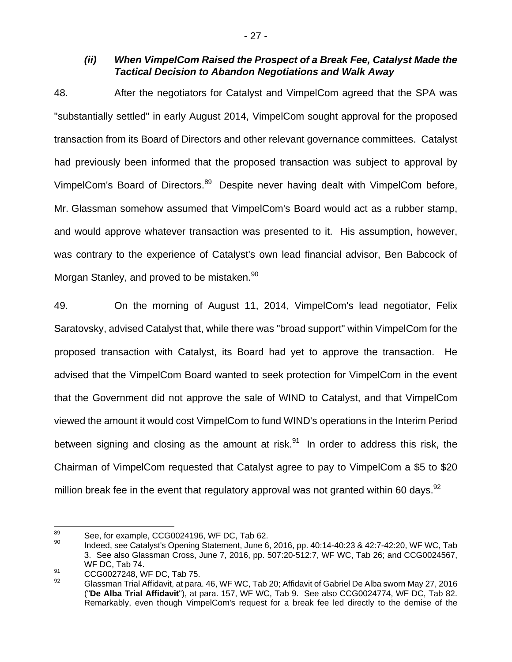#### *(ii) When VimpelCom Raised the Prospect of a Break Fee, Catalyst Made the Tactical Decision to Abandon Negotiations and Walk Away*

48. After the negotiators for Catalyst and VimpelCom agreed that the SPA was "substantially settled" in early August 2014, VimpelCom sought approval for the proposed transaction from its Board of Directors and other relevant governance committees. Catalyst had previously been informed that the proposed transaction was subject to approval by VimpelCom's Board of Directors.<sup>89</sup> Despite never having dealt with VimpelCom before, Mr. Glassman somehow assumed that VimpelCom's Board would act as a rubber stamp, and would approve whatever transaction was presented to it. His assumption, however, was contrary to the experience of Catalyst's own lead financial advisor, Ben Babcock of Morgan Stanley, and proved to be mistaken.<sup>90</sup>

49. On the morning of August 11, 2014, VimpelCom's lead negotiator, Felix Saratovsky, advised Catalyst that, while there was "broad support" within VimpelCom for the proposed transaction with Catalyst, its Board had yet to approve the transaction. He advised that the VimpelCom Board wanted to seek protection for VimpelCom in the event that the Government did not approve the sale of WIND to Catalyst, and that VimpelCom viewed the amount it would cost VimpelCom to fund WIND's operations in the Interim Period between signing and closing as the amount at risk. $91$  In order to address this risk, the Chairman of VimpelCom requested that Catalyst agree to pay to VimpelCom a \$5 to \$20 million break fee in the event that regulatory approval was not granted within 60 days.  $92$ 

<sup>89</sup> 

 $\frac{89}{20}$  See, for example, CCG0024196, WF DC, Tab 62.<br><sup>90</sup> Indeed, see Catalyst's Opening Statement, June 6, 2016, pp. 40:14-40:23 & 42:7-42:20, WF WC, Tab 3. See also Glassman Cross, June 7, 2016, pp. 507:20-512:7, WF WC, Tab 26; and CCG0024567, WF DC, Tab 74.

<sup>91</sup> CCG0027248, WF DC, Tab 75.

Glassman Trial Affidavit, at para. 46, WF WC, Tab 20; Affidavit of Gabriel De Alba sworn May 27, 2016 ("**De Alba Trial Affidavit**"), at para. 157, WF WC, Tab 9. See also CCG0024774, WF DC, Tab 82. Remarkably, even though VimpelCom's request for a break fee led directly to the demise of the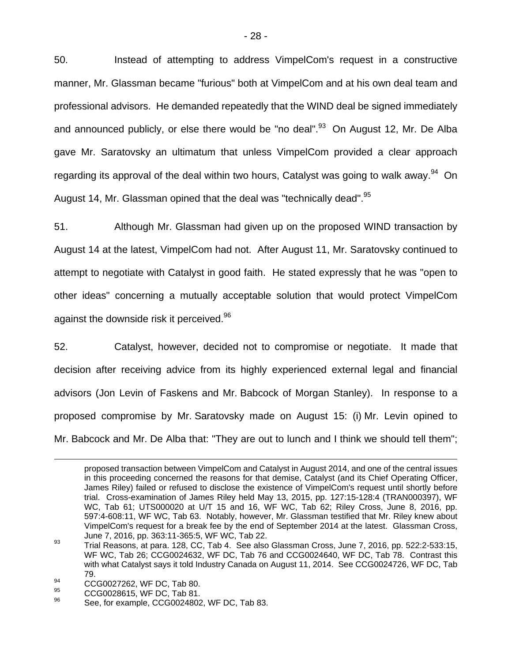50. Instead of attempting to address VimpelCom's request in a constructive manner, Mr. Glassman became "furious" both at VimpelCom and at his own deal team and professional advisors. He demanded repeatedly that the WIND deal be signed immediately and announced publicly, or else there would be "no deal". $93$  On August 12, Mr. De Alba gave Mr. Saratovsky an ultimatum that unless VimpelCom provided a clear approach regarding its approval of the deal within two hours, Catalyst was going to walk away.<sup>94</sup> On August 14, Mr. Glassman opined that the deal was "technically dead".<sup>95</sup>

51. Although Mr. Glassman had given up on the proposed WIND transaction by August 14 at the latest, VimpelCom had not. After August 11, Mr. Saratovsky continued to attempt to negotiate with Catalyst in good faith. He stated expressly that he was "open to other ideas" concerning a mutually acceptable solution that would protect VimpelCom against the downside risk it perceived.<sup>96</sup>

52. Catalyst, however, decided not to compromise or negotiate. It made that decision after receiving advice from its highly experienced external legal and financial advisors (Jon Levin of Faskens and Mr. Babcock of Morgan Stanley). In response to a proposed compromise by Mr. Saratovsky made on August 15: (i) Mr. Levin opined to Mr. Babcock and Mr. De Alba that: "They are out to lunch and I think we should tell them";

- $^{94}$  CCG0027262, WF DC, Tab 80.
- $^{95}$  CCG0028615, WF DC, Tab 81.

proposed transaction between VimpelCom and Catalyst in August 2014, and one of the central issues in this proceeding concerned the reasons for that demise, Catalyst (and its Chief Operating Officer, James Riley) failed or refused to disclose the existence of VimpelCom's request until shortly before trial. Cross-examination of James Riley held May 13, 2015, pp. 127:15-128:4 (TRAN000397), WF WC, Tab 61; UTS000020 at U/T 15 and 16, WF WC, Tab 62; Riley Cross, June 8, 2016, pp. 597:4-608:11, WF WC, Tab 63. Notably, however, Mr. Glassman testified that Mr. Riley knew about VimpelCom's request for a break fee by the end of September 2014 at the latest. Glassman Cross,

June 7, 2016, pp. 363:11-365:5, WF WC, Tab 22.<br><sup>93</sup> Trial Reasons, at para. 128, CC, Tab 4. See also Glassman Cross, June 7, 2016, pp. 522:2-533:15, WF WC, Tab 26; CCG0024632, WF DC, Tab 76 and CCG0024640, WF DC, Tab 78. Contrast this with what Catalyst says it told Industry Canada on August 11, 2014. See CCG0024726, WF DC, Tab 79.

See, for example, CCG0024802, WF DC, Tab 83.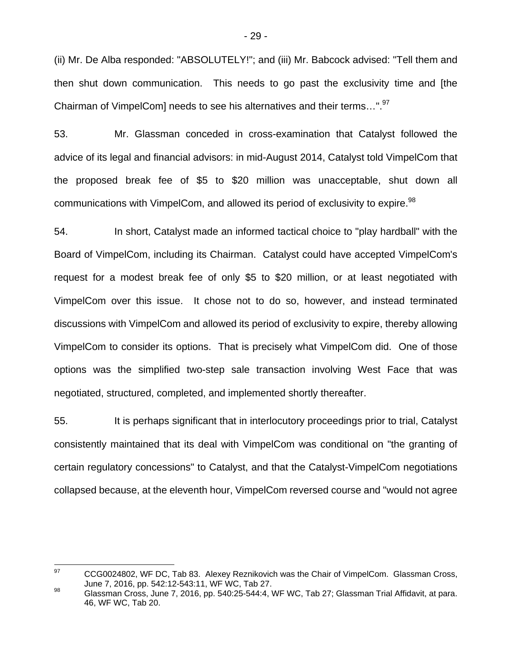(ii) Mr. De Alba responded: "ABSOLUTELY!"; and (iii) Mr. Babcock advised: "Tell them and then shut down communication. This needs to go past the exclusivity time and [the Chairman of VimpelCom] needs to see his alternatives and their terms...".<sup>97</sup>

53. Mr. Glassman conceded in cross-examination that Catalyst followed the advice of its legal and financial advisors: in mid-August 2014, Catalyst told VimpelCom that the proposed break fee of \$5 to \$20 million was unacceptable, shut down all communications with VimpelCom, and allowed its period of exclusivity to expire.<sup>98</sup>

54. In short, Catalyst made an informed tactical choice to "play hardball" with the Board of VimpelCom, including its Chairman. Catalyst could have accepted VimpelCom's request for a modest break fee of only \$5 to \$20 million, or at least negotiated with VimpelCom over this issue. It chose not to do so, however, and instead terminated discussions with VimpelCom and allowed its period of exclusivity to expire, thereby allowing VimpelCom to consider its options. That is precisely what VimpelCom did. One of those options was the simplified two-step sale transaction involving West Face that was negotiated, structured, completed, and implemented shortly thereafter.

55. It is perhaps significant that in interlocutory proceedings prior to trial, Catalyst consistently maintained that its deal with VimpelCom was conditional on "the granting of certain regulatory concessions" to Catalyst, and that the Catalyst-VimpelCom negotiations collapsed because, at the eleventh hour, VimpelCom reversed course and "would not agree

<sup>97</sup> CCG0024802, WF DC, Tab 83. Alexey Reznikovich was the Chair of VimpelCom. Glassman Cross, June 7, 2016, pp. 542:12-543:11, WF WC, Tab 27.

 $^{98}$  Glassman Cross, June 7, 2016, pp. 540:25-544:4, WF WC, Tab 27; Glassman Trial Affidavit, at para. 46, WF WC, Tab 20.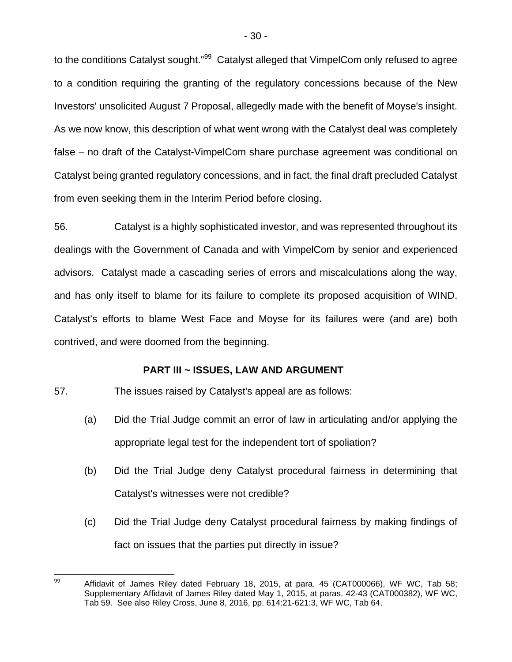to the conditions Catalyst sought."<sup>99</sup> Catalyst alleged that VimpelCom only refused to agree to a condition requiring the granting of the regulatory concessions because of the New Investors' unsolicited August 7 Proposal, allegedly made with the benefit of Moyse's insight. As we now know, this description of what went wrong with the Catalyst deal was completely false – no draft of the Catalyst-VimpelCom share purchase agreement was conditional on Catalyst being granted regulatory concessions, and in fact, the final draft precluded Catalyst from even seeking them in the Interim Period before closing.

56. Catalyst is a highly sophisticated investor, and was represented throughout its dealings with the Government of Canada and with VimpelCom by senior and experienced advisors. Catalyst made a cascading series of errors and miscalculations along the way, and has only itself to blame for its failure to complete its proposed acquisition of WIND. Catalyst's efforts to blame West Face and Moyse for its failures were (and are) both contrived, and were doomed from the beginning.

### **PART III ~ ISSUES, LAW AND ARGUMENT**

57. The issues raised by Catalyst's appeal are as follows:

- (a) Did the Trial Judge commit an error of law in articulating and/or applying the appropriate legal test for the independent tort of spoliation?
- (b) Did the Trial Judge deny Catalyst procedural fairness in determining that Catalyst's witnesses were not credible?
- (c) Did the Trial Judge deny Catalyst procedural fairness by making findings of fact on issues that the parties put directly in issue?

<sup>99</sup> Affidavit of James Riley dated February 18, 2015, at para. 45 (CAT000066), WF WC, Tab 58; Supplementary Affidavit of James Riley dated May 1, 2015, at paras. 42-43 (CAT000382), WF WC, Tab 59. See also Riley Cross, June 8, 2016, pp. 614:21-621:3, WF WC, Tab 64.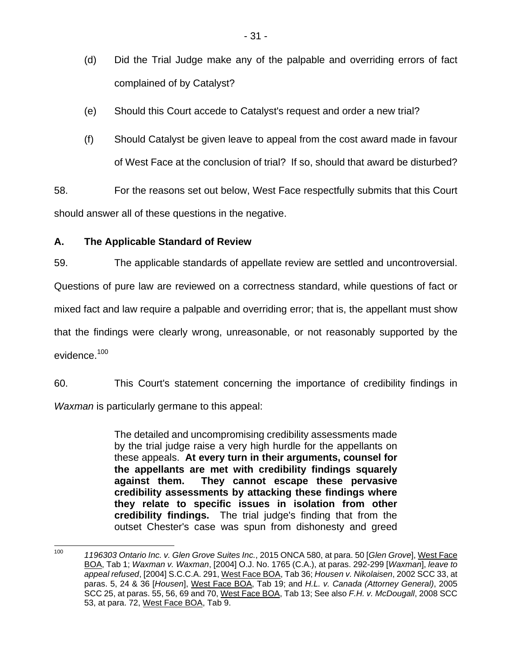- (d) Did the Trial Judge make any of the palpable and overriding errors of fact complained of by Catalyst?
- (e) Should this Court accede to Catalyst's request and order a new trial?
- (f) Should Catalyst be given leave to appeal from the cost award made in favour of West Face at the conclusion of trial? If so, should that award be disturbed?

58. For the reasons set out below, West Face respectfully submits that this Court should answer all of these questions in the negative.

# **A. The Applicable Standard of Review**

59. The applicable standards of appellate review are settled and uncontroversial.

Questions of pure law are reviewed on a correctness standard, while questions of fact or

mixed fact and law require a palpable and overriding error; that is, the appellant must show

that the findings were clearly wrong, unreasonable, or not reasonably supported by the evidence.<sup>100</sup>

60. This Court's statement concerning the importance of credibility findings in *Waxman* is particularly germane to this appeal:

> The detailed and uncompromising credibility assessments made by the trial judge raise a very high hurdle for the appellants on these appeals. **At every turn in their arguments, counsel for the appellants are met with credibility findings squarely against them. They cannot escape these pervasive credibility assessments by attacking these findings where they relate to specific issues in isolation from other credibility findings.** The trial judge's finding that from the outset Chester's case was spun from dishonesty and greed

 $100$ 100 *1196303 Ontario Inc. v. Glen Grove Suites Inc.*, 2015 ONCA 580, at para. 50 [*Glen Grove*], West Face BOA, Tab 1; *Waxman v. Waxman*, [2004] O.J. No. 1765 (C.A.), at paras. 292-299 [*Waxman*], *leave to appeal refused*, [2004] S.C.C.A. 291, West Face BOA, Tab 36; *Housen v. Nikolaisen*, 2002 SCC 33, at paras. 5, 24 & 36 [*Housen*], West Face BOA, Tab 19; and *H.L. v. Canada (Attorney General)*, 2005 SCC 25, at paras. 55, 56, 69 and 70, West Face BOA, Tab 13; See also *F.H. v. McDougall*, 2008 SCC 53, at para. 72, West Face BOA, Tab 9.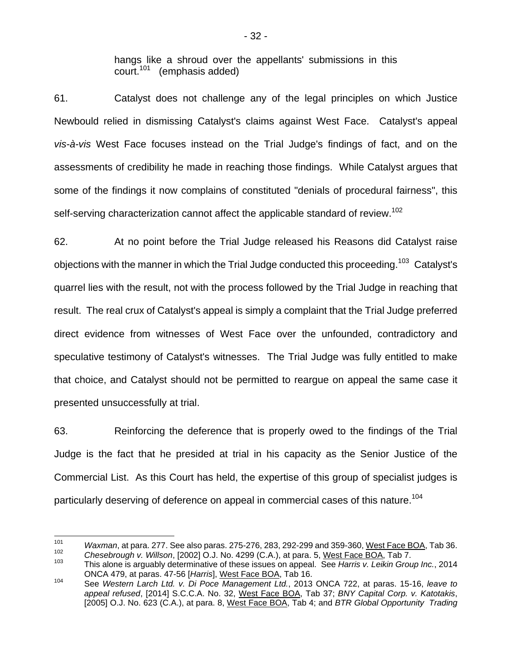hangs like a shroud over the appellants' submissions in this court.<sup>101</sup> (emphasis added)

61. Catalyst does not challenge any of the legal principles on which Justice Newbould relied in dismissing Catalyst's claims against West Face. Catalyst's appeal *vis-à-vis* West Face focuses instead on the Trial Judge's findings of fact, and on the assessments of credibility he made in reaching those findings. While Catalyst argues that some of the findings it now complains of constituted "denials of procedural fairness", this self-serving characterization cannot affect the applicable standard of review.<sup>102</sup>

62. At no point before the Trial Judge released his Reasons did Catalyst raise objections with the manner in which the Trial Judge conducted this proceeding.<sup>103</sup> Catalyst's quarrel lies with the result, not with the process followed by the Trial Judge in reaching that result. The real crux of Catalyst's appeal is simply a complaint that the Trial Judge preferred direct evidence from witnesses of West Face over the unfounded, contradictory and speculative testimony of Catalyst's witnesses. The Trial Judge was fully entitled to make that choice, and Catalyst should not be permitted to reargue on appeal the same case it presented unsuccessfully at trial.

63. Reinforcing the deference that is properly owed to the findings of the Trial Judge is the fact that he presided at trial in his capacity as the Senior Justice of the Commercial List. As this Court has held, the expertise of this group of specialist judges is particularly deserving of deference on appeal in commercial cases of this nature.<sup>104</sup>

<sup>101</sup> 101 *Waxman*, at para. 277. See also paras. 275-276, 283, 292-299 and 359-360, <u>West Face BOA</u>, Tab 36.

<sup>&</sup>lt;sup>102</sup> Chesebrough v. Willson, [2002] O.J. No. 4299 (C.A.), at para. 5, <u>West Face BOA</u>, Tab 7.<br><sup>103</sup> This alone is arguably determinative of these issues on appeal. See *Harris v. Leikin Group Inc.*, 2014 ONCA 479, at paras. 47-56 [*Harris*], West Face BOA, Tab 16.

<sup>104</sup> See *Western Larch Ltd. v. Di Poce Management Ltd.*, 2013 ONCA 722, at paras. 15-16, *leave to appeal refused*, [2014] S.C.C.A. No. 32, West Face BOA, Tab 37; *BNY Capital Corp. v. Katotakis*, [2005] O.J. No. 623 (C.A.), at para. 8, West Face BOA, Tab 4; and *BTR Global Opportunity Trading*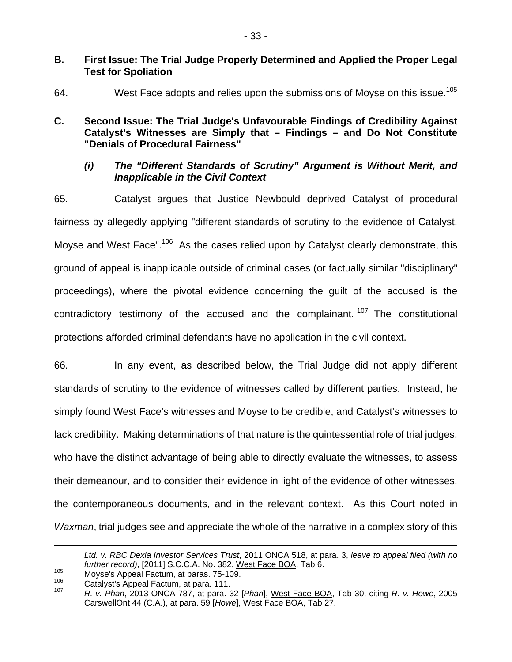#### **B. First Issue: The Trial Judge Properly Determined and Applied the Proper Legal Test for Spoliation**

64. West Face adopts and relies upon the submissions of Moyse on this issue.<sup>105</sup>

## **C. Second Issue: The Trial Judge's Unfavourable Findings of Credibility Against Catalyst's Witnesses are Simply that – Findings – and Do Not Constitute "Denials of Procedural Fairness"**

#### *(i) The "Different Standards of Scrutiny" Argument is Without Merit, and Inapplicable in the Civil Context*

65. Catalyst argues that Justice Newbould deprived Catalyst of procedural fairness by allegedly applying "different standards of scrutiny to the evidence of Catalyst, Movse and West Face".<sup>106</sup> As the cases relied upon by Catalyst clearly demonstrate, this ground of appeal is inapplicable outside of criminal cases (or factually similar "disciplinary" proceedings), where the pivotal evidence concerning the guilt of the accused is the contradictory testimony of the accused and the complainant.  $107$  The constitutional protections afforded criminal defendants have no application in the civil context.

66. In any event, as described below, the Trial Judge did not apply different standards of scrutiny to the evidence of witnesses called by different parties. Instead, he simply found West Face's witnesses and Moyse to be credible, and Catalyst's witnesses to lack credibility. Making determinations of that nature is the quintessential role of trial judges, who have the distinct advantage of being able to directly evaluate the witnesses, to assess their demeanour, and to consider their evidence in light of the evidence of other witnesses, the contemporaneous documents, and in the relevant context. As this Court noted in *Waxman*, trial judges see and appreciate the whole of the narrative in a complex story of this

<u>.</u>

*Ltd. v. RBC Dexia Investor Services Trust*, 2011 ONCA 518, at para. 3, *leave to appeal filed (with no*  further record), [2011] S.C.C.A. No. 382, <u>West Face BOA</u>, Tab 6.<br>Moyse's Appeal Factum, at paras. 75-109.<br>Catalyst's Appeal Factum, at para. 111.<br><sup>107</sup> R. *v. Phan*, 2013 ONCA 787, at para. 32 [*Phan*], <u>West Face BOA</u>, T

CarswellOnt 44 (C.A.), at para. 59 [*Howe*], West Face BOA, Tab 27.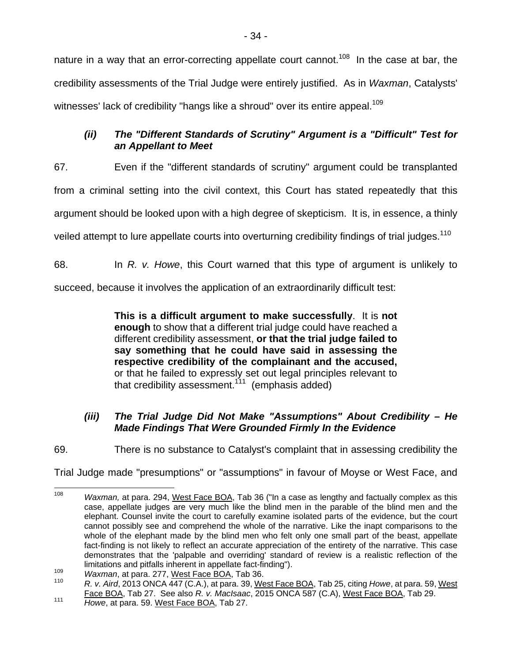nature in a way that an error-correcting appellate court cannot.<sup>108</sup> In the case at bar, the credibility assessments of the Trial Judge were entirely justified. As in *Waxman*, Catalysts' witnesses' lack of credibility "hangs like a shroud" over its entire appeal.<sup>109</sup>

## *(ii) The "Different Standards of Scrutiny" Argument is a "Difficult" Test for an Appellant to Meet*

67. Even if the "different standards of scrutiny" argument could be transplanted from a criminal setting into the civil context, this Court has stated repeatedly that this argument should be looked upon with a high degree of skepticism. It is, in essence, a thinly veiled attempt to lure appellate courts into overturning credibility findings of trial judges.<sup>110</sup>

68. In *R. v. Howe*, this Court warned that this type of argument is unlikely to

succeed, because it involves the application of an extraordinarily difficult test:

**This is a difficult argument to make successfully**. It is **not enough** to show that a different trial judge could have reached a different credibility assessment, **or that the trial judge failed to say something that he could have said in assessing the respective credibility of the complainant and the accused,** or that he failed to expressly set out legal principles relevant to that credibility assessment.<sup>111</sup> (emphasis added)

## *(iii) The Trial Judge Did Not Make "Assumptions" About Credibility – He Made Findings That Were Grounded Firmly In the Evidence*

69. There is no substance to Catalyst's complaint that in assessing credibility the

Trial Judge made "presumptions" or "assumptions" in favour of Moyse or West Face, and

<sup>108</sup> Waxman, at para. 294, West Face BOA, Tab 36 ("In a case as lengthy and factually complex as this case, appellate judges are very much like the blind men in the parable of the blind men and the elephant. Counsel invite the court to carefully examine isolated parts of the evidence, but the court cannot possibly see and comprehend the whole of the narrative. Like the inapt comparisons to the whole of the elephant made by the blind men who felt only one small part of the beast, appellate fact-finding is not likely to reflect an accurate appreciation of the entirety of the narrative. This case demonstrates that the 'palpable and overriding' standard of review is a realistic reflection of the

limitations and pitfalls inherent in appellate fact-finding").<br>
Waxman, at para. 277, West Face BOA, Tab 36.<br>
110 R. v. Aird, 2013 ONCA 447 (C.A.), at para. 39, West Face BOA, Tab 25, citing Howe, at para. 59, West Face BOA, Tab 27. See also *R. v. MacIsaac*, 2015 ONCA 587 (C.A), West Face BOA, Tab 29. 111 *Howe*, at para. 59. West Face BOA, Tab 27.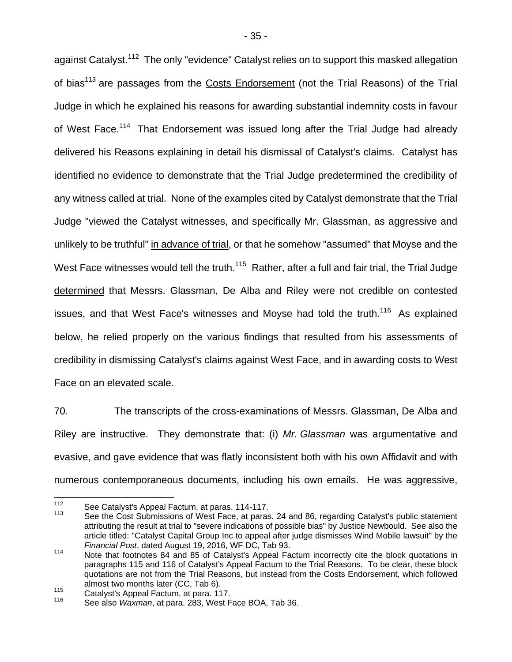against Catalyst.<sup>112</sup> The only "evidence" Catalyst relies on to support this masked allegation of bias<sup>113</sup> are passages from the Costs Endorsement (not the Trial Reasons) of the Trial Judge in which he explained his reasons for awarding substantial indemnity costs in favour of West Face.<sup>114</sup> That Endorsement was issued long after the Trial Judge had already delivered his Reasons explaining in detail his dismissal of Catalyst's claims. Catalyst has identified no evidence to demonstrate that the Trial Judge predetermined the credibility of any witness called at trial. None of the examples cited by Catalyst demonstrate that the Trial Judge "viewed the Catalyst witnesses, and specifically Mr. Glassman, as aggressive and unlikely to be truthful" in advance of trial, or that he somehow "assumed" that Moyse and the West Face witnesses would tell the truth.<sup>115</sup> Rather, after a full and fair trial, the Trial Judge determined that Messrs. Glassman, De Alba and Riley were not credible on contested issues, and that West Face's witnesses and Moyse had told the truth.<sup>116</sup> As explained below, he relied properly on the various findings that resulted from his assessments of credibility in dismissing Catalyst's claims against West Face, and in awarding costs to West Face on an elevated scale.

70. The transcripts of the cross-examinations of Messrs. Glassman, De Alba and Riley are instructive. They demonstrate that: (i) *Mr. Glassman* was argumentative and evasive, and gave evidence that was flatly inconsistent both with his own Affidavit and with numerous contemporaneous documents, including his own emails. He was aggressive,

<sup>112</sup> 

<sup>&</sup>lt;sup>112</sup> See Catalyst's Appeal Factum, at paras. 114-117.<br><sup>113</sup> See the Cost Submissions of West Face, at paras. 24 and 86, regarding Catalyst's public statement attributing the result at trial to "severe indications of possible bias" by Justice Newbould. See also the article titled: "Catalyst Capital Group Inc to appeal after judge dismisses Wind Mobile lawsuit" by the

*Financial Post*, dated August 19, 2016, WF DC, Tab 93.<br><sup>114</sup> Note that footnotes 84 and 85 of Catalyst's Appeal Factum incorrectly cite the block quotations in paragraphs 115 and 116 of Catalyst's Appeal Factum to the Trial Reasons. To be clear, these block quotations are not from the Trial Reasons, but instead from the Costs Endorsement, which followed almost two months later (CC, Tab 6).

<sup>&</sup>lt;sup>115</sup> Catalyst's Appeal Factum, at para. 117.<br><sup>116</sup> See also *Waxman*, at para. 283, West Face BOA, Tab 36.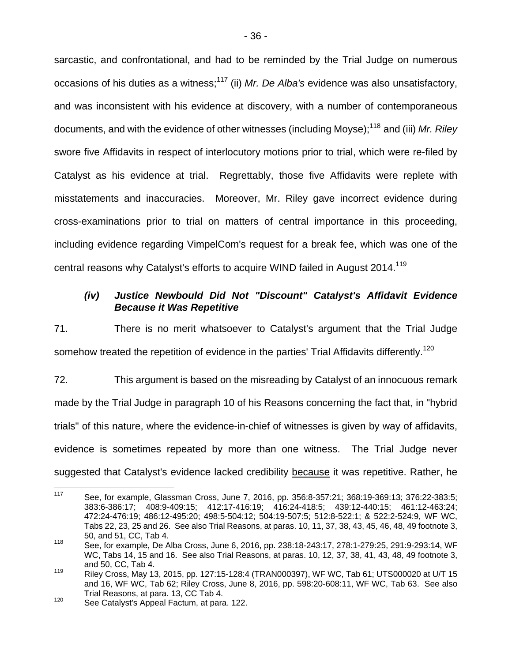sarcastic, and confrontational, and had to be reminded by the Trial Judge on numerous occasions of his duties as a witness;<sup>117</sup> (ii) *Mr. De Alba's* evidence was also unsatisfactory, and was inconsistent with his evidence at discovery, with a number of contemporaneous documents, and with the evidence of other witnesses (including Moyse);118 and (iii) *Mr. Riley* swore five Affidavits in respect of interlocutory motions prior to trial, which were re-filed by Catalyst as his evidence at trial. Regrettably, those five Affidavits were replete with misstatements and inaccuracies. Moreover, Mr. Riley gave incorrect evidence during cross-examinations prior to trial on matters of central importance in this proceeding, including evidence regarding VimpelCom's request for a break fee, which was one of the central reasons why Catalyst's efforts to acquire WIND failed in August 2014.<sup>119</sup>

## *(iv) Justice Newbould Did Not "Discount" Catalyst's Affidavit Evidence Because it Was Repetitive*

71. There is no merit whatsoever to Catalyst's argument that the Trial Judge somehow treated the repetition of evidence in the parties' Trial Affidavits differently.<sup>120</sup>

72. This argument is based on the misreading by Catalyst of an innocuous remark made by the Trial Judge in paragraph 10 of his Reasons concerning the fact that, in "hybrid trials" of this nature, where the evidence-in-chief of witnesses is given by way of affidavits, evidence is sometimes repeated by more than one witness. The Trial Judge never suggested that Catalyst's evidence lacked credibility because it was repetitive. Rather, he

<sup>117</sup> 117 See, for example, Glassman Cross, June 7, 2016, pp. 356:8-357:21; 368:19-369:13; 376:22-383:5; 383:6-386:17; 408:9-409:15; 412:17-416:19; 416:24-418:5; 439:12-440:15; 461:12-463:24; 472:24-476:19; 486:12-495:20; 498:5-504:12; 504:19-507:5; 512:8-522:1; & 522:2-524:9, WF WC, Tabs 22, 23, 25 and 26. See also Trial Reasons, at paras. 10, 11, 37, 38, 43, 45, 46, 48, 49 footnote 3, 50, and 51, CC, Tab 4.

<sup>118</sup> See, for example, De Alba Cross, June 6, 2016, pp. 238:18-243:17, 278:1-279:25, 291:9-293:14, WF WC, Tabs 14, 15 and 16. See also Trial Reasons, at paras. 10, 12, 37, 38, 41, 43, 48, 49 footnote 3, and 50, CC, Tab 4.

<sup>119</sup> Riley Cross, May 13, 2015, pp. 127:15-128:4 (TRAN000397), WF WC, Tab 61; UTS000020 at U/T 15 and 16, WF WC, Tab 62; Riley Cross, June 8, 2016, pp. 598:20-608:11, WF WC, Tab 63. See also Trial Reasons, at para. 13, CC Tab 4.<br><sup>120</sup> See Catalyst's Appeal Factum, at para. 122.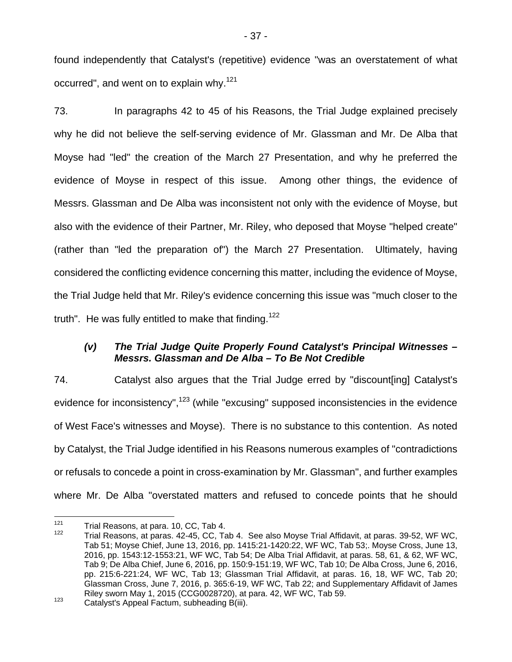found independently that Catalyst's (repetitive) evidence "was an overstatement of what occurred", and went on to explain why.<sup>121</sup>

73. In paragraphs 42 to 45 of his Reasons, the Trial Judge explained precisely why he did not believe the self-serving evidence of Mr. Glassman and Mr. De Alba that Moyse had "led" the creation of the March 27 Presentation, and why he preferred the evidence of Moyse in respect of this issue. Among other things, the evidence of Messrs. Glassman and De Alba was inconsistent not only with the evidence of Moyse, but also with the evidence of their Partner, Mr. Riley, who deposed that Moyse "helped create" (rather than "led the preparation of") the March 27 Presentation. Ultimately, having considered the conflicting evidence concerning this matter, including the evidence of Moyse, the Trial Judge held that Mr. Riley's evidence concerning this issue was "much closer to the truth". He was fully entitled to make that finding.<sup>122</sup>

## *(v) The Trial Judge Quite Properly Found Catalyst's Principal Witnesses – Messrs. Glassman and De Alba – To Be Not Credible*

74. Catalyst also argues that the Trial Judge erred by "discount[ing] Catalyst's evidence for inconsistency", <sup>123</sup> (while "excusing" supposed inconsistencies in the evidence of West Face's witnesses and Moyse). There is no substance to this contention. As noted by Catalyst, the Trial Judge identified in his Reasons numerous examples of "contradictions or refusals to concede a point in cross-examination by Mr. Glassman", and further examples where Mr. De Alba "overstated matters and refused to concede points that he should

 $121$ 

<sup>&</sup>lt;sup>121</sup> Trial Reasons, at para. 10, CC, Tab 4.<br><sup>122</sup> Trial Reasons, at paras. 42-45, CC, Tab 4. See also Moyse Trial Affidavit, at paras. 39-52, WF WC, Tab 51; Moyse Chief, June 13, 2016, pp. 1415:21-1420:22, WF WC, Tab 53;. Moyse Cross, June 13, 2016, pp. 1543:12-1553:21, WF WC, Tab 54; De Alba Trial Affidavit, at paras. 58, 61, & 62, WF WC, Tab 9; De Alba Chief, June 6, 2016, pp. 150:9-151:19, WF WC, Tab 10; De Alba Cross, June 6, 2016, pp. 215:6-221:24, WF WC, Tab 13; Glassman Trial Affidavit, at paras. 16, 18, WF WC, Tab 20; Glassman Cross, June 7, 2016, p. 365:6-19, WF WC, Tab 22; and Supplementary Affidavit of James Riley sworn May 1, 2015 (CCG0028720), at para. 42, WF WC, Tab 59.<br><sup>123</sup> Catalyst's Appeal Factum, subheading B(iii).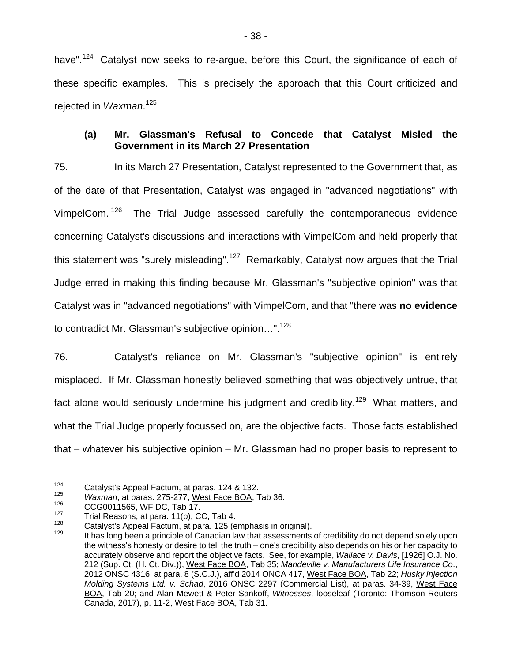have".<sup>124</sup> Catalyst now seeks to re-argue, before this Court, the significance of each of these specific examples. This is precisely the approach that this Court criticized and rejected in *Waxman*. 125

#### **(a) Mr. Glassman's Refusal to Concede that Catalyst Misled the Government in its March 27 Presentation**

75. In its March 27 Presentation, Catalyst represented to the Government that, as of the date of that Presentation, Catalyst was engaged in "advanced negotiations" with VimpelCom.<sup>126</sup> The Trial Judge assessed carefully the contemporaneous evidence concerning Catalyst's discussions and interactions with VimpelCom and held properly that this statement was "surely misleading".<sup>127</sup> Remarkably, Catalyst now argues that the Trial Judge erred in making this finding because Mr. Glassman's "subjective opinion" was that Catalyst was in "advanced negotiations" with VimpelCom, and that "there was **no evidence** to contradict Mr. Glassman's subjective opinion...".<sup>128</sup>

76. Catalyst's reliance on Mr. Glassman's "subjective opinion" is entirely misplaced. If Mr. Glassman honestly believed something that was objectively untrue, that fact alone would seriously undermine his judgment and credibility.<sup>129</sup> What matters, and what the Trial Judge properly focussed on, are the objective facts. Those facts established that – whatever his subjective opinion – Mr. Glassman had no proper basis to represent to

<sup>124</sup> 

<sup>&</sup>lt;sup>124</sup> Catalyst's Appeal Factum, at paras. 124 & 132.<br> *<sup>125</sup> <i>Waxman*, at paras. 275-277, <u>West Face BOA</u>, Tab 36.<br>
<sup>126</sup> CCG0011565, WF DC, Tab 17.<br>
<sup>127</sup> Trial Reasons, at para. 11(b), CC, Tab 4.

<sup>128</sup> Catalyst's Appeal Factum, at para. 125 (emphasis in original).<br>
129 It has long been a principle of Canadian law that assessments of credibility do not depend solely upon the witness's honesty or desire to tell the truth – one's credibility also depends on his or her capacity to accurately observe and report the objective facts. See, for example, *Wallace v. Davis*, [1926] O.J. No. 212 (Sup. Ct. (H. Ct. Div.)), West Face BOA, Tab 35; *Mandeville v. Manufacturers Life Insurance Co*., 2012 ONSC 4316, at para. 8 (S.C.J.), aff'd 2014 ONCA 417, West Face BOA, Tab 22; *Husky Injection Molding Systems Ltd. v. Schad*, 2016 ONSC 2297 (Commercial List), at paras. 34-39, West Face BOA, Tab 20; and Alan Mewett & Peter Sankoff, *Witnesses*, looseleaf (Toronto: Thomson Reuters Canada, 2017), p. 11-2, West Face BOA, Tab 31.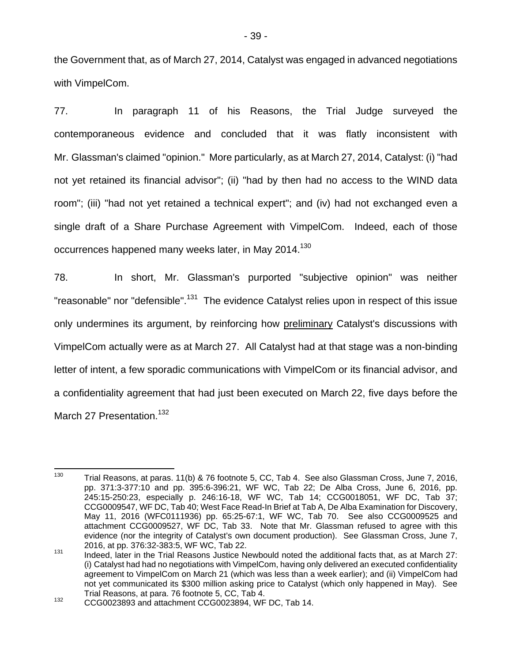the Government that, as of March 27, 2014, Catalyst was engaged in advanced negotiations with VimpelCom.

77. In paragraph 11 of his Reasons, the Trial Judge surveyed the contemporaneous evidence and concluded that it was flatly inconsistent with Mr. Glassman's claimed "opinion." More particularly, as at March 27, 2014, Catalyst: (i) "had not yet retained its financial advisor"; (ii) "had by then had no access to the WIND data room"; (iii) "had not yet retained a technical expert"; and (iv) had not exchanged even a single draft of a Share Purchase Agreement with VimpelCom. Indeed, each of those occurrences happened many weeks later, in May 2014.<sup>130</sup>

78. In short, Mr. Glassman's purported "subjective opinion" was neither "reasonable" nor "defensible".<sup>131</sup> The evidence Catalyst relies upon in respect of this issue only undermines its argument, by reinforcing how preliminary Catalyst's discussions with VimpelCom actually were as at March 27. All Catalyst had at that stage was a non-binding letter of intent, a few sporadic communications with VimpelCom or its financial advisor, and a confidentiality agreement that had just been executed on March 22, five days before the March 27 Presentation.<sup>132</sup>

<sup>130</sup> Trial Reasons, at paras. 11(b) & 76 footnote 5, CC, Tab 4. See also Glassman Cross, June 7, 2016, pp. 371:3-377:10 and pp. 395:6-396:21, WF WC, Tab 22; De Alba Cross, June 6, 2016, pp. 245:15-250:23, especially p. 246:16-18, WF WC, Tab 14; CCG0018051, WF DC, Tab 37; CCG0009547, WF DC, Tab 40; West Face Read-In Brief at Tab A, De Alba Examination for Discovery, May 11, 2016 (WFC0111936) pp. 65:25-67:1, WF WC, Tab 70. See also CCG0009525 and attachment CCG0009527, WF DC, Tab 33. Note that Mr. Glassman refused to agree with this evidence (nor the integrity of Catalyst's own document production). See Glassman Cross, June 7, 2016, at pp. 376:32-383:5, WF WC, Tab 22.<br><sup>131</sup> Indeed, later in the Trial Reasons Justice Newbould noted the additional facts that, as at March 27:

<sup>(</sup>i) Catalyst had had no negotiations with VimpelCom, having only delivered an executed confidentiality agreement to VimpelCom on March 21 (which was less than a week earlier); and (ii) VimpelCom had not yet communicated its \$300 million asking price to Catalyst (which only happened in May). See Trial Reasons, at para. 76 footnote 5, CC, Tab 4.<br><sup>132</sup> CCG0023893 and attachment CCG0023894, WF DC, Tab 14.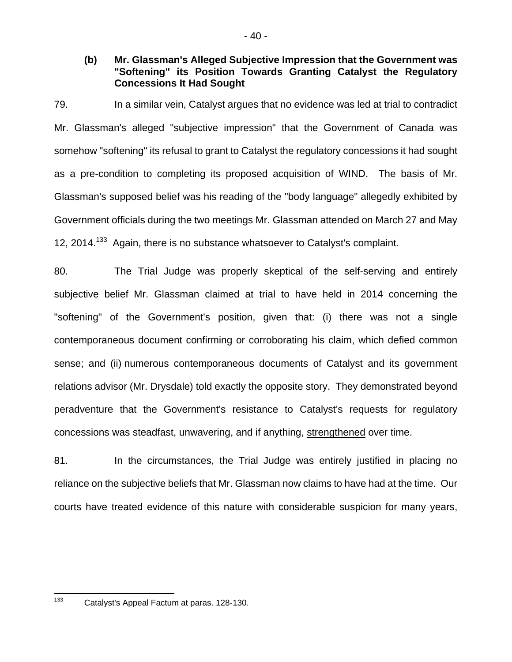#### **(b) Mr. Glassman's Alleged Subjective Impression that the Government was "Softening" its Position Towards Granting Catalyst the Regulatory Concessions It Had Sought**

79. In a similar vein, Catalyst argues that no evidence was led at trial to contradict Mr. Glassman's alleged "subjective impression" that the Government of Canada was somehow "softening" its refusal to grant to Catalyst the regulatory concessions it had sought as a pre-condition to completing its proposed acquisition of WIND. The basis of Mr. Glassman's supposed belief was his reading of the "body language" allegedly exhibited by Government officials during the two meetings Mr. Glassman attended on March 27 and May 12, 2014.<sup>133</sup> Again, there is no substance whatsoever to Catalyst's complaint.

80. The Trial Judge was properly skeptical of the self-serving and entirely subjective belief Mr. Glassman claimed at trial to have held in 2014 concerning the "softening" of the Government's position, given that: (i) there was not a single contemporaneous document confirming or corroborating his claim, which defied common sense; and (ii) numerous contemporaneous documents of Catalyst and its government relations advisor (Mr. Drysdale) told exactly the opposite story. They demonstrated beyond peradventure that the Government's resistance to Catalyst's requests for regulatory concessions was steadfast, unwavering, and if anything, strengthened over time.

81. In the circumstances, the Trial Judge was entirely justified in placing no reliance on the subjective beliefs that Mr. Glassman now claims to have had at the time. Our courts have treated evidence of this nature with considerable suspicion for many years,

133

Catalyst's Appeal Factum at paras. 128-130.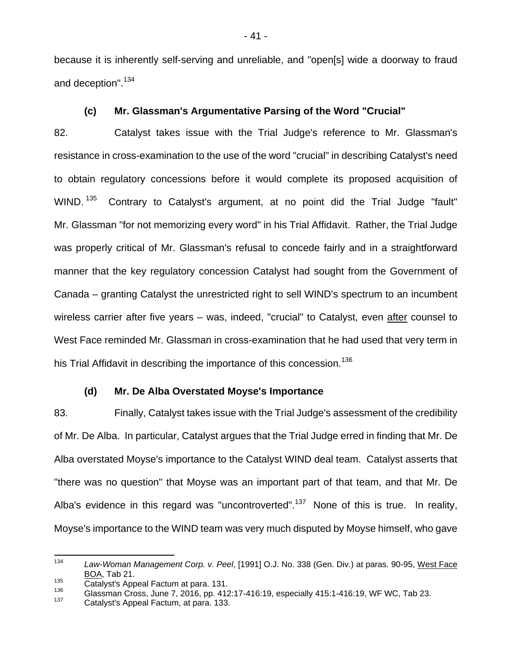because it is inherently self-serving and unreliable, and "open[s] wide a doorway to fraud and deception".<sup>134</sup>

## **(c) Mr. Glassman's Argumentative Parsing of the Word "Crucial"**

82. Catalyst takes issue with the Trial Judge's reference to Mr. Glassman's resistance in cross-examination to the use of the word "crucial" in describing Catalyst's need to obtain regulatory concessions before it would complete its proposed acquisition of WIND.<sup>135</sup> Contrary to Catalyst's argument, at no point did the Trial Judge "fault" Mr. Glassman "for not memorizing every word" in his Trial Affidavit. Rather, the Trial Judge was properly critical of Mr. Glassman's refusal to concede fairly and in a straightforward manner that the key regulatory concession Catalyst had sought from the Government of Canada – granting Catalyst the unrestricted right to sell WIND's spectrum to an incumbent wireless carrier after five years – was, indeed, "crucial" to Catalyst, even after counsel to West Face reminded Mr. Glassman in cross-examination that he had used that very term in his Trial Affidavit in describing the importance of this concession.<sup>136</sup>

#### **(d) Mr. De Alba Overstated Moyse's Importance**

83. Finally, Catalyst takes issue with the Trial Judge's assessment of the credibility of Mr. De Alba. In particular, Catalyst argues that the Trial Judge erred in finding that Mr. De Alba overstated Moyse's importance to the Catalyst WIND deal team. Catalyst asserts that "there was no question" that Moyse was an important part of that team, and that Mr. De Alba's evidence in this regard was "uncontroverted".<sup>137</sup> None of this is true. In reality, Moyse's importance to the WIND team was very much disputed by Moyse himself, who gave

l 134 *Law-Woman Management Corp. v. Peel*, [1991] O.J. No. 338 (Gen. Div.) at paras. 90-95, West Face BOA, Tab 21.<br>Catalyst's Appeal Factum at para. 131.

<sup>&</sup>lt;sup>135</sup> Catalyst's Appeal Factum at para. 131.<br><sup>136</sup> Glassman Cross, June 7, 2016, pp. 412:17-416:19, especially 415:1-416:19, WF WC, Tab 23.<br><sup>137</sup> Catalyst's Appeal Factum, at para. 133.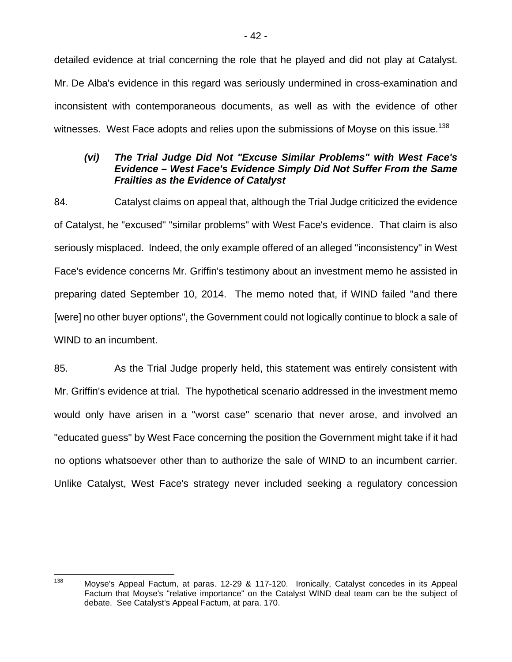detailed evidence at trial concerning the role that he played and did not play at Catalyst. Mr. De Alba's evidence in this regard was seriously undermined in cross-examination and inconsistent with contemporaneous documents, as well as with the evidence of other witnesses. West Face adopts and relies upon the submissions of Moyse on this issue.<sup>138</sup>

### *(vi) The Trial Judge Did Not "Excuse Similar Problems" with West Face's Evidence – West Face's Evidence Simply Did Not Suffer From the Same Frailties as the Evidence of Catalyst*

84. Catalyst claims on appeal that, although the Trial Judge criticized the evidence of Catalyst, he "excused" "similar problems" with West Face's evidence. That claim is also seriously misplaced. Indeed, the only example offered of an alleged "inconsistency" in West Face's evidence concerns Mr. Griffin's testimony about an investment memo he assisted in preparing dated September 10, 2014. The memo noted that, if WIND failed "and there [were] no other buyer options", the Government could not logically continue to block a sale of WIND to an incumbent.

85. As the Trial Judge properly held, this statement was entirely consistent with Mr. Griffin's evidence at trial. The hypothetical scenario addressed in the investment memo would only have arisen in a "worst case" scenario that never arose, and involved an "educated guess" by West Face concerning the position the Government might take if it had no options whatsoever other than to authorize the sale of WIND to an incumbent carrier. Unlike Catalyst, West Face's strategy never included seeking a regulatory concession

<sup>138</sup> Moyse's Appeal Factum, at paras. 12-29 & 117-120. Ironically, Catalyst concedes in its Appeal Factum that Moyse's "relative importance" on the Catalyst WIND deal team can be the subject of debate. See Catalyst's Appeal Factum, at para. 170.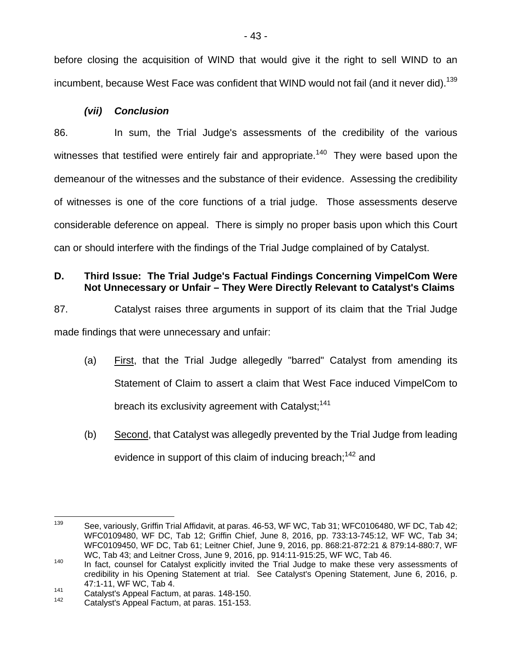before closing the acquisition of WIND that would give it the right to sell WIND to an incumbent, because West Face was confident that WIND would not fail (and it never did).<sup>139</sup>

## *(vii) Conclusion*

86. In sum, the Trial Judge's assessments of the credibility of the various witnesses that testified were entirely fair and appropriate.<sup>140</sup> They were based upon the demeanour of the witnesses and the substance of their evidence. Assessing the credibility of witnesses is one of the core functions of a trial judge. Those assessments deserve considerable deference on appeal. There is simply no proper basis upon which this Court can or should interfere with the findings of the Trial Judge complained of by Catalyst.

## **D. Third Issue: The Trial Judge's Factual Findings Concerning VimpelCom Were Not Unnecessary or Unfair – They Were Directly Relevant to Catalyst's Claims**

87. Catalyst raises three arguments in support of its claim that the Trial Judge made findings that were unnecessary and unfair:

- (a) First, that the Trial Judge allegedly "barred" Catalyst from amending its Statement of Claim to assert a claim that West Face induced VimpelCom to breach its exclusivity agreement with Catalyst;<sup>141</sup>
- (b) Second, that Catalyst was allegedly prevented by the Trial Judge from leading evidence in support of this claim of inducing breach;<sup>142</sup> and

<sup>139</sup> See, variously, Griffin Trial Affidavit, at paras. 46-53, WF WC, Tab 31; WFC0106480, WF DC, Tab 42; WFC0109480, WF DC, Tab 12; Griffin Chief, June 8, 2016, pp. 733:13-745:12, WF WC, Tab 34; WFC0109450, WF DC, Tab 61; Leitner Chief, June 9, 2016, pp. 868:21-872:21 & 879:14-880:7, WF

WC, Tab 43; and Leitner Cross, June 9, 2016, pp. 914:11-915:25, WF WC, Tab 46.<br><sup>140</sup> In fact, counsel for Catalyst explicitly invited the Trial Judge to make these very assessments of credibility in his Opening Statement at trial. See Catalyst's Opening Statement, June 6, 2016, p. 47:1-11, WF WC, Tab 4.

 $141$  Catalyst's Appeal Factum, at paras. 148-150.<br><sup>142</sup> Catalyst's Appeal Factum, at paras. 151-153.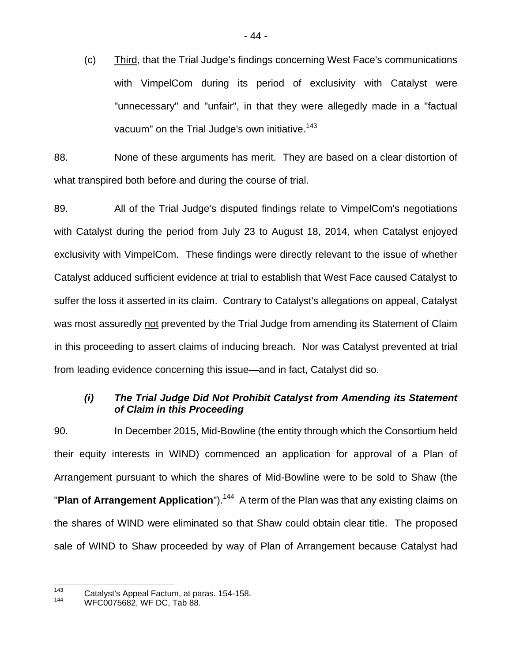(c) Third, that the Trial Judge's findings concerning West Face's communications with VimpelCom during its period of exclusivity with Catalyst were "unnecessary" and "unfair", in that they were allegedly made in a "factual vacuum" on the Trial Judge's own initiative.<sup>143</sup>

88. None of these arguments has merit. They are based on a clear distortion of what transpired both before and during the course of trial.

89. All of the Trial Judge's disputed findings relate to VimpelCom's negotiations with Catalyst during the period from July 23 to August 18, 2014, when Catalyst enjoyed exclusivity with VimpelCom. These findings were directly relevant to the issue of whether Catalyst adduced sufficient evidence at trial to establish that West Face caused Catalyst to suffer the loss it asserted in its claim. Contrary to Catalyst's allegations on appeal, Catalyst was most assuredly not prevented by the Trial Judge from amending its Statement of Claim in this proceeding to assert claims of inducing breach. Nor was Catalyst prevented at trial from leading evidence concerning this issue—and in fact, Catalyst did so.

## *(i) The Trial Judge Did Not Prohibit Catalyst from Amending its Statement of Claim in this Proceeding*

90. In December 2015, Mid-Bowline (the entity through which the Consortium held their equity interests in WIND) commenced an application for approval of a Plan of Arrangement pursuant to which the shares of Mid-Bowline were to be sold to Shaw (the "**Plan of Arrangement Application**").<sup>144</sup> A term of the Plan was that any existing claims on the shares of WIND were eliminated so that Shaw could obtain clear title. The proposed sale of WIND to Shaw proceeded by way of Plan of Arrangement because Catalyst had

<sup>143</sup> <sup>143</sup> Catalyst's Appeal Factum, at paras. 154-158.<br><sup>144</sup> WFC0075682, WF DC, Tab 88.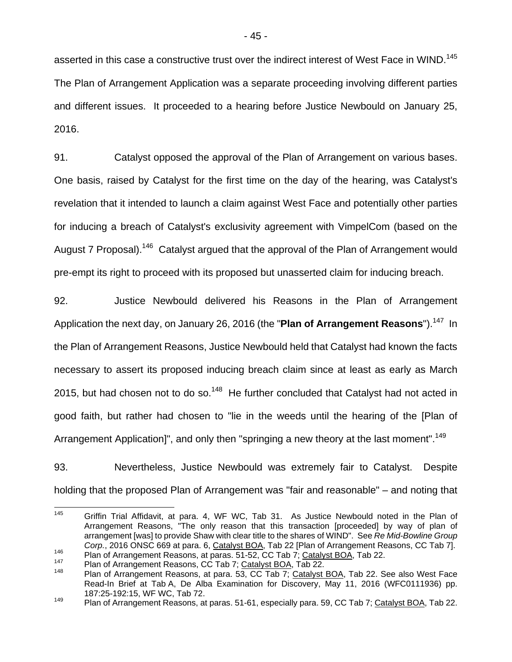asserted in this case a constructive trust over the indirect interest of West Face in WIND.<sup>145</sup> The Plan of Arrangement Application was a separate proceeding involving different parties and different issues. It proceeded to a hearing before Justice Newbould on January 25, 2016.

91. Catalyst opposed the approval of the Plan of Arrangement on various bases. One basis, raised by Catalyst for the first time on the day of the hearing, was Catalyst's revelation that it intended to launch a claim against West Face and potentially other parties for inducing a breach of Catalyst's exclusivity agreement with VimpelCom (based on the August 7 Proposal).<sup>146</sup> Catalyst argued that the approval of the Plan of Arrangement would pre-empt its right to proceed with its proposed but unasserted claim for inducing breach.

92. Justice Newbould delivered his Reasons in the Plan of Arrangement Application the next day, on January 26, 2016 (the "Plan of Arrangement Reasons").<sup>147</sup> In the Plan of Arrangement Reasons, Justice Newbould held that Catalyst had known the facts necessary to assert its proposed inducing breach claim since at least as early as March 2015, but had chosen not to do so.<sup>148</sup> He further concluded that Catalyst had not acted in good faith, but rather had chosen to "lie in the weeds until the hearing of the [Plan of Arrangement Application]", and only then "springing a new theory at the last moment".<sup>149</sup>

93. Nevertheless, Justice Newbould was extremely fair to Catalyst. Despite holding that the proposed Plan of Arrangement was "fair and reasonable" – and noting that

<sup>145</sup> Griffin Trial Affidavit, at para. 4, WF WC, Tab 31. As Justice Newbould noted in the Plan of Arrangement Reasons, "The only reason that this transaction [proceeded] by way of plan of arrangement [was] to provide Shaw with clear title to the shares of WIND". See *Re Mid-Bowline Group*  Corp., 2016 ONSC 669 at para. 6, Catalyst BOA, Tab 22 [Plan of Arrangement Reasons, CC Tab 7].<br>
Plan of Arrangement Reasons, at paras. 51-52, CC Tab 7; Catalyst BOA, Tab 22.<br>
Plan of Arrangement Reasons, CC Tab 7; Catalyst

Read-In Brief at Tab A, De Alba Examination for Discovery, May 11, 2016 (WFC0111936) pp. 187:25-192:15, WF WC, Tab 72.

<sup>149</sup> Plan of Arrangement Reasons, at paras. 51-61, especially para. 59, CC Tab 7; Catalyst BOA, Tab 22.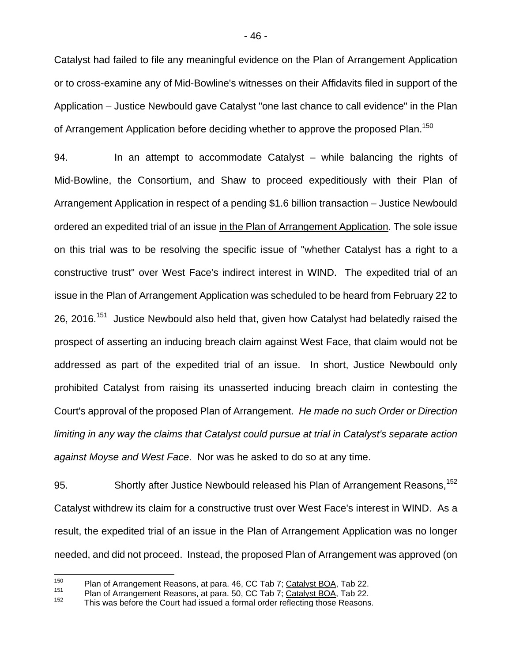Catalyst had failed to file any meaningful evidence on the Plan of Arrangement Application or to cross-examine any of Mid-Bowline's witnesses on their Affidavits filed in support of the Application – Justice Newbould gave Catalyst "one last chance to call evidence" in the Plan of Arrangement Application before deciding whether to approve the proposed Plan.<sup>150</sup>

94. In an attempt to accommodate Catalyst – while balancing the rights of Mid-Bowline, the Consortium, and Shaw to proceed expeditiously with their Plan of Arrangement Application in respect of a pending \$1.6 billion transaction – Justice Newbould ordered an expedited trial of an issue in the Plan of Arrangement Application. The sole issue on this trial was to be resolving the specific issue of "whether Catalyst has a right to a constructive trust" over West Face's indirect interest in WIND. The expedited trial of an issue in the Plan of Arrangement Application was scheduled to be heard from February 22 to 26, 2016.<sup>151</sup> Justice Newbould also held that, given how Catalyst had belatedly raised the prospect of asserting an inducing breach claim against West Face, that claim would not be addressed as part of the expedited trial of an issue. In short, Justice Newbould only prohibited Catalyst from raising its unasserted inducing breach claim in contesting the Court's approval of the proposed Plan of Arrangement. *He made no such Order or Direction limiting in any way the claims that Catalyst could pursue at trial in Catalyst's separate action against Moyse and West Face*. Nor was he asked to do so at any time.

95. Shortly after Justice Newbould released his Plan of Arrangement Reasons, <sup>152</sup> Catalyst withdrew its claim for a constructive trust over West Face's interest in WIND. As a result, the expedited trial of an issue in the Plan of Arrangement Application was no longer needed, and did not proceed. Instead, the proposed Plan of Arrangement was approved (on

<sup>150</sup> 

<sup>&</sup>lt;sup>150</sup> Plan of Arrangement Reasons, at para. 46, CC Tab 7; Catalyst BOA, Tab 22.<br>
Plan of Arrangement Reasons, at para. 50, CC Tab 7; Catalyst BOA, Tab 22.<br>
This was before the Court had issued a formal order reflecting th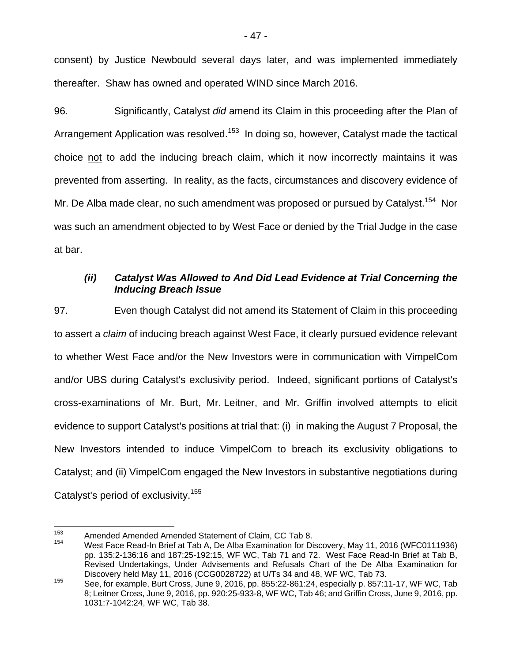consent) by Justice Newbould several days later, and was implemented immediately thereafter. Shaw has owned and operated WIND since March 2016.

96. Significantly, Catalyst *did* amend its Claim in this proceeding after the Plan of Arrangement Application was resolved.<sup>153</sup> In doing so, however, Catalyst made the tactical choice not to add the inducing breach claim, which it now incorrectly maintains it was prevented from asserting. In reality, as the facts, circumstances and discovery evidence of Mr. De Alba made clear, no such amendment was proposed or pursued by Catalyst.<sup>154</sup> Nor was such an amendment objected to by West Face or denied by the Trial Judge in the case at bar.

## *(ii) Catalyst Was Allowed to And Did Lead Evidence at Trial Concerning the Inducing Breach Issue*

97. Even though Catalyst did not amend its Statement of Claim in this proceeding to assert a *claim* of inducing breach against West Face, it clearly pursued evidence relevant to whether West Face and/or the New Investors were in communication with VimpelCom and/or UBS during Catalyst's exclusivity period. Indeed, significant portions of Catalyst's cross-examinations of Mr. Burt, Mr. Leitner, and Mr. Griffin involved attempts to elicit evidence to support Catalyst's positions at trial that: (i) in making the August 7 Proposal, the New Investors intended to induce VimpelCom to breach its exclusivity obligations to Catalyst; and (ii) VimpelCom engaged the New Investors in substantive negotiations during Catalyst's period of exclusivity.<sup>155</sup>

<sup>153</sup> <sup>153</sup> Amended Amended Amended Statement of Claim, CC Tab 8.<br><sup>154</sup> Mest Face Read in Ruisf at Tab A. Be Allie Exemination for Ri

West Face Read-In Brief at Tab A, De Alba Examination for Discovery, May 11, 2016 (WFC0111936) pp. 135:2-136:16 and 187:25-192:15, WF WC, Tab 71 and 72. West Face Read-In Brief at Tab B, Revised Undertakings, Under Advisements and Refusals Chart of the De Alba Examination for Discovery held May 11, 2016 (CCG0028722) at U/Ts 34 and 48, WF WC, Tab 73.

<sup>155</sup> See, for example, Burt Cross, June 9, 2016, pp. 855:22-861:24, especially p. 857:11-17, WF WC, Tab 8; Leitner Cross, June 9, 2016, pp. 920:25-933-8, WF WC, Tab 46; and Griffin Cross, June 9, 2016, pp. 1031:7-1042:24, WF WC, Tab 38.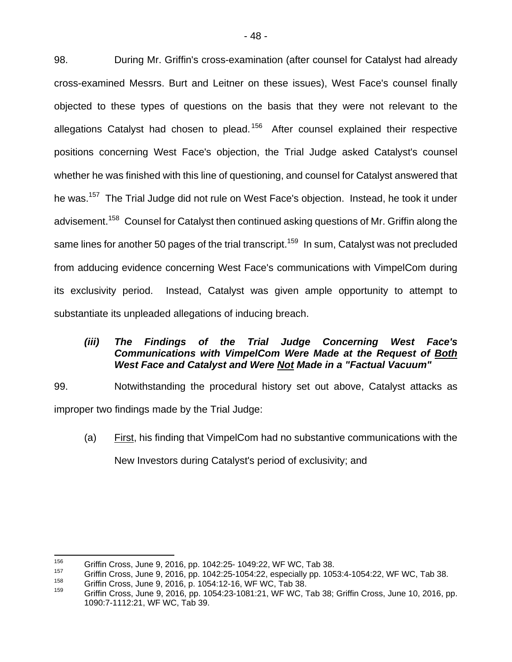98. During Mr. Griffin's cross-examination (after counsel for Catalyst had already cross-examined Messrs. Burt and Leitner on these issues), West Face's counsel finally objected to these types of questions on the basis that they were not relevant to the allegations Catalyst had chosen to plead.<sup>156</sup> After counsel explained their respective positions concerning West Face's objection, the Trial Judge asked Catalyst's counsel whether he was finished with this line of questioning, and counsel for Catalyst answered that he was.<sup>157</sup> The Trial Judge did not rule on West Face's objection. Instead, he took it under advisement.<sup>158</sup> Counsel for Catalyst then continued asking questions of Mr. Griffin along the same lines for another 50 pages of the trial transcript.<sup>159</sup> In sum, Catalyst was not precluded from adducing evidence concerning West Face's communications with VimpelCom during its exclusivity period. Instead, Catalyst was given ample opportunity to attempt to substantiate its unpleaded allegations of inducing breach.

## *(iii) The Findings of the Trial Judge Concerning West Face's Communications with VimpelCom Were Made at the Request of Both West Face and Catalyst and Were Not Made in a "Factual Vacuum"*

99. Notwithstanding the procedural history set out above, Catalyst attacks as improper two findings made by the Trial Judge:

(a) First, his finding that VimpelCom had no substantive communications with the New Investors during Catalyst's period of exclusivity; and

l

<sup>&</sup>lt;sup>156</sup> Griffin Cross, June 9, 2016, pp. 1042:25-1049:22, WF WC, Tab 38.<br>
Griffin Cross, June 9, 2016, pp. 1042:25-1054:22, especially pp. 1053:4-1054:22, WF WC, Tab 38.<br>
Griffin Cross, June 9, 2016, p. 1054:12-16, WF WC, T

<sup>1090:7-1112:21,</sup> WF WC, Tab 39.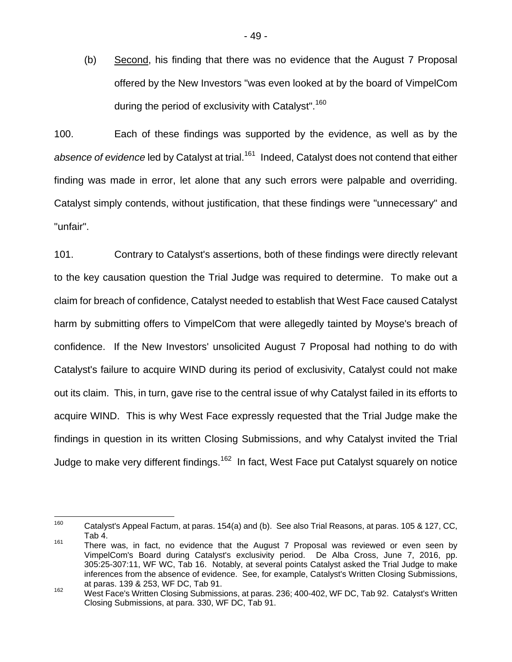(b) Second, his finding that there was no evidence that the August 7 Proposal offered by the New Investors "was even looked at by the board of VimpelCom during the period of exclusivity with Catalyst".<sup>160</sup>

100. Each of these findings was supported by the evidence, as well as by the absence of evidence led by Catalyst at trial.<sup>161</sup> Indeed, Catalyst does not contend that either finding was made in error, let alone that any such errors were palpable and overriding. Catalyst simply contends, without justification, that these findings were "unnecessary" and "unfair".

101. Contrary to Catalyst's assertions, both of these findings were directly relevant to the key causation question the Trial Judge was required to determine. To make out a claim for breach of confidence, Catalyst needed to establish that West Face caused Catalyst harm by submitting offers to VimpelCom that were allegedly tainted by Moyse's breach of confidence. If the New Investors' unsolicited August 7 Proposal had nothing to do with Catalyst's failure to acquire WIND during its period of exclusivity, Catalyst could not make out its claim. This, in turn, gave rise to the central issue of why Catalyst failed in its efforts to acquire WIND. This is why West Face expressly requested that the Trial Judge make the findings in question in its written Closing Submissions, and why Catalyst invited the Trial Judge to make very different findings.<sup>162</sup> In fact, West Face put Catalyst squarely on notice

<sup>160</sup> Catalyst's Appeal Factum, at paras. 154(a) and (b). See also Trial Reasons, at paras. 105 & 127, CC, Tab 4.

<sup>&</sup>lt;sup>161</sup> There was, in fact, no evidence that the August 7 Proposal was reviewed or even seen by VimpelCom's Board during Catalyst's exclusivity period. De Alba Cross, June 7, 2016, pp. 305:25-307:11, WF WC, Tab 16. Notably, at several points Catalyst asked the Trial Judge to make inferences from the absence of evidence. See, for example, Catalyst's Written Closing Submissions, at paras. 139 & 253, WF DC, Tab 91.

<sup>&</sup>lt;sup>162</sup> West Face's Written Closing Submissions, at paras. 236; 400-402, WF DC, Tab 92. Catalyst's Written Closing Submissions, at para. 330, WF DC, Tab 91.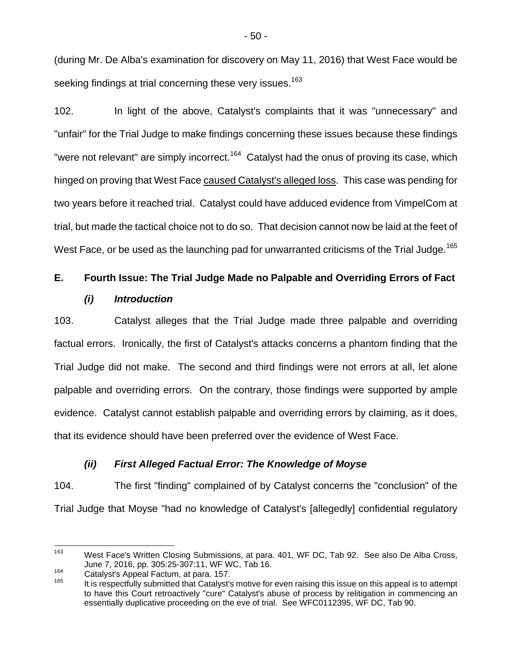(during Mr. De Alba's examination for discovery on May 11, 2016) that West Face would be seeking findings at trial concerning these very issues.<sup>163</sup>

102. In light of the above, Catalyst's complaints that it was "unnecessary" and "unfair" for the Trial Judge to make findings concerning these issues because these findings "were not relevant" are simply incorrect.<sup>164</sup> Catalyst had the onus of proving its case, which hinged on proving that West Face caused Catalyst's alleged loss. This case was pending for two years before it reached trial. Catalyst could have adduced evidence from VimpelCom at trial, but made the tactical choice not to do so. That decision cannot now be laid at the feet of West Face, or be used as the launching pad for unwarranted criticisms of the Trial Judge.<sup>165</sup>

# **E. Fourth Issue: The Trial Judge Made no Palpable and Overriding Errors of Fact**  *(i) Introduction*

103. Catalyst alleges that the Trial Judge made three palpable and overriding factual errors. Ironically, the first of Catalyst's attacks concerns a phantom finding that the Trial Judge did not make. The second and third findings were not errors at all, let alone palpable and overriding errors. On the contrary, those findings were supported by ample evidence. Catalyst cannot establish palpable and overriding errors by claiming, as it does, that its evidence should have been preferred over the evidence of West Face.

## *(ii) First Alleged Factual Error: The Knowledge of Moyse*

104. The first "finding" complained of by Catalyst concerns the "conclusion" of the Trial Judge that Moyse "had no knowledge of Catalyst's [allegedly] confidential regulatory

<sup>163</sup> West Face's Written Closing Submissions, at para. 401, WF DC, Tab 92. See also De Alba Cross,

June 7, 2016, pp. 305:25-307:11, WF WC, Tab 16.<br><sup>164</sup> Catalyst's Appeal Factum, at para. 157.<br><sup>165</sup> It is respectfully submitted that Catalyst's motive for even raising this issue on this appeal is to attempt to have this Court retroactively "cure" Catalyst's abuse of process by relitigation in commencing an essentially duplicative proceeding on the eve of trial. See WFC0112395, WF DC, Tab 90.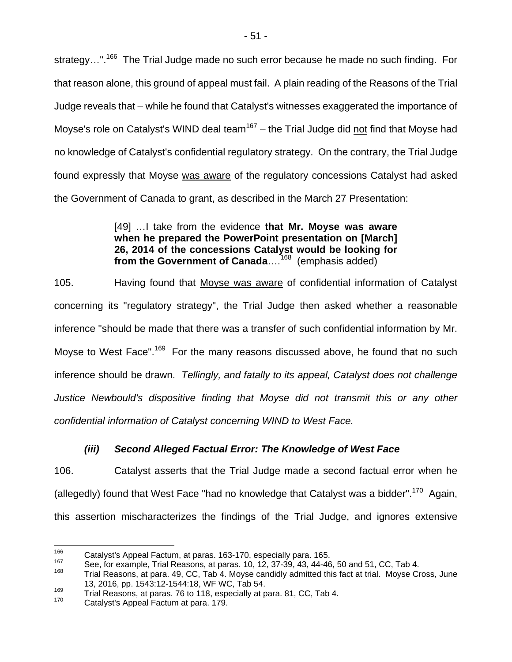strategy...".<sup>166</sup> The Trial Judge made no such error because he made no such finding. For that reason alone, this ground of appeal must fail. A plain reading of the Reasons of the Trial Judge reveals that – while he found that Catalyst's witnesses exaggerated the importance of Moyse's role on Catalyst's WIND deal team<sup>167</sup> – the Trial Judge did not find that Moyse had no knowledge of Catalyst's confidential regulatory strategy. On the contrary, the Trial Judge found expressly that Moyse was aware of the regulatory concessions Catalyst had asked the Government of Canada to grant, as described in the March 27 Presentation:

## [49] …I take from the evidence **that Mr. Moyse was aware when he prepared the PowerPoint presentation on [March] 26, 2014 of the concessions Catalyst would be looking for from the Government of Canada**….168 (emphasis added)

105. Having found that Moyse was aware of confidential information of Catalyst concerning its "regulatory strategy", the Trial Judge then asked whether a reasonable inference "should be made that there was a transfer of such confidential information by Mr. Moyse to West Face".<sup>169</sup> For the many reasons discussed above, he found that no such inference should be drawn. *Tellingly, and fatally to its appeal, Catalyst does not challenge Justice Newbould's dispositive finding that Moyse did not transmit this or any other confidential information of Catalyst concerning WIND to West Face.*

## *(iii) Second Alleged Factual Error: The Knowledge of West Face*

106. Catalyst asserts that the Trial Judge made a second factual error when he (allegedly) found that West Face "had no knowledge that Catalyst was a bidder".<sup>170</sup> Again, this assertion mischaracterizes the findings of the Trial Judge, and ignores extensive

<sup>166</sup> 

<sup>&</sup>lt;sup>166</sup> Catalyst's Appeal Factum, at paras. 163-170, especially para. 165.<br><sup>167</sup> See, for example, Trial Reasons, at paras. 10, 12, 37-39, 43, 44-46, 50 and 51, CC, Tab 4.<br><sup>168</sup> Trial Reasons, at para 49, CC, Tab 4, Mayos c

Trial Reasons, at para. 49, CC, Tab 4. Moyse candidly admitted this fact at trial. Moyse Cross, June 13, 2016, pp. 1543:12-1544:18, WF WC, Tab 54.

 $169$  Trial Reasons, at paras. 76 to 118, especially at para. 81, CC, Tab 4.  $170$  Catalyst's Appeal Factum at para. 179.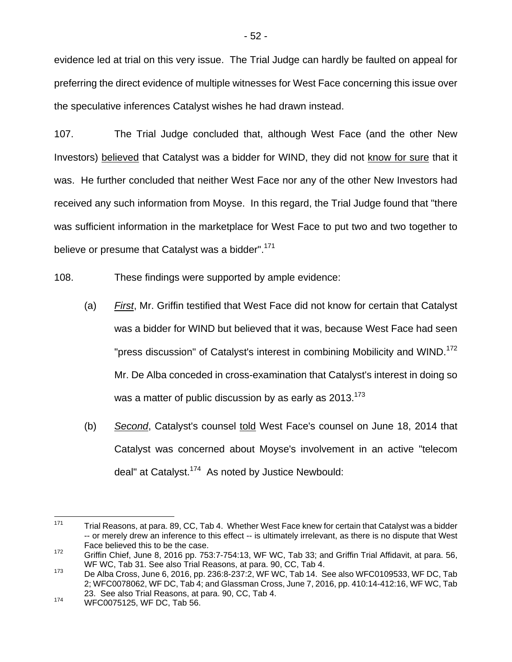evidence led at trial on this very issue. The Trial Judge can hardly be faulted on appeal for preferring the direct evidence of multiple witnesses for West Face concerning this issue over the speculative inferences Catalyst wishes he had drawn instead.

107. The Trial Judge concluded that, although West Face (and the other New Investors) believed that Catalyst was a bidder for WIND, they did not know for sure that it was. He further concluded that neither West Face nor any of the other New Investors had received any such information from Moyse. In this regard, the Trial Judge found that "there was sufficient information in the marketplace for West Face to put two and two together to believe or presume that Catalyst was a bidder".<sup>171</sup>

108. These findings were supported by ample evidence:

- (a) *First*, Mr. Griffin testified that West Face did not know for certain that Catalyst was a bidder for WIND but believed that it was, because West Face had seen "press discussion" of Catalyst's interest in combining Mobilicity and WIND.<sup>172</sup> Mr. De Alba conceded in cross-examination that Catalyst's interest in doing so was a matter of public discussion by as early as  $2013$ .<sup>173</sup>
- (b) *Second*, Catalyst's counsel told West Face's counsel on June 18, 2014 that Catalyst was concerned about Moyse's involvement in an active "telecom deal" at Catalyst.174 As noted by Justice Newbould:

<sup>171</sup> Trial Reasons, at para. 89, CC, Tab 4. Whether West Face knew for certain that Catalyst was a bidder -- or merely drew an inference to this effect -- is ultimately irrelevant, as there is no dispute that West Face believed this to be the case.

<sup>172</sup> Griffin Chief, June 8, 2016 pp. 753:7-754:13, WF WC, Tab 33; and Griffin Trial Affidavit, at para. 56,<br>WF WC, Tab 31. See also Trial Reasons, at para. 90, CC, Tab 4.

 $^{173}$  De Alba Cross, June 6, 2016, pp. 236:8-237:2, WF WC, Tab 14. See also WFC0109533, WF DC, Tab 2; WFC0078062, WF DC, Tab 4; and Glassman Cross, June 7, 2016, pp. 410:14-412:16, WF WC, Tab 23. See also Trial Reasons, at para. 90, CC, Tab 4.<br><sup>174</sup> WFC0075125, WF DC, Tab 56.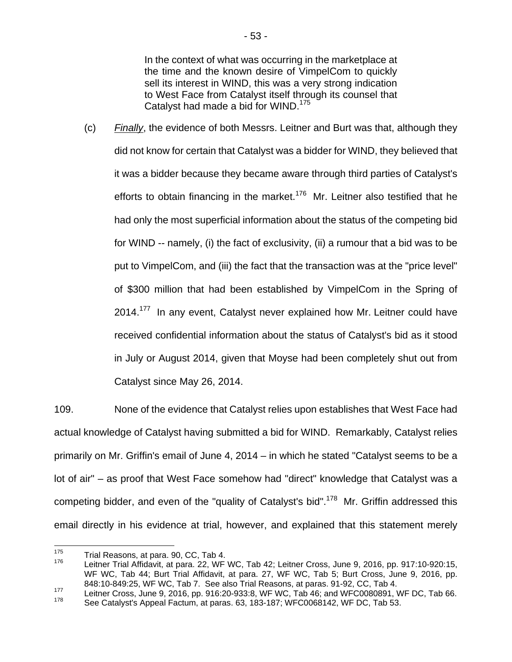In the context of what was occurring in the marketplace at the time and the known desire of VimpelCom to quickly sell its interest in WIND, this was a very strong indication to West Face from Catalyst itself through its counsel that Catalyst had made a bid for WIND.<sup>175</sup>

(c) *Finally*, the evidence of both Messrs. Leitner and Burt was that, although they did not know for certain that Catalyst was a bidder for WIND, they believed that it was a bidder because they became aware through third parties of Catalyst's efforts to obtain financing in the market.<sup>176</sup> Mr. Leitner also testified that he had only the most superficial information about the status of the competing bid for WIND -- namely, (i) the fact of exclusivity, (ii) a rumour that a bid was to be put to VimpelCom, and (iii) the fact that the transaction was at the "price level" of \$300 million that had been established by VimpelCom in the Spring of 2014.<sup>177</sup> In any event, Catalyst never explained how Mr. Leitner could have received confidential information about the status of Catalyst's bid as it stood in July or August 2014, given that Moyse had been completely shut out from Catalyst since May 26, 2014.

109. None of the evidence that Catalyst relies upon establishes that West Face had actual knowledge of Catalyst having submitted a bid for WIND. Remarkably, Catalyst relies primarily on Mr. Griffin's email of June 4, 2014 – in which he stated "Catalyst seems to be a lot of air" – as proof that West Face somehow had "direct" knowledge that Catalyst was a competing bidder, and even of the "quality of Catalyst's bid".<sup>178</sup> Mr. Griffin addressed this email directly in his evidence at trial, however, and explained that this statement merely

<sup>175</sup> 

<sup>&</sup>lt;sup>175</sup> Trial Reasons, at para. 90, CC, Tab 4.<br><sup>176</sup> Leitner Trial Affidavit, at para. 22, WF WC, Tab 42; Leitner Cross, June 9, 2016, pp. 917:10-920:15, WF WC, Tab 44; Burt Trial Affidavit, at para. 27, WF WC, Tab 5; Burt Cross, June 9, 2016, pp. 848:10-849:25, WF WC, Tab 7. See also Trial Reasons, at paras. 91-92, CC, Tab 4.

<sup>&</sup>lt;sup>177</sup> Leitner Cross, June 9, 2016, pp. 916:20-933:8, WF WC, Tab 46; and WFC0080891, WF DC, Tab 66.

See Catalyst's Appeal Factum, at paras. 63, 183-187; WFC0068142, WF DC, Tab 53.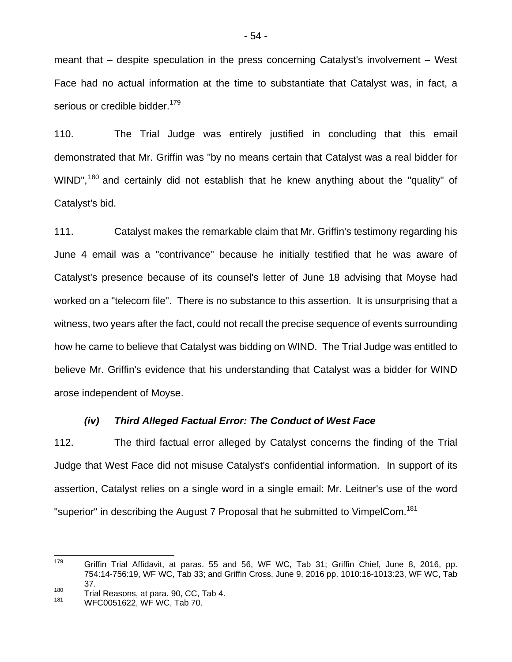meant that – despite speculation in the press concerning Catalyst's involvement – West Face had no actual information at the time to substantiate that Catalyst was, in fact, a serious or credible bidder.<sup>179</sup>

110. The Trial Judge was entirely justified in concluding that this email demonstrated that Mr. Griffin was "by no means certain that Catalyst was a real bidder for WIND",<sup>180</sup> and certainly did not establish that he knew anything about the "quality" of Catalyst's bid.

111. Catalyst makes the remarkable claim that Mr. Griffin's testimony regarding his June 4 email was a "contrivance" because he initially testified that he was aware of Catalyst's presence because of its counsel's letter of June 18 advising that Moyse had worked on a "telecom file". There is no substance to this assertion. It is unsurprising that a witness, two years after the fact, could not recall the precise sequence of events surrounding how he came to believe that Catalyst was bidding on WIND. The Trial Judge was entitled to believe Mr. Griffin's evidence that his understanding that Catalyst was a bidder for WIND arose independent of Moyse.

### *(iv) Third Alleged Factual Error: The Conduct of West Face*

112. The third factual error alleged by Catalyst concerns the finding of the Trial Judge that West Face did not misuse Catalyst's confidential information. In support of its assertion, Catalyst relies on a single word in a single email: Mr. Leitner's use of the word "superior" in describing the August 7 Proposal that he submitted to VimpelCom.<sup>181</sup>

<sup>179</sup> Griffin Trial Affidavit, at paras. 55 and 56, WF WC, Tab 31; Griffin Chief, June 8, 2016, pp. 754:14-756:19, WF WC, Tab 33; and Griffin Cross, June 9, 2016 pp. 1010:16-1013:23, WF WC, Tab 37.

 $^{180}$  Trial Reasons, at para. 90, CC, Tab 4.<br> $^{181}$  WFC0051622, WF WC, Tab 70.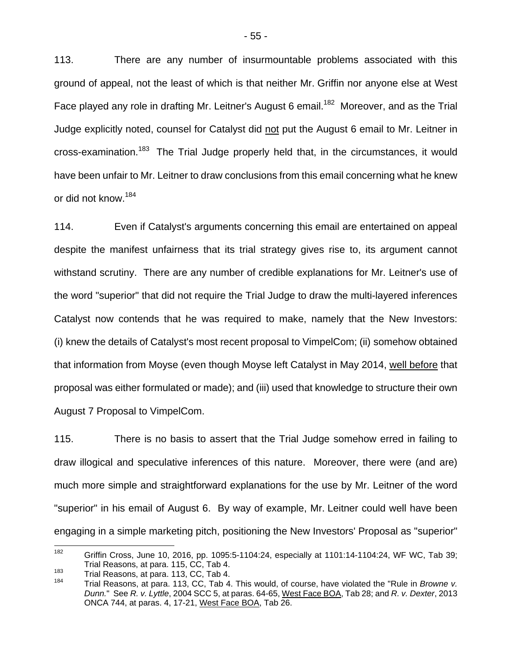113. There are any number of insurmountable problems associated with this ground of appeal, not the least of which is that neither Mr. Griffin nor anyone else at West Face played any role in drafting Mr. Leitner's August 6 email.<sup>182</sup> Moreover, and as the Trial Judge explicitly noted, counsel for Catalyst did not put the August 6 email to Mr. Leitner in cross-examination.<sup>183</sup> The Trial Judge properly held that, in the circumstances, it would have been unfair to Mr. Leitner to draw conclusions from this email concerning what he knew or did not know.<sup>184</sup>

114. Even if Catalyst's arguments concerning this email are entertained on appeal despite the manifest unfairness that its trial strategy gives rise to, its argument cannot withstand scrutiny. There are any number of credible explanations for Mr. Leitner's use of the word "superior" that did not require the Trial Judge to draw the multi-layered inferences Catalyst now contends that he was required to make, namely that the New Investors: (i) knew the details of Catalyst's most recent proposal to VimpelCom; (ii) somehow obtained that information from Moyse (even though Moyse left Catalyst in May 2014, well before that proposal was either formulated or made); and (iii) used that knowledge to structure their own August 7 Proposal to VimpelCom.

115. There is no basis to assert that the Trial Judge somehow erred in failing to draw illogical and speculative inferences of this nature. Moreover, there were (and are) much more simple and straightforward explanations for the use by Mr. Leitner of the word "superior" in his email of August 6. By way of example, Mr. Leitner could well have been engaging in a simple marketing pitch, positioning the New Investors' Proposal as "superior"

<sup>182</sup> 182 Griffin Cross, June 10, 2016, pp. 1095:5-1104:24, especially at 1101:14-1104:24, WF WC, Tab 39; Trial Reasons, at para. 115, CC, Tab 4.<br>183 Trial Reasons, at para. 113, CC, Tab 4.<br><sup>184</sup> Trial Reasons, at para. 113, CC, Tab 4. This would, of course, have violated the "Rule in *Browne v.* 

*Dunn.*"See *R. v. Lyttle*, 2004 SCC 5, at paras. 64-65, West Face BOA, Tab 28; and *R. v. Dexter*, 2013 ONCA 744, at paras. 4, 17-21, West Face BOA, Tab 26.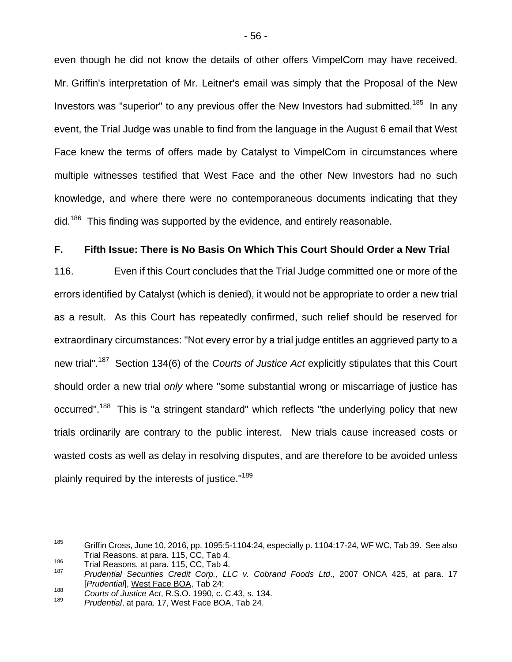even though he did not know the details of other offers VimpelCom may have received. Mr. Griffin's interpretation of Mr. Leitner's email was simply that the Proposal of the New Investors was "superior" to any previous offer the New Investors had submitted.<sup>185</sup> In any event, the Trial Judge was unable to find from the language in the August 6 email that West Face knew the terms of offers made by Catalyst to VimpelCom in circumstances where multiple witnesses testified that West Face and the other New Investors had no such knowledge, and where there were no contemporaneous documents indicating that they  $\rm{did.}^{186}$  This finding was supported by the evidence, and entirely reasonable.

#### **F. Fifth Issue: There is No Basis On Which This Court Should Order a New Trial**

116. Even if this Court concludes that the Trial Judge committed one or more of the errors identified by Catalyst (which is denied), it would not be appropriate to order a new trial as a result. As this Court has repeatedly confirmed, such relief should be reserved for extraordinary circumstances: "Not every error by a trial judge entitles an aggrieved party to a new trial".187 Section 134(6) of the *Courts of Justice Act* explicitly stipulates that this Court should order a new trial *only* where "some substantial wrong or miscarriage of justice has occurred".<sup>188</sup> This is "a stringent standard" which reflects "the underlying policy that new trials ordinarily are contrary to the public interest. New trials cause increased costs or wasted costs as well as delay in resolving disputes, and are therefore to be avoided unless plainly required by the interests of justice."<sup>189</sup>

<sup>185</sup> 185 Griffin Cross, June 10, 2016, pp. 1095:5-1104:24, especially p. 1104:17-24, WF WC, Tab 39. See also Trial Reasons, at para. 115, CC, Tab 4.<br><sup>186</sup> Trial Reasons, at para. 115, CC, Tab 4.<br><sup>187</sup> *Prudential Securities Credit Corp., LLC v. Cobrand Foods Ltd.*, 2007 ONCA 425, at para. 17

<sup>[</sup>*Prudential*], West Face BOA, Tab 24;

<sup>188</sup> *Courts of Justice Act*, R.S.O. 1990, c. C.43, s. 134.

Prudential, at para. 17, West Face BOA, Tab 24.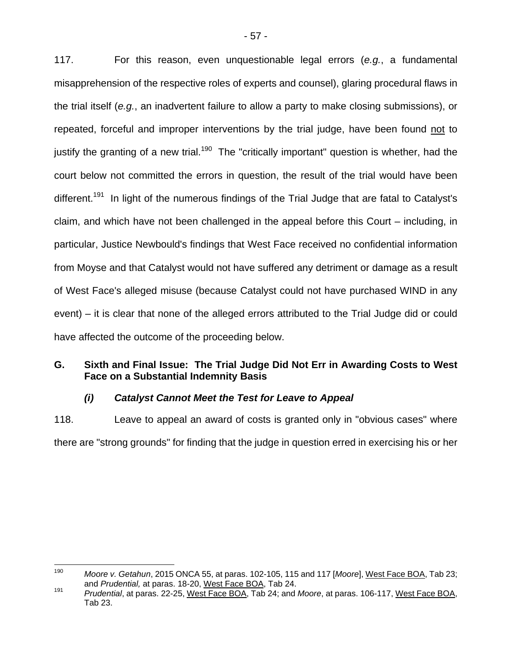117. For this reason, even unquestionable legal errors (*e.g.*, a fundamental misapprehension of the respective roles of experts and counsel), glaring procedural flaws in the trial itself (*e.g.*, an inadvertent failure to allow a party to make closing submissions), or repeated, forceful and improper interventions by the trial judge, have been found not to justify the granting of a new trial.<sup>190</sup> The "critically important" question is whether, had the court below not committed the errors in question, the result of the trial would have been different.<sup>191</sup> In light of the numerous findings of the Trial Judge that are fatal to Catalyst's claim, and which have not been challenged in the appeal before this Court – including, in particular, Justice Newbould's findings that West Face received no confidential information from Moyse and that Catalyst would not have suffered any detriment or damage as a result of West Face's alleged misuse (because Catalyst could not have purchased WIND in any event) – it is clear that none of the alleged errors attributed to the Trial Judge did or could have affected the outcome of the proceeding below.

## **G. Sixth and Final Issue: The Trial Judge Did Not Err in Awarding Costs to West Face on a Substantial Indemnity Basis**

## *(i) Catalyst Cannot Meet the Test for Leave to Appeal*

118. Leave to appeal an award of costs is granted only in "obvious cases" where there are "strong grounds" for finding that the judge in question erred in exercising his or her

<sup>190</sup> Moore v. Getahun, 2015 ONCA 55, at paras. 102-105, 115 and 117 [Moore], West Face BOA, Tab 23; and Prudential, at paras. 18-20, West Face BOA, Tab 23;

<sup>&</sup>lt;sup>191</sup> Prudential, at paras. 22-25, West Face BOA, Tab 24; and *Moore*, at paras. 106-117, West Face BOA, Tab 23.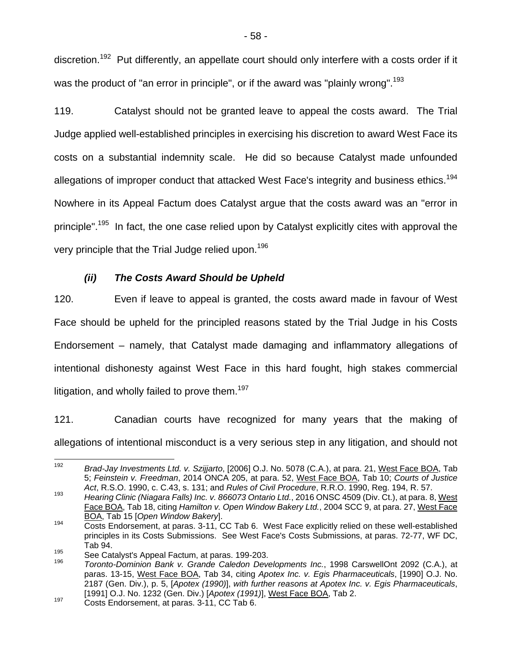discretion.<sup>192</sup> Put differently, an appellate court should only interfere with a costs order if it was the product of "an error in principle", or if the award was "plainly wrong".<sup>193</sup>

119. Catalyst should not be granted leave to appeal the costs award. The Trial Judge applied well-established principles in exercising his discretion to award West Face its costs on a substantial indemnity scale. He did so because Catalyst made unfounded allegations of improper conduct that attacked West Face's integrity and business ethics.<sup>194</sup> Nowhere in its Appeal Factum does Catalyst argue that the costs award was an "error in principle".<sup>195</sup> In fact, the one case relied upon by Catalyst explicitly cites with approval the very principle that the Trial Judge relied upon.<sup>196</sup>

## *(ii) The Costs Award Should be Upheld*

120. Even if leave to appeal is granted, the costs award made in favour of West Face should be upheld for the principled reasons stated by the Trial Judge in his Costs Endorsement – namely, that Catalyst made damaging and inflammatory allegations of intentional dishonesty against West Face in this hard fought, high stakes commercial litigation, and wholly failed to prove them.<sup>197</sup>

121. Canadian courts have recognized for many years that the making of allegations of intentional misconduct is a very serious step in any litigation, and should not

<sup>192</sup> Brad-Jay Investments Ltd. v. Szijjarto, [2006] O.J. No. 5078 (C.A.), at para. 21, West Face BOA, Tab 5; *Feinstein v. Freedman*, 2014 ONCA 205, at para. 52, West Face BOA, Tab 10; *Courts of Justice Act*, R.S.O. 1990, c. C.43, s. 131; and *Rules of Civil Procedure*, R.R.O. 1990, Reg. 194, R. 57.<br>193 Hearing Clinic (Niagara Falls) Inc. v. 866073 Ontario Ltd., 2016 ONSC 4509 (Div. Ct.), at para. 8, West

Face BOA, Tab 18, citing *Hamilton v. Open Window Bakery Ltd.*, 2004 SCC 9, at para. 27, West Face BOA, Tab 15 [*Open Window Bakery*].

 $\frac{194}{2}$  Costs Endorsement, at paras. 3-11, CC Tab 6. West Face explicitly relied on these well-established principles in its Costs Submissions. See West Face's Costs Submissions, at paras. 72-77, WF DC, Tab 94.

<sup>&</sup>lt;sup>195</sup> See Catalyst's Appeal Factum, at paras. 199-203.<br><sup>196</sup> Toronto-Dominion Bank v. Grande Caledon Developments Inc., 1998 CarswellOnt 2092 (C.A.), at paras. 13-15, West Face BOA, Tab 34, citing *Apotex Inc. v. Egis Pharmaceuticals*, [1990] O.J. No. 2187 (Gen. Div.), p. 5, [*Apotex (1990)*], *with further reasons at Apotex Inc. v. Egis Pharmaceuticals*, [1991] O.J. No. 1232 (Gen. Div.) [*Apotex (1991)*], West Face BOA, Tab 2. 197 Costs Endorsement, at paras. 3-11, CC Tab 6.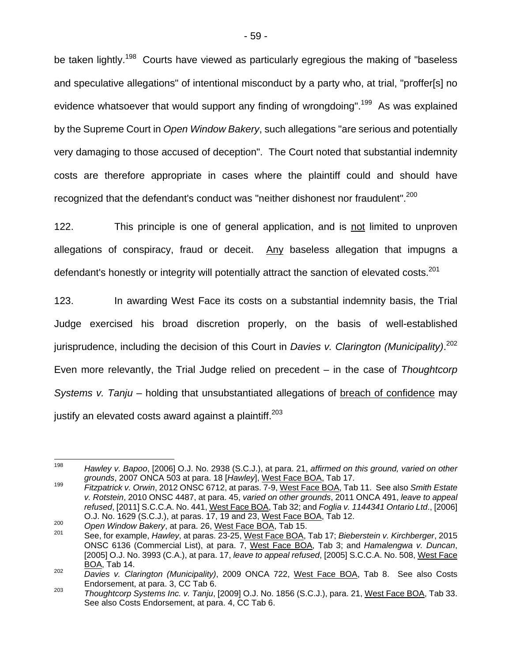be taken lightly.<sup>198</sup> Courts have viewed as particularly egregious the making of "baseless and speculative allegations" of intentional misconduct by a party who, at trial, "proffer[s] no evidence whatsoever that would support any finding of wrongdoing".<sup>199</sup> As was explained by the Supreme Court in *Open Window Bakery*, such allegations "are serious and potentially very damaging to those accused of deception". The Court noted that substantial indemnity costs are therefore appropriate in cases where the plaintiff could and should have recognized that the defendant's conduct was "neither dishonest nor fraudulent".<sup>200</sup>

122. This principle is one of general application, and is not limited to unproven allegations of conspiracy, fraud or deceit. Any baseless allegation that impugns a defendant's honestly or integrity will potentially attract the sanction of elevated costs.<sup>201</sup>

123. In awarding West Face its costs on a substantial indemnity basis, the Trial Judge exercised his broad discretion properly, on the basis of well-established jurisprudence, including the decision of this Court in *Davies v. Clarington (Municipality)*. 202 Even more relevantly, the Trial Judge relied on precedent – in the case of *Thoughtcorp Systems v. Tanju* – holding that unsubstantiated allegations of breach of confidence may justify an elevated costs award against a plaintiff.<sup>203</sup>

<sup>198</sup> Hawley v. Bapoo, [2006] O.J. No. 2938 (S.C.J.), at para. 21, *affirmed on this ground, varied on other grounds*, 2007 ONCA 503 at para. 18 [*Hawley*], West Face BOA, Tab 17.

<sup>199</sup> *Fitzpatrick v. Orwin*, 2012 ONSC 6712, at paras. 7-9, West Face BOA, Tab 11. See also *Smith Estate v. Rotstein*, 2010 ONSC 4487, at para. 45, *varied on other grounds*, 2011 ONCA 491, *leave to appeal refused*, [2011] S.C.C.A. No. 441, West Face BOA, Tab 32; and *Foglia v. 1144341 Ontario Ltd*., [2006]

O.J. No. 1629 (S.C.J.), at paras. 17, 19 and 23, West Face BOA, Tab 12.<br><sup>200</sup> Open Window Bakery, at para. 26, West Face BOA, Tab 15.<br><sup>201</sup> See, for example, *Hawley*, at paras. 23-25, West Face BOA, Tab 17; *Bieberstein v* ONSC 6136 (Commercial List), at para. 7, West Face BOA, Tab 3; and *Hamalengwa v. Duncan*, [2005] O.J. No. 3993 (C.A.), at para. 17, *leave to appeal refused*, [2005] S.C.C.A. No. 508, West Face BOA, Tab 14.

<sup>202</sup> *Davies v. Clarington (Municipality)*, 2009 ONCA 722, West Face BOA, Tab 8. See also Costs

Endorsement, at para. 3, CC Tab 6. 203 *Thoughtcorp Systems Inc. v. Tanju*, [2009] O.J. No. 1856 (S.C.J.), para. 21, West Face BOA, Tab 33. See also Costs Endorsement, at para. 4, CC Tab 6.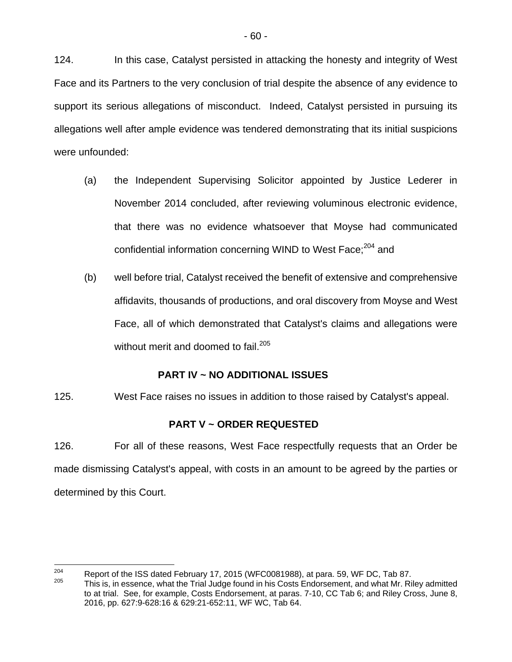124. In this case, Catalyst persisted in attacking the honesty and integrity of West Face and its Partners to the very conclusion of trial despite the absence of any evidence to support its serious allegations of misconduct. Indeed, Catalyst persisted in pursuing its allegations well after ample evidence was tendered demonstrating that its initial suspicions were unfounded:

- (a) the Independent Supervising Solicitor appointed by Justice Lederer in November 2014 concluded, after reviewing voluminous electronic evidence, that there was no evidence whatsoever that Moyse had communicated confidential information concerning WIND to West Face;<sup>204</sup> and
- (b) well before trial, Catalyst received the benefit of extensive and comprehensive affidavits, thousands of productions, and oral discovery from Moyse and West Face, all of which demonstrated that Catalyst's claims and allegations were without merit and doomed to fail.<sup>205</sup>

## **PART IV ~ NO ADDITIONAL ISSUES**

125. West Face raises no issues in addition to those raised by Catalyst's appeal.

## **PART V ~ ORDER REQUESTED**

126. For all of these reasons, West Face respectfully requests that an Order be made dismissing Catalyst's appeal, with costs in an amount to be agreed by the parties or determined by this Court.

<sup>204</sup> <sup>204</sup> Report of the ISS dated February 17, 2015 (WFC0081988), at para. 59, WF DC, Tab 87.<br><sup>205</sup> This is, in essence, what the Trial Judge found in his Costs Endorsement, and what Mr. Riley admitted to at trial. See, for example, Costs Endorsement, at paras. 7-10, CC Tab 6; and Riley Cross, June 8, 2016, pp. 627:9-628:16 & 629:21-652:11, WF WC, Tab 64.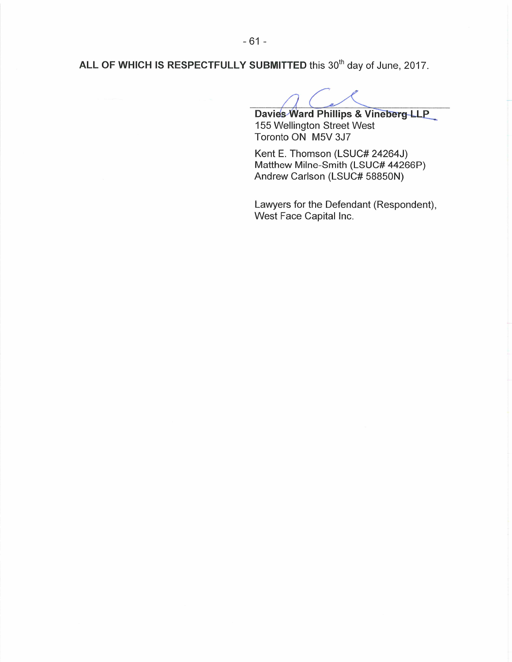ALL OF WHICH IS RESPECTFULLY SUBMITTED this 30<sup>th</sup> day of June, 2017.

Davies Ward Phillips & Vineberg LLP 155 Wellington Street West Toronto ON M5V 3J7

Kent E. Thomson (LSUC# 24264J) Matthew Milne-Smith (LSUC# 44266P) Andrew Carlson (LSUC# 58850N)

Lawyers for the Defendant (Respondent), West Face Capital Inc.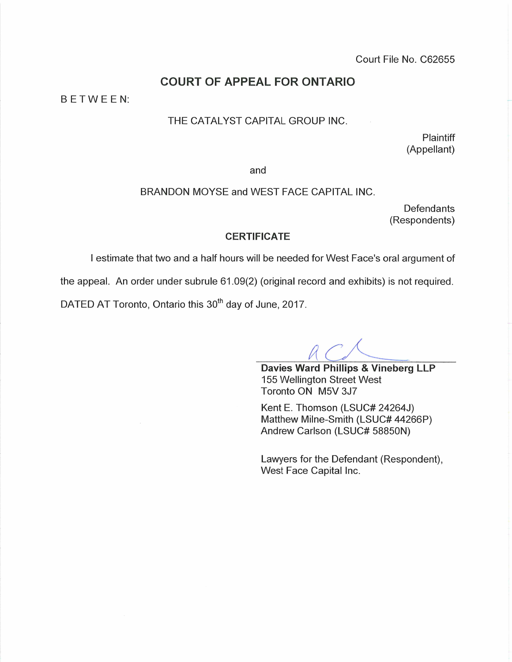Court File No. C62655

## **COURT OF APPEAL FOR ONTARIO**

BETWEEN:

#### THE CATALYST CAPITAL GROUP INC.

Plaintiff (Appellant)

and

#### BRANDON MOYSE and WEST FACE CAPITAL INC.

Defendants (Respondents)

#### **CERTIFICATE**

I estimate that two and a half hours will be needed for West Face's oral argument of

the appeal. An order under subrule 61.09(2) (original record and exhibits) is not required.

DATED AT Toronto, Ontario this 30<sup>th</sup> day of June, 2017.

Davies Ward Phillips & Vineberg LLP 155 Wellington Street West Toronto ON M5V 3J7

Kent E. Thomson (LSUC# 24264J) Matthew Milne-Smith (LSUC# 44266P) Andrew Carlson (LSUC# 58850N)

Lawyers for the Defendant (Respondent), West Face Capital Inc.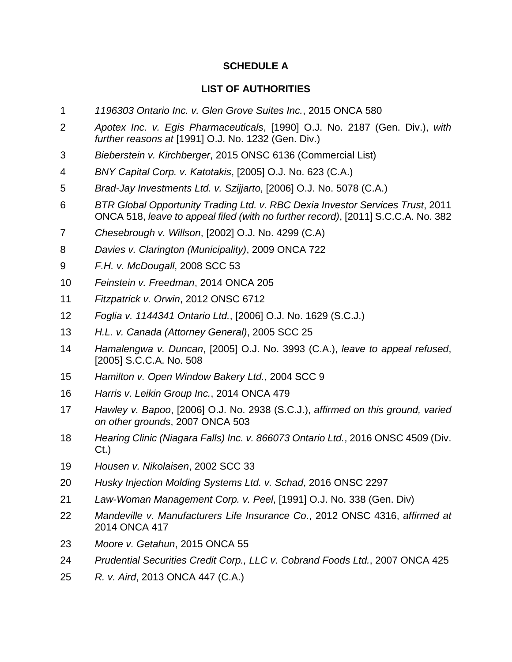## **SCHEDULE A**

## **LIST OF AUTHORITIES**

- *1196303 Ontario Inc. v. Glen Grove Suites Inc.*, 2015 ONCA 580
- *Apotex Inc. v. Egis Pharmaceuticals*, [1990] O.J. No. 2187 (Gen. Div.), *with further reasons at* [1991] O.J. No. 1232 (Gen. Div.)
- *Bieberstein v. Kirchberger*, 2015 ONSC 6136 (Commercial List)
- *BNY Capital Corp. v. Katotakis*, [2005] O.J. No. 623 (C.A.)
- *Brad-Jay Investments Ltd. v. Szijjarto*, [2006] O.J. No. 5078 (C.A.)
- *BTR Global Opportunity Trading Ltd. v. RBC Dexia Investor Services Trust*, 2011 ONCA 518, *leave to appeal filed (with no further record)*, [2011] S.C.C.A. No. 382
- *Chesebrough v. Willson*, [2002] O.J. No. 4299 (C.A)
- *Davies v. Clarington (Municipality)*, 2009 ONCA 722
- *F.H. v. McDougall*, 2008 SCC 53
- *Feinstein v. Freedman*, 2014 ONCA 205
- *Fitzpatrick v. Orwin*, 2012 ONSC 6712
- *Foglia v. 1144341 Ontario Ltd.*, [2006] O.J. No. 1629 (S.C.J.)
- *H.L. v. Canada (Attorney General)*, 2005 SCC 25
- *Hamalengwa v. Duncan*, [2005] O.J. No. 3993 (C.A.), *leave to appeal refused*, [2005] S.C.C.A. No. 508
- *Hamilton v. Open Window Bakery Ltd.*, 2004 SCC 9
- *Harris v. Leikin Group Inc.*, 2014 ONCA 479
- *Hawley v. Bapoo*, [2006] O.J. No. 2938 (S.C.J.), *affirmed on this ground, varied on other grounds*, 2007 ONCA 503
- *Hearing Clinic (Niagara Falls) Inc. v. 866073 Ontario Ltd.*, 2016 ONSC 4509 (Div. Ct.)
- *Housen v. Nikolaisen*, 2002 SCC 33
- *Husky Injection Molding Systems Ltd. v. Schad*, 2016 ONSC 2297
- *Law-Woman Management Corp. v. Peel*, [1991] O.J. No. 338 (Gen. Div)
- *Mandeville v. Manufacturers Life Insurance Co*., 2012 ONSC 4316, *affirmed at* 2014 ONCA 417
- *Moore v. Getahun*, 2015 ONCA 55
- *Prudential Securities Credit Corp., LLC v. Cobrand Foods Ltd.*, 2007 ONCA 425
- *R. v. Aird*, 2013 ONCA 447 (C.A.)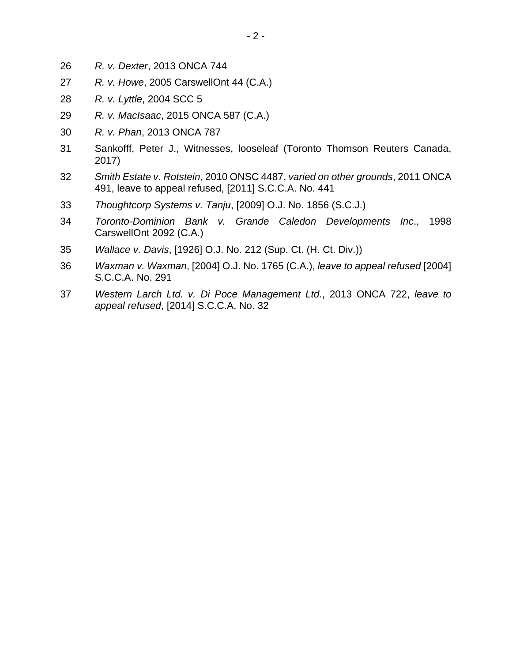- *R. v. Dexter*, 2013 ONCA 744
- *R. v. Howe*, 2005 CarswellOnt 44 (C.A.)
- *R. v. Lyttle*, 2004 SCC 5
- *R. v. MacIsaac*, 2015 ONCA 587 (C.A.)
- *R. v. Phan*, 2013 ONCA 787
- 31 Sankofff, Peter J., Witnesses, looseleaf (Toronto Thomson Reuters Canada, 2017)
- *Smith Estate v. Rotstein*, 2010 ONSC 4487, *varied on other grounds*, 2011 ONCA 491, leave to appeal refused, [2011] S.C.C.A. No. 441
- *Thoughtcorp Systems v. Tanju*, [2009] O.J. No. 1856 (S.C.J.)
- *Toronto-Dominion Bank v. Grande Caledon Developments Inc*., 1998 CarswellOnt 2092 (C.A.)
- *Wallace v. Davis*, [1926] O.J. No. 212 (Sup. Ct. (H. Ct. Div.))
- *Waxman v. Waxman*, [2004] O.J. No. 1765 (C.A.), *leave to appeal refused* [2004] S.C.C.A. No. 291
- *Western Larch Ltd. v. Di Poce Management Ltd.*, 2013 ONCA 722, *leave to appeal refused*, [2014] S.C.C.A. No. 32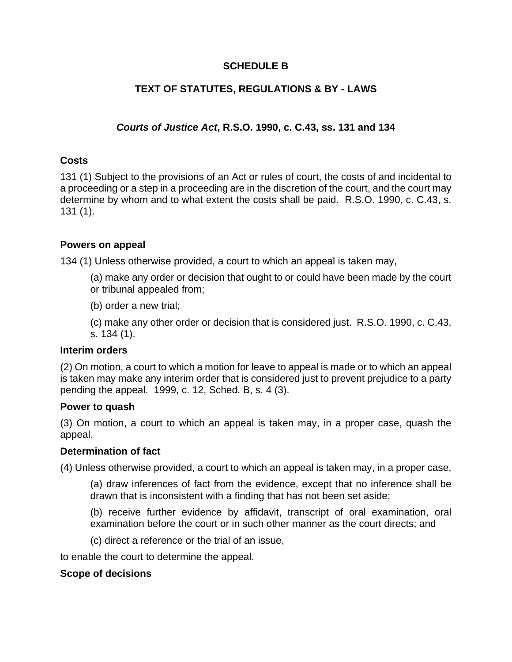## **SCHEDULE B**

## **TEXT OF STATUTES, REGULATIONS & BY - LAWS**

## *Courts of Justice Act***, R.S.O. 1990, c. C.43, ss. 131 and 134**

## **Costs**

131 (1) Subject to the provisions of an Act or rules of court, the costs of and incidental to a proceeding or a step in a proceeding are in the discretion of the court, and the court may determine by whom and to what extent the costs shall be paid. R.S.O. 1990, c. C.43, s. 131 (1).

### **Powers on appeal**

134 (1) Unless otherwise provided, a court to which an appeal is taken may,

- (a) make any order or decision that ought to or could have been made by the court or tribunal appealed from;
- (b) order a new trial;

(c) make any other order or decision that is considered just. R.S.O. 1990, c. C.43, s. 134 (1).

### **Interim orders**

(2) On motion, a court to which a motion for leave to appeal is made or to which an appeal is taken may make any interim order that is considered just to prevent prejudice to a party pending the appeal. 1999, c. 12, Sched. B, s. 4 (3).

### **Power to quash**

(3) On motion, a court to which an appeal is taken may, in a proper case, quash the appeal.

### **Determination of fact**

(4) Unless otherwise provided, a court to which an appeal is taken may, in a proper case,

(a) draw inferences of fact from the evidence, except that no inference shall be drawn that is inconsistent with a finding that has not been set aside;

(b) receive further evidence by affidavit, transcript of oral examination, oral examination before the court or in such other manner as the court directs; and

(c) direct a reference or the trial of an issue,

to enable the court to determine the appeal.

### **Scope of decisions**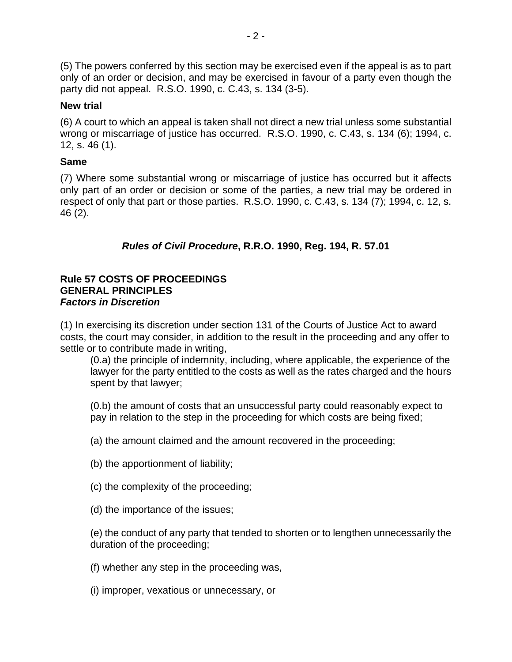(5) The powers conferred by this section may be exercised even if the appeal is as to part only of an order or decision, and may be exercised in favour of a party even though the party did not appeal. R.S.O. 1990, c. C.43, s. 134 (3-5).

## **New trial**

(6) A court to which an appeal is taken shall not direct a new trial unless some substantial wrong or miscarriage of justice has occurred. R.S.O. 1990, c. C.43, s. 134 (6); 1994, c. 12, s. 46 (1).

## **Same**

(7) Where some substantial wrong or miscarriage of justice has occurred but it affects only part of an order or decision or some of the parties, a new trial may be ordered in respect of only that part or those parties. R.S.O. 1990, c. C.43, s. 134 (7); 1994, c. 12, s. 46 (2).

## *Rules of Civil Procedure***, R.R.O. 1990, Reg. 194, R. 57.01**

## **Rule 57 COSTS OF PROCEEDINGS GENERAL PRINCIPLES**  *Factors in Discretion*

(1) In exercising its discretion under section 131 of the Courts of Justice Act to award costs, the court may consider, in addition to the result in the proceeding and any offer to settle or to contribute made in writing,

(0.a) the principle of indemnity, including, where applicable, the experience of the lawyer for the party entitled to the costs as well as the rates charged and the hours spent by that lawyer;

(0.b) the amount of costs that an unsuccessful party could reasonably expect to pay in relation to the step in the proceeding for which costs are being fixed;

(a) the amount claimed and the amount recovered in the proceeding;

(b) the apportionment of liability;

- (c) the complexity of the proceeding;
- (d) the importance of the issues;

(e) the conduct of any party that tended to shorten or to lengthen unnecessarily the duration of the proceeding;

- (f) whether any step in the proceeding was,
- (i) improper, vexatious or unnecessary, or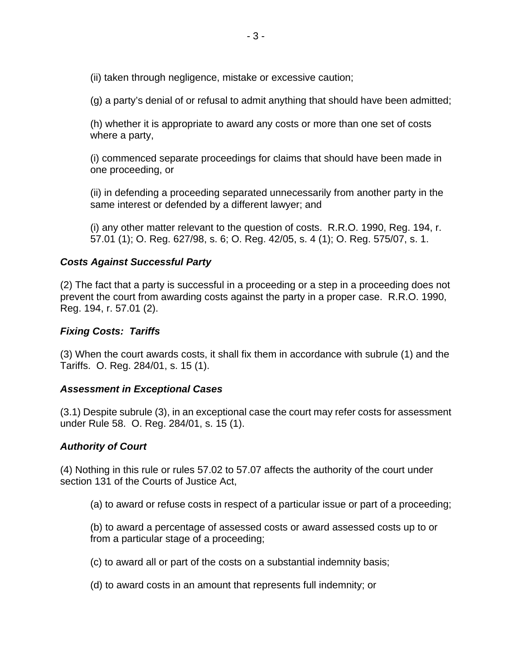(ii) taken through negligence, mistake or excessive caution;

(g) a party's denial of or refusal to admit anything that should have been admitted;

(h) whether it is appropriate to award any costs or more than one set of costs where a party,

(i) commenced separate proceedings for claims that should have been made in one proceeding, or

(ii) in defending a proceeding separated unnecessarily from another party in the same interest or defended by a different lawyer; and

(i) any other matter relevant to the question of costs. R.R.O. 1990, Reg. 194, r. 57.01 (1); O. Reg. 627/98, s. 6; O. Reg. 42/05, s. 4 (1); O. Reg. 575/07, s. 1.

### *Costs Against Successful Party*

(2) The fact that a party is successful in a proceeding or a step in a proceeding does not prevent the court from awarding costs against the party in a proper case. R.R.O. 1990, Reg. 194, r. 57.01 (2).

### *Fixing Costs: Tariffs*

(3) When the court awards costs, it shall fix them in accordance with subrule (1) and the Tariffs. O. Reg. 284/01, s. 15 (1).

### *Assessment in Exceptional Cases*

(3.1) Despite subrule (3), in an exceptional case the court may refer costs for assessment under Rule 58. O. Reg. 284/01, s. 15 (1).

### *Authority of Court*

(4) Nothing in this rule or rules 57.02 to 57.07 affects the authority of the court under section 131 of the Courts of Justice Act,

(a) to award or refuse costs in respect of a particular issue or part of a proceeding;

(b) to award a percentage of assessed costs or award assessed costs up to or from a particular stage of a proceeding;

- (c) to award all or part of the costs on a substantial indemnity basis;
- (d) to award costs in an amount that represents full indemnity; or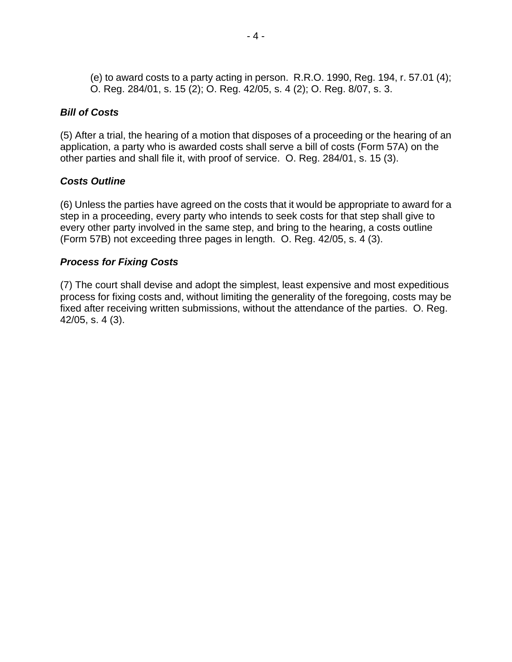(e) to award costs to a party acting in person. R.R.O. 1990, Reg. 194, r. 57.01 (4); O. Reg. 284/01, s. 15 (2); O. Reg. 42/05, s. 4 (2); O. Reg. 8/07, s. 3.

#### *Bill of Costs*

(5) After a trial, the hearing of a motion that disposes of a proceeding or the hearing of an application, a party who is awarded costs shall serve a bill of costs (Form 57A) on the other parties and shall file it, with proof of service. O. Reg. 284/01, s. 15 (3).

## *Costs Outline*

(6) Unless the parties have agreed on the costs that it would be appropriate to award for a step in a proceeding, every party who intends to seek costs for that step shall give to every other party involved in the same step, and bring to the hearing, a costs outline (Form 57B) not exceeding three pages in length. O. Reg. 42/05, s. 4 (3).

## *Process for Fixing Costs*

(7) The court shall devise and adopt the simplest, least expensive and most expeditious process for fixing costs and, without limiting the generality of the foregoing, costs may be fixed after receiving written submissions, without the attendance of the parties. O. Reg. 42/05, s. 4 (3).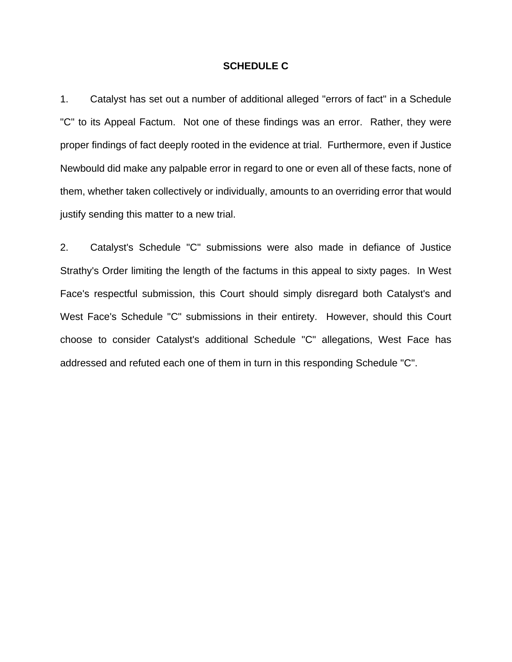#### **SCHEDULE C**

1. Catalyst has set out a number of additional alleged "errors of fact" in a Schedule "C" to its Appeal Factum. Not one of these findings was an error. Rather, they were proper findings of fact deeply rooted in the evidence at trial. Furthermore, even if Justice Newbould did make any palpable error in regard to one or even all of these facts, none of them, whether taken collectively or individually, amounts to an overriding error that would justify sending this matter to a new trial.

2. Catalyst's Schedule "C" submissions were also made in defiance of Justice Strathy's Order limiting the length of the factums in this appeal to sixty pages. In West Face's respectful submission, this Court should simply disregard both Catalyst's and West Face's Schedule "C" submissions in their entirety. However, should this Court choose to consider Catalyst's additional Schedule "C" allegations, West Face has addressed and refuted each one of them in turn in this responding Schedule "C".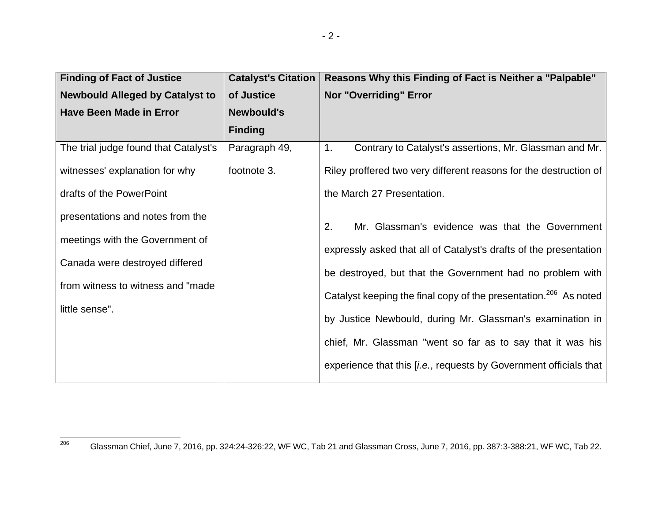| <b>Finding of Fact of Justice</b>      | <b>Catalyst's Citation</b> | Reasons Why this Finding of Fact is Neither a "Palpable"                     |
|----------------------------------------|----------------------------|------------------------------------------------------------------------------|
| <b>Newbould Alleged by Catalyst to</b> | of Justice                 | <b>Nor "Overriding" Error</b>                                                |
| <b>Have Been Made in Error</b>         | <b>Newbould's</b>          |                                                                              |
|                                        | <b>Finding</b>             |                                                                              |
| The trial judge found that Catalyst's  | Paragraph 49,              | Contrary to Catalyst's assertions, Mr. Glassman and Mr.<br>1.                |
| witnesses' explanation for why         | footnote 3.                | Riley proffered two very different reasons for the destruction of            |
| drafts of the PowerPoint               |                            | the March 27 Presentation.                                                   |
| presentations and notes from the       |                            | Mr. Glassman's evidence was that the Government<br>2.                        |
| meetings with the Government of        |                            | expressly asked that all of Catalyst's drafts of the presentation            |
| Canada were destroyed differed         |                            | be destroyed, but that the Government had no problem with                    |
| from witness to witness and "made"     |                            | Catalyst keeping the final copy of the presentation. <sup>206</sup> As noted |
| little sense".                         |                            | by Justice Newbould, during Mr. Glassman's examination in                    |
|                                        |                            | chief, Mr. Glassman "went so far as to say that it was his                   |
|                                        |                            | experience that this [i.e., requests by Government officials that            |

<sup>206</sup>Glassman Chief, June 7, 2016, pp. 324:24-326:22, WF WC, Tab 21 and Glassman Cross, June 7, 2016, pp. 387:3-388:21, WF WC, Tab 22.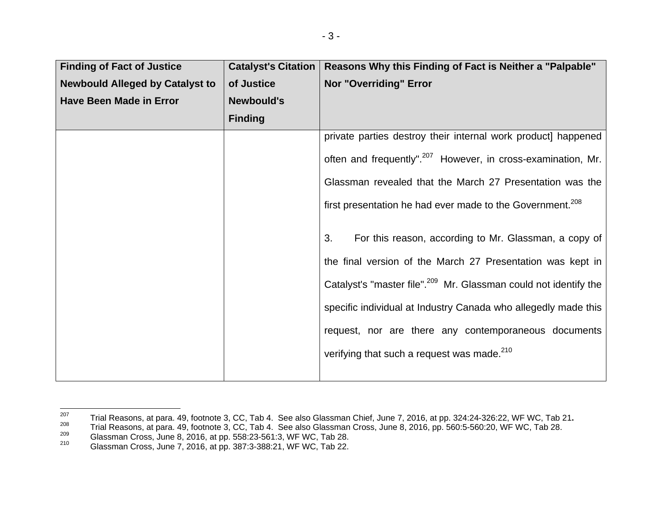| <b>Finding of Fact of Justice</b>      | <b>Catalyst's Citation</b> | Reasons Why this Finding of Fact is Neither a "Palpable"                     |
|----------------------------------------|----------------------------|------------------------------------------------------------------------------|
| <b>Newbould Alleged by Catalyst to</b> | of Justice                 | <b>Nor "Overriding" Error</b>                                                |
| <b>Have Been Made in Error</b>         | <b>Newbould's</b>          |                                                                              |
|                                        | <b>Finding</b>             |                                                                              |
|                                        |                            | private parties destroy their internal work product] happened                |
|                                        |                            | often and frequently". <sup>207</sup> However, in cross-examination, Mr.     |
|                                        |                            | Glassman revealed that the March 27 Presentation was the                     |
|                                        |                            | first presentation he had ever made to the Government. <sup>208</sup>        |
|                                        |                            | For this reason, according to Mr. Glassman, a copy of<br>3.                  |
|                                        |                            | the final version of the March 27 Presentation was kept in                   |
|                                        |                            | Catalyst's "master file". <sup>209</sup> Mr. Glassman could not identify the |
|                                        |                            | specific individual at Industry Canada who allegedly made this               |
|                                        |                            | request, nor are there any contemporaneous documents                         |
|                                        |                            | verifying that such a request was made. <sup>210</sup>                       |
|                                        |                            |                                                                              |

<sup>&</sup>lt;sup>207</sup> Trial Reasons, at para. 49, footnote 3, CC, Tab 4. See also Glassman Chief, June 7, 2016, at pp. 324:24-326:22, WF WC, Tab 21.<br>
<sup>208</sup> Trial Reasons, at para. 49, footnote 3, CC, Tab 4. See also Glassman Cross, June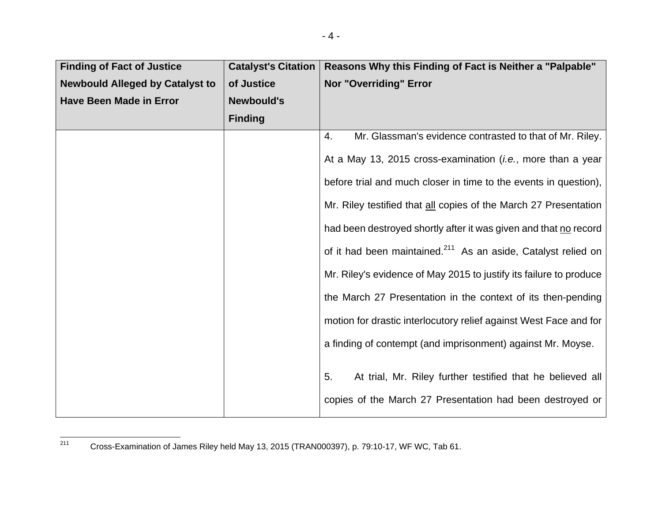| <b>Finding of Fact of Justice</b>      | <b>Catalyst's Citation</b> | Reasons Why this Finding of Fact is Neither a "Palpable"                  |
|----------------------------------------|----------------------------|---------------------------------------------------------------------------|
| <b>Newbould Alleged by Catalyst to</b> | of Justice                 | <b>Nor "Overriding" Error</b>                                             |
| <b>Have Been Made in Error</b>         | <b>Newbould's</b>          |                                                                           |
|                                        | <b>Finding</b>             |                                                                           |
|                                        |                            | Mr. Glassman's evidence contrasted to that of Mr. Riley.<br>4.            |
|                                        |                            | At a May 13, 2015 cross-examination (i.e., more than a year               |
|                                        |                            | before trial and much closer in time to the events in question),          |
|                                        |                            | Mr. Riley testified that all copies of the March 27 Presentation          |
|                                        |                            | had been destroyed shortly after it was given and that no record          |
|                                        |                            | of it had been maintained. <sup>211</sup> As an aside, Catalyst relied on |
|                                        |                            | Mr. Riley's evidence of May 2015 to justify its failure to produce        |
|                                        |                            | the March 27 Presentation in the context of its then-pending              |
|                                        |                            | motion for drastic interlocutory relief against West Face and for         |
|                                        |                            | a finding of contempt (and imprisonment) against Mr. Moyse.               |
|                                        |                            | 5.<br>At trial, Mr. Riley further testified that he believed all          |
|                                        |                            | copies of the March 27 Presentation had been destroyed or                 |

<sup>211</sup> Cross-Examination of James Riley held May 13, 2015 (TRAN000397), p. 79:10-17, WF WC, Tab 61.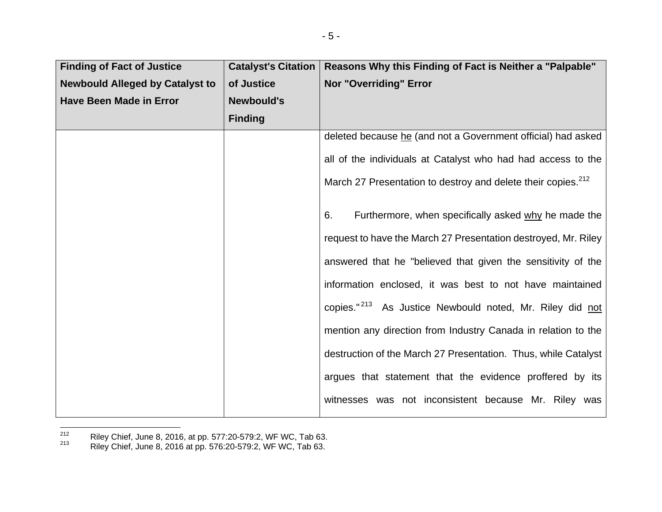| <b>Finding of Fact of Justice</b>      | <b>Catalyst's Citation</b> | Reasons Why this Finding of Fact is Neither a "Palpable"                 |
|----------------------------------------|----------------------------|--------------------------------------------------------------------------|
| <b>Newbould Alleged by Catalyst to</b> | of Justice                 | <b>Nor "Overriding" Error</b>                                            |
| <b>Have Been Made in Error</b>         | <b>Newbould's</b>          |                                                                          |
|                                        | <b>Finding</b>             |                                                                          |
|                                        |                            | deleted because he (and not a Government official) had asked             |
|                                        |                            | all of the individuals at Catalyst who had had access to the             |
|                                        |                            | March 27 Presentation to destroy and delete their copies. <sup>212</sup> |
|                                        |                            | Furthermore, when specifically asked why he made the<br>6.               |
|                                        |                            | request to have the March 27 Presentation destroyed, Mr. Riley           |
|                                        |                            | answered that he "believed that given the sensitivity of the             |
|                                        |                            | information enclosed, it was best to not have maintained                 |
|                                        |                            | copies." <sup>213</sup> As Justice Newbould noted, Mr. Riley did not     |
|                                        |                            | mention any direction from Industry Canada in relation to the            |
|                                        |                            | destruction of the March 27 Presentation. Thus, while Catalyst           |
|                                        |                            | argues that statement that the evidence proffered by its                 |
|                                        |                            | witnesses was not inconsistent because Mr. Riley was                     |

<sup>&</sup>lt;sup>212</sup> Riley Chief, June 8, 2016, at pp. 577:20-579:2, WF WC, Tab 63.<br><sup>213</sup> Riley Chief, June 8, 2016 at pp. 576:20-579:2, WF WC, Tab 63.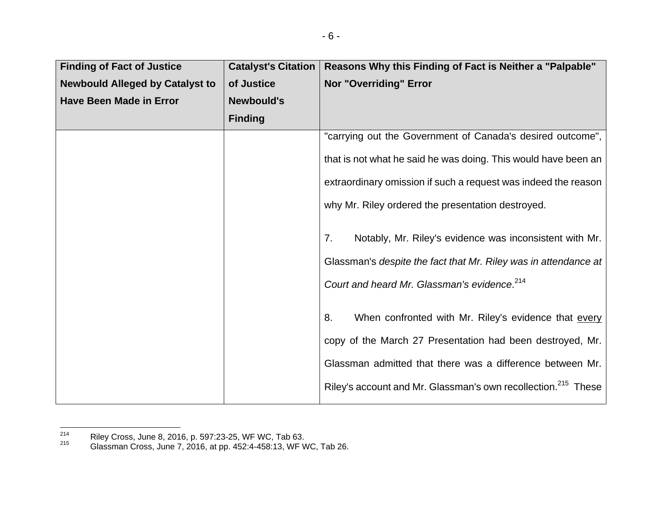| <b>Finding of Fact of Justice</b>      | <b>Catalyst's Citation</b> | Reasons Why this Finding of Fact is Neither a "Palpable"                  |
|----------------------------------------|----------------------------|---------------------------------------------------------------------------|
| <b>Newbould Alleged by Catalyst to</b> | of Justice                 | <b>Nor "Overriding" Error</b>                                             |
| <b>Have Been Made in Error</b>         | <b>Newbould's</b>          |                                                                           |
|                                        | <b>Finding</b>             |                                                                           |
|                                        |                            | "carrying out the Government of Canada's desired outcome",                |
|                                        |                            | that is not what he said he was doing. This would have been an            |
|                                        |                            | extraordinary omission if such a request was indeed the reason            |
|                                        |                            | why Mr. Riley ordered the presentation destroyed.                         |
|                                        |                            | Notably, Mr. Riley's evidence was inconsistent with Mr.<br>7 <sub>1</sub> |
|                                        |                            | Glassman's despite the fact that Mr. Riley was in attendance at           |
|                                        |                            | Court and heard Mr. Glassman's evidence. <sup>214</sup>                   |
|                                        |                            | When confronted with Mr. Riley's evidence that every<br>8.                |
|                                        |                            | copy of the March 27 Presentation had been destroyed, Mr.                 |
|                                        |                            | Glassman admitted that there was a difference between Mr.                 |
|                                        |                            | Riley's account and Mr. Glassman's own recollection. <sup>215</sup> These |

<sup>&</sup>lt;sup>214</sup> Riley Cross, June 8, 2016, p. 597:23-25, WF WC, Tab 63.<br><sup>215</sup> Glassman Cross, June 7, 2016, at pp. 452:4-458:13, WF WC, Tab 26.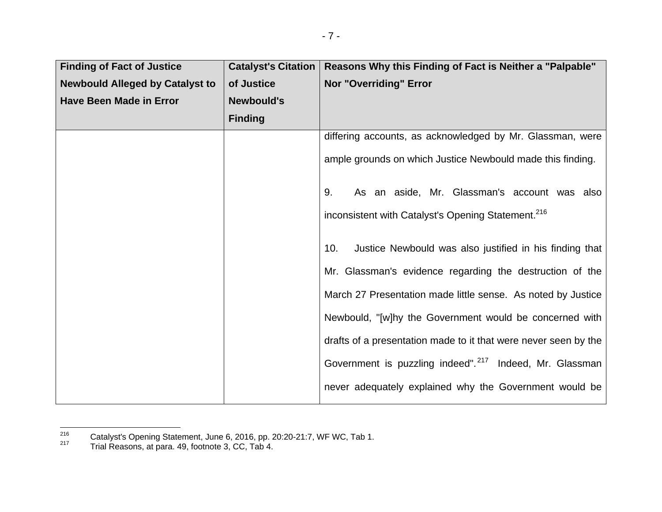| <b>Finding of Fact of Justice</b>      | <b>Catalyst's Citation</b> | Reasons Why this Finding of Fact is Neither a "Palpable"            |
|----------------------------------------|----------------------------|---------------------------------------------------------------------|
| <b>Newbould Alleged by Catalyst to</b> | of Justice                 | <b>Nor "Overriding" Error</b>                                       |
| <b>Have Been Made in Error</b>         | <b>Newbould's</b>          |                                                                     |
|                                        | <b>Finding</b>             |                                                                     |
|                                        |                            | differing accounts, as acknowledged by Mr. Glassman, were           |
|                                        |                            | ample grounds on which Justice Newbould made this finding.          |
|                                        |                            | As an aside, Mr. Glassman's account was also<br>9.                  |
|                                        |                            | inconsistent with Catalyst's Opening Statement. <sup>216</sup>      |
|                                        |                            | Justice Newbould was also justified in his finding that<br>10.      |
|                                        |                            | Mr. Glassman's evidence regarding the destruction of the            |
|                                        |                            | March 27 Presentation made little sense. As noted by Justice        |
|                                        |                            | Newbould, "[w]hy the Government would be concerned with             |
|                                        |                            | drafts of a presentation made to it that were never seen by the     |
|                                        |                            | Government is puzzling indeed". <sup>217</sup> Indeed, Mr. Glassman |
|                                        |                            | never adequately explained why the Government would be              |

<sup>216</sup> Catalyst's Opening Statement, June 6, 2016, pp. 20:20-21:7, WF WC, Tab 1. 217 Trial Reasons, at para. 49, footnote 3, CC, Tab 4.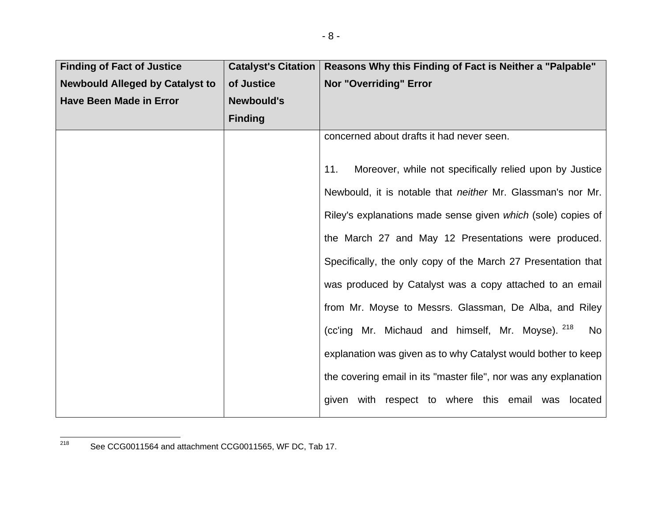| <b>Finding of Fact of Justice</b>      | <b>Catalyst's Citation</b> | Reasons Why this Finding of Fact is Neither a "Palpable"           |
|----------------------------------------|----------------------------|--------------------------------------------------------------------|
| <b>Newbould Alleged by Catalyst to</b> | of Justice                 | <b>Nor "Overriding" Error</b>                                      |
| <b>Have Been Made in Error</b>         | <b>Newbould's</b>          |                                                                    |
|                                        | <b>Finding</b>             |                                                                    |
|                                        |                            | concerned about drafts it had never seen.                          |
|                                        |                            | Moreover, while not specifically relied upon by Justice<br>11.     |
|                                        |                            | Newbould, it is notable that <i>neither</i> Mr. Glassman's nor Mr. |
|                                        |                            | Riley's explanations made sense given which (sole) copies of       |
|                                        |                            | the March 27 and May 12 Presentations were produced.               |
|                                        |                            | Specifically, the only copy of the March 27 Presentation that      |
|                                        |                            | was produced by Catalyst was a copy attached to an email           |
|                                        |                            | from Mr. Moyse to Messrs. Glassman, De Alba, and Riley             |
|                                        |                            | (cc'ing Mr. Michaud and himself, Mr. Moyse). 218<br>No             |
|                                        |                            | explanation was given as to why Catalyst would bother to keep      |
|                                        |                            | the covering email in its "master file", nor was any explanation   |
|                                        |                            | given with respect to where this email was located                 |

<sup>218</sup> See CCG0011564 and attachment CCG0011565, WF DC, Tab 17.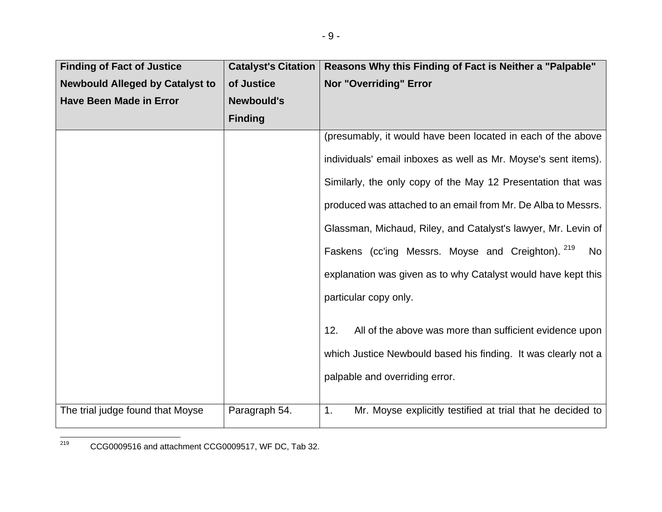| <b>Finding of Fact of Justice</b>      | <b>Catalyst's Citation</b> | Reasons Why this Finding of Fact is Neither a "Palpable"         |
|----------------------------------------|----------------------------|------------------------------------------------------------------|
| <b>Newbould Alleged by Catalyst to</b> | of Justice                 | Nor "Overriding" Error                                           |
| <b>Have Been Made in Error</b>         | <b>Newbould's</b>          |                                                                  |
|                                        | <b>Finding</b>             |                                                                  |
|                                        |                            | (presumably, it would have been located in each of the above     |
|                                        |                            | individuals' email inboxes as well as Mr. Moyse's sent items).   |
|                                        |                            | Similarly, the only copy of the May 12 Presentation that was     |
|                                        |                            | produced was attached to an email from Mr. De Alba to Messrs.    |
|                                        |                            | Glassman, Michaud, Riley, and Catalyst's lawyer, Mr. Levin of    |
|                                        |                            | Faskens (cc'ing Messrs. Moyse and Creighton). 219<br>No          |
|                                        |                            | explanation was given as to why Catalyst would have kept this    |
|                                        |                            | particular copy only.                                            |
|                                        |                            | 12.<br>All of the above was more than sufficient evidence upon   |
|                                        |                            | which Justice Newbould based his finding. It was clearly not a   |
|                                        |                            | palpable and overriding error.                                   |
|                                        |                            |                                                                  |
| The trial judge found that Moyse       | Paragraph 54.              | Mr. Moyse explicitly testified at trial that he decided to<br>1. |

<sup>219</sup> CCG0009516 and attachment CCG0009517, WF DC, Tab 32.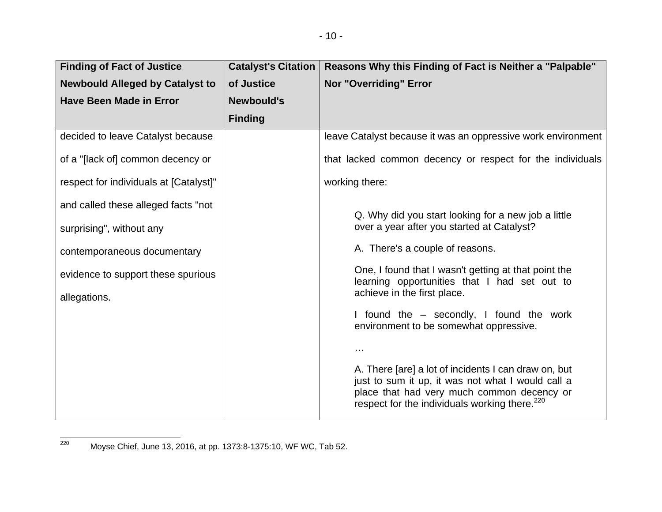| <b>Finding of Fact of Justice</b>      | <b>Catalyst's Citation</b> | Reasons Why this Finding of Fact is Neither a "Palpable"                                                                                                                                                             |
|----------------------------------------|----------------------------|----------------------------------------------------------------------------------------------------------------------------------------------------------------------------------------------------------------------|
| <b>Newbould Alleged by Catalyst to</b> | of Justice                 | <b>Nor "Overriding" Error</b>                                                                                                                                                                                        |
| <b>Have Been Made in Error</b>         | <b>Newbould's</b>          |                                                                                                                                                                                                                      |
|                                        | <b>Finding</b>             |                                                                                                                                                                                                                      |
| decided to leave Catalyst because      |                            | leave Catalyst because it was an oppressive work environment                                                                                                                                                         |
| of a "[lack of] common decency or      |                            | that lacked common decency or respect for the individuals                                                                                                                                                            |
| respect for individuals at [Catalyst]" |                            | working there:                                                                                                                                                                                                       |
| and called these alleged facts "not    |                            | Q. Why did you start looking for a new job a little                                                                                                                                                                  |
| surprising", without any               |                            | over a year after you started at Catalyst?                                                                                                                                                                           |
| contemporaneous documentary            |                            | A. There's a couple of reasons.                                                                                                                                                                                      |
| evidence to support these spurious     |                            | One, I found that I wasn't getting at that point the<br>learning opportunities that I had set out to                                                                                                                 |
| allegations.                           |                            | achieve in the first place.                                                                                                                                                                                          |
|                                        |                            | I found the – secondly, I found the work<br>environment to be somewhat oppressive.                                                                                                                                   |
|                                        |                            | $\sim$ $\sim$                                                                                                                                                                                                        |
|                                        |                            | A. There [are] a lot of incidents I can draw on, but<br>just to sum it up, it was not what I would call a<br>place that had very much common decency or<br>respect for the individuals working there. <sup>220</sup> |

<sup>220</sup> Moyse Chief, June 13, 2016, at pp. 1373:8-1375:10, WF WC, Tab 52.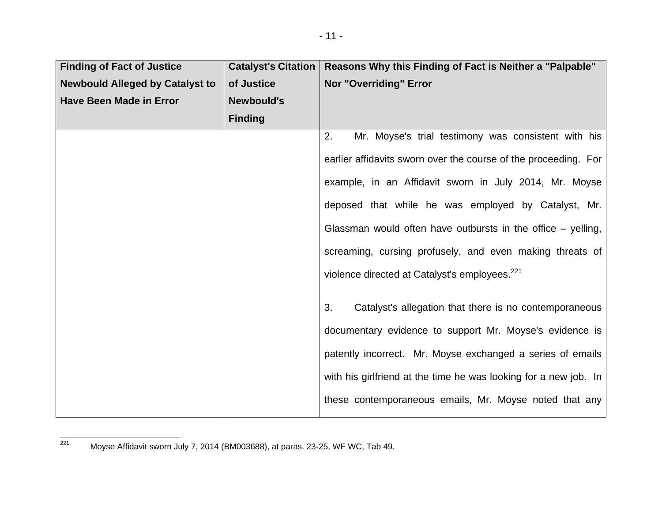| <b>Finding of Fact of Justice</b>      | <b>Catalyst's Citation</b> | Reasons Why this Finding of Fact is Neither a "Palpable"         |
|----------------------------------------|----------------------------|------------------------------------------------------------------|
| <b>Newbould Alleged by Catalyst to</b> | of Justice                 | Nor "Overriding" Error                                           |
| <b>Have Been Made in Error</b>         | <b>Newbould's</b>          |                                                                  |
|                                        | <b>Finding</b>             |                                                                  |
|                                        |                            | Mr. Moyse's trial testimony was consistent with his<br>2.        |
|                                        |                            | earlier affidavits sworn over the course of the proceeding. For  |
|                                        |                            | example, in an Affidavit sworn in July 2014, Mr. Moyse           |
|                                        |                            | deposed that while he was employed by Catalyst, Mr.              |
|                                        |                            | Glassman would often have outbursts in the office $-$ yelling,   |
|                                        |                            | screaming, cursing profusely, and even making threats of         |
|                                        |                            | violence directed at Catalyst's employees. <sup>221</sup>        |
|                                        |                            | 3.<br>Catalyst's allegation that there is no contemporaneous     |
|                                        |                            |                                                                  |
|                                        |                            | documentary evidence to support Mr. Moyse's evidence is          |
|                                        |                            | patently incorrect. Mr. Moyse exchanged a series of emails       |
|                                        |                            | with his girlfriend at the time he was looking for a new job. In |
|                                        |                            | these contemporaneous emails, Mr. Moyse noted that any           |

 $\frac{1}{221}$  Moyse Affidavit sworn July 7, 2014 (BM003688), at paras. 23-25, WF WC, Tab 49.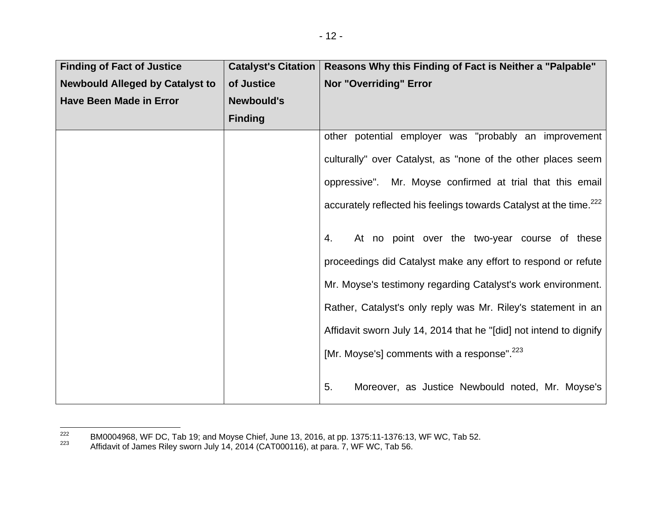| <b>Finding of Fact of Justice</b>      | <b>Catalyst's Citation</b> | Reasons Why this Finding of Fact is Neither a "Palpable"                       |
|----------------------------------------|----------------------------|--------------------------------------------------------------------------------|
| <b>Newbould Alleged by Catalyst to</b> | of Justice                 | <b>Nor "Overriding" Error</b>                                                  |
| <b>Have Been Made in Error</b>         | <b>Newbould's</b>          |                                                                                |
|                                        | <b>Finding</b>             |                                                                                |
|                                        |                            | other potential employer was "probably an improvement                          |
|                                        |                            | culturally" over Catalyst, as "none of the other places seem                   |
|                                        |                            | oppressive". Mr. Moyse confirmed at trial that this email                      |
|                                        |                            | accurately reflected his feelings towards Catalyst at the time. <sup>222</sup> |
|                                        |                            | At no point over the two-year course of these<br>4.                            |
|                                        |                            | proceedings did Catalyst make any effort to respond or refute                  |
|                                        |                            | Mr. Moyse's testimony regarding Catalyst's work environment.                   |
|                                        |                            | Rather, Catalyst's only reply was Mr. Riley's statement in an                  |
|                                        |                            | Affidavit sworn July 14, 2014 that he "[did] not intend to dignify             |
|                                        |                            | [Mr. Moyse's] comments with a response". <sup>223</sup>                        |
|                                        |                            | 5.<br>Moreover, as Justice Newbould noted, Mr. Moyse's                         |

<sup>222</sup> BM0004968, WF DC, Tab 19; and Moyse Chief, June 13, 2016, at pp. 1375:11-1376:13, WF WC, Tab 52.<br>223 Affidavit of James Riley sworn July 14, 2014 (CAT000116), at para. 7, WF WC, Tab 56.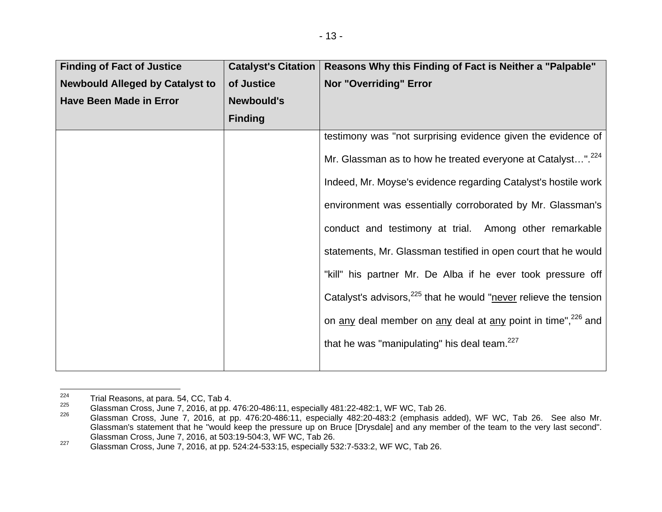| <b>Finding of Fact of Justice</b>      | <b>Catalyst's Citation</b> | Reasons Why this Finding of Fact is Neither a "Palpable"                     |
|----------------------------------------|----------------------------|------------------------------------------------------------------------------|
| <b>Newbould Alleged by Catalyst to</b> | of Justice                 | <b>Nor "Overriding" Error</b>                                                |
| <b>Have Been Made in Error</b>         | <b>Newbould's</b>          |                                                                              |
|                                        | <b>Finding</b>             |                                                                              |
|                                        |                            | testimony was "not surprising evidence given the evidence of                 |
|                                        |                            | Mr. Glassman as to how he treated everyone at Catalyst". <sup>224</sup>      |
|                                        |                            | Indeed, Mr. Moyse's evidence regarding Catalyst's hostile work               |
|                                        |                            | environment was essentially corroborated by Mr. Glassman's                   |
|                                        |                            | conduct and testimony at trial. Among other remarkable                       |
|                                        |                            | statements, Mr. Glassman testified in open court that he would               |
|                                        |                            | "kill" his partner Mr. De Alba if he ever took pressure off                  |
|                                        |                            | Catalyst's advisors, <sup>225</sup> that he would "never relieve the tension |
|                                        |                            | on any deal member on any deal at any point in time", <sup>226</sup> and     |
|                                        |                            | that he was "manipulating" his deal team. <sup>227</sup>                     |
|                                        |                            |                                                                              |

<sup>&</sup>lt;sup>224</sup> Trial Reasons, at para. 54, CC, Tab 4.<br><sup>225</sup> Glassman Cross, June 7, 2016, at pp. 476:20-486:11, especially 481:22-482:1, WF WC, Tab 26.<br><sup>226</sup> Glassman Cross, June 7, 2016, at pp. 476:20-486:11, especially 482:20-48 Glassman's statement that he "would keep the pressure up on Bruce [Drysdale] and any member of the team to the very last second". Glassman Cross, June 7, 2016, at 503:19-504:3, WF WC, Tab 26.

<sup>227</sup> Glassman Cross, June 7, 2016, at pp. 524:24-533:15, especially 532:7-533:2, WF WC, Tab 26.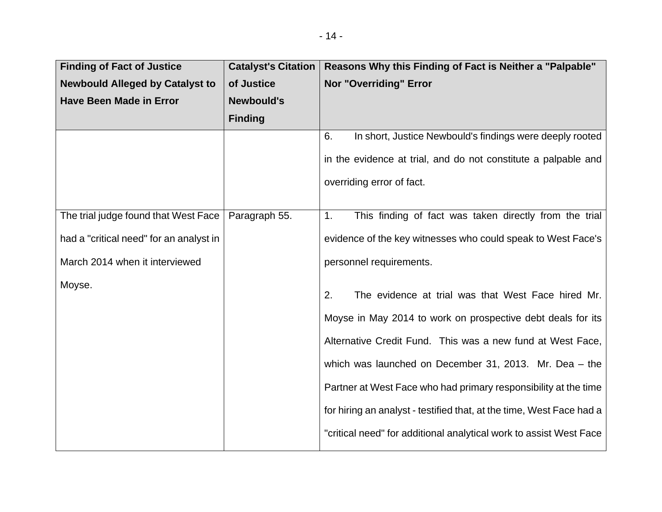| <b>Finding of Fact of Justice</b>       | <b>Catalyst's Citation</b> | Reasons Why this Finding of Fact is Neither a "Palpable"             |
|-----------------------------------------|----------------------------|----------------------------------------------------------------------|
| <b>Newbould Alleged by Catalyst to</b>  | of Justice                 | <b>Nor "Overriding" Error</b>                                        |
| <b>Have Been Made in Error</b>          | <b>Newbould's</b>          |                                                                      |
|                                         | <b>Finding</b>             |                                                                      |
|                                         |                            | 6.<br>In short, Justice Newbould's findings were deeply rooted       |
|                                         |                            | in the evidence at trial, and do not constitute a palpable and       |
|                                         |                            | overriding error of fact.                                            |
|                                         |                            |                                                                      |
| The trial judge found that West Face    | Paragraph 55.              | This finding of fact was taken directly from the trial<br>1.         |
| had a "critical need" for an analyst in |                            | evidence of the key witnesses who could speak to West Face's         |
| March 2014 when it interviewed          |                            | personnel requirements.                                              |
| Moyse.                                  |                            | 2.<br>The evidence at trial was that West Face hired Mr.             |
|                                         |                            | Moyse in May 2014 to work on prospective debt deals for its          |
|                                         |                            | Alternative Credit Fund. This was a new fund at West Face,           |
|                                         |                            | which was launched on December 31, 2013. Mr. Dea $-$ the             |
|                                         |                            | Partner at West Face who had primary responsibility at the time      |
|                                         |                            | for hiring an analyst - testified that, at the time, West Face had a |
|                                         |                            | "critical need" for additional analytical work to assist West Face   |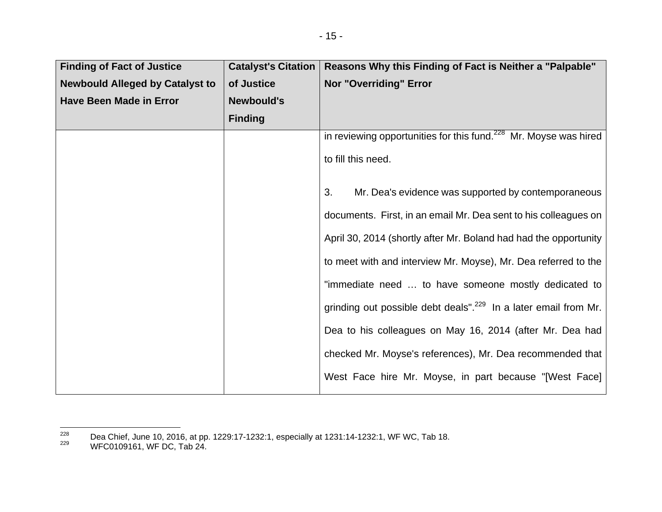| <b>Finding of Fact of Justice</b>      | <b>Catalyst's Citation</b> | Reasons Why this Finding of Fact is Neither a "Palpable"                    |
|----------------------------------------|----------------------------|-----------------------------------------------------------------------------|
| <b>Newbould Alleged by Catalyst to</b> | of Justice                 | <b>Nor "Overriding" Error</b>                                               |
| <b>Have Been Made in Error</b>         | <b>Newbould's</b>          |                                                                             |
|                                        | <b>Finding</b>             |                                                                             |
|                                        |                            | in reviewing opportunities for this fund. $228$ Mr. Moyse was hired         |
|                                        |                            | to fill this need.                                                          |
|                                        |                            | Mr. Dea's evidence was supported by contemporaneous<br>3.                   |
|                                        |                            | documents. First, in an email Mr. Dea sent to his colleagues on             |
|                                        |                            | April 30, 2014 (shortly after Mr. Boland had had the opportunity            |
|                                        |                            | to meet with and interview Mr. Moyse), Mr. Dea referred to the              |
|                                        |                            | "immediate need  to have someone mostly dedicated to                        |
|                                        |                            | grinding out possible debt deals". <sup>229</sup> In a later email from Mr. |
|                                        |                            | Dea to his colleagues on May 16, 2014 (after Mr. Dea had                    |
|                                        |                            | checked Mr. Moyse's references), Mr. Dea recommended that                   |
|                                        |                            | West Face hire Mr. Moyse, in part because "[West Face]                      |

<sup>228</sup> Dea Chief, June 10, 2016, at pp. 1229:17-1232:1, especially at 1231:14-1232:1, WF WC, Tab 18.<br><sup>229</sup> WFC0109161, WF DC, Tab 24.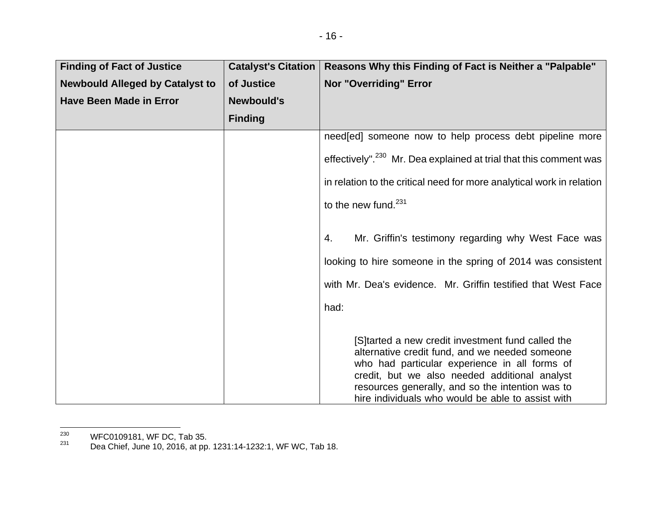| <b>Finding of Fact of Justice</b>      | <b>Catalyst's Citation</b> | Reasons Why this Finding of Fact is Neither a "Palpable"                                                                                                                                                                                                                                                       |
|----------------------------------------|----------------------------|----------------------------------------------------------------------------------------------------------------------------------------------------------------------------------------------------------------------------------------------------------------------------------------------------------------|
| <b>Newbould Alleged by Catalyst to</b> | of Justice                 | <b>Nor "Overriding" Error</b>                                                                                                                                                                                                                                                                                  |
| <b>Have Been Made in Error</b>         | <b>Newbould's</b>          |                                                                                                                                                                                                                                                                                                                |
|                                        | <b>Finding</b>             |                                                                                                                                                                                                                                                                                                                |
|                                        |                            | need [ed] someone now to help process debt pipeline more                                                                                                                                                                                                                                                       |
|                                        |                            | effectively". <sup>230</sup> Mr. Dea explained at trial that this comment was                                                                                                                                                                                                                                  |
|                                        |                            | in relation to the critical need for more analytical work in relation                                                                                                                                                                                                                                          |
|                                        |                            | to the new fund. $231$                                                                                                                                                                                                                                                                                         |
|                                        |                            | Mr. Griffin's testimony regarding why West Face was<br>4.                                                                                                                                                                                                                                                      |
|                                        |                            | looking to hire someone in the spring of 2014 was consistent                                                                                                                                                                                                                                                   |
|                                        |                            | with Mr. Dea's evidence. Mr. Griffin testified that West Face                                                                                                                                                                                                                                                  |
|                                        |                            | had:                                                                                                                                                                                                                                                                                                           |
|                                        |                            | [S]tarted a new credit investment fund called the<br>alternative credit fund, and we needed someone<br>who had particular experience in all forms of<br>credit, but we also needed additional analyst<br>resources generally, and so the intention was to<br>hire individuals who would be able to assist with |

 $^{230}$  WFC0109181, WF DC, Tab 35.

 $^{231}$  Dea Chief, June 10, 2016, at pp. 1231:14-1232:1, WF WC, Tab 18.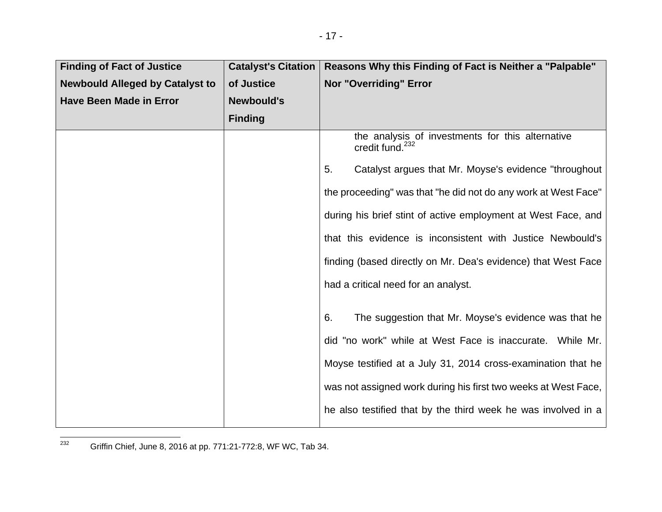| <b>Finding of Fact of Justice</b>      | <b>Catalyst's Citation</b> | Reasons Why this Finding of Fact is Neither a "Palpable"                        |
|----------------------------------------|----------------------------|---------------------------------------------------------------------------------|
| <b>Newbould Alleged by Catalyst to</b> | of Justice                 | Nor "Overriding" Error                                                          |
| <b>Have Been Made in Error</b>         | <b>Newbould's</b>          |                                                                                 |
|                                        | <b>Finding</b>             |                                                                                 |
|                                        |                            | the analysis of investments for this alternative<br>credit fund. <sup>232</sup> |
|                                        |                            | Catalyst argues that Mr. Moyse's evidence "throughout<br>5.                     |
|                                        |                            | the proceeding" was that "he did not do any work at West Face"                  |
|                                        |                            | during his brief stint of active employment at West Face, and                   |
|                                        |                            | that this evidence is inconsistent with Justice Newbould's                      |
|                                        |                            | finding (based directly on Mr. Dea's evidence) that West Face                   |
|                                        |                            | had a critical need for an analyst.                                             |
|                                        |                            | 6.<br>The suggestion that Mr. Moyse's evidence was that he                      |
|                                        |                            | did "no work" while at West Face is inaccurate. While Mr.                       |
|                                        |                            | Moyse testified at a July 31, 2014 cross-examination that he                    |
|                                        |                            | was not assigned work during his first two weeks at West Face,                  |
|                                        |                            | he also testified that by the third week he was involved in a                   |

<sup>232</sup> Griffin Chief, June 8, 2016 at pp. 771:21-772:8, WF WC, Tab 34.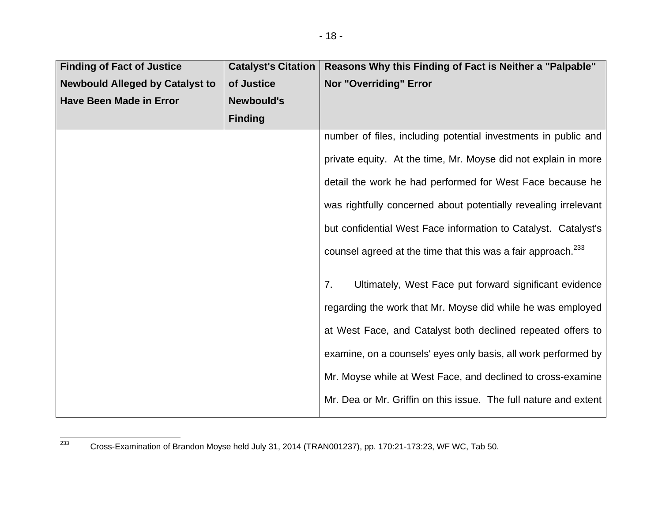| <b>Finding of Fact of Justice</b>      | <b>Catalyst's Citation</b> | Reasons Why this Finding of Fact is Neither a "Palpable"                 |
|----------------------------------------|----------------------------|--------------------------------------------------------------------------|
| <b>Newbould Alleged by Catalyst to</b> | of Justice                 | <b>Nor "Overriding" Error</b>                                            |
| <b>Have Been Made in Error</b>         | <b>Newbould's</b>          |                                                                          |
|                                        | <b>Finding</b>             |                                                                          |
|                                        |                            | number of files, including potential investments in public and           |
|                                        |                            | private equity. At the time, Mr. Moyse did not explain in more           |
|                                        |                            | detail the work he had performed for West Face because he                |
|                                        |                            | was rightfully concerned about potentially revealing irrelevant          |
|                                        |                            | but confidential West Face information to Catalyst. Catalyst's           |
|                                        |                            | counsel agreed at the time that this was a fair approach. <sup>233</sup> |
|                                        |                            | 7.<br>Ultimately, West Face put forward significant evidence             |
|                                        |                            | regarding the work that Mr. Moyse did while he was employed              |
|                                        |                            | at West Face, and Catalyst both declined repeated offers to              |
|                                        |                            | examine, on a counsels' eyes only basis, all work performed by           |
|                                        |                            | Mr. Moyse while at West Face, and declined to cross-examine              |
|                                        |                            | Mr. Dea or Mr. Griffin on this issue. The full nature and extent         |

<sup>233</sup> Cross-Examination of Brandon Moyse held July 31, 2014 (TRAN001237), pp. 170:21-173:23, WF WC, Tab 50.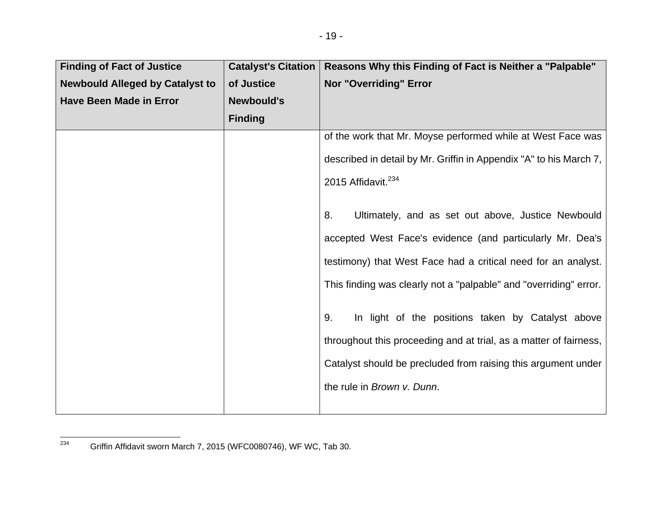| <b>Finding of Fact of Justice</b>      | <b>Catalyst's Citation</b> | Reasons Why this Finding of Fact is Neither a "Palpable"           |
|----------------------------------------|----------------------------|--------------------------------------------------------------------|
| <b>Newbould Alleged by Catalyst to</b> | of Justice                 | <b>Nor "Overriding" Error</b>                                      |
| <b>Have Been Made in Error</b>         | <b>Newbould's</b>          |                                                                    |
|                                        | <b>Finding</b>             |                                                                    |
|                                        |                            | of the work that Mr. Moyse performed while at West Face was        |
|                                        |                            | described in detail by Mr. Griffin in Appendix "A" to his March 7, |
|                                        |                            | 2015 Affidavit. <sup>234</sup>                                     |
|                                        |                            |                                                                    |
|                                        |                            | 8.<br>Ultimately, and as set out above, Justice Newbould           |
|                                        |                            | accepted West Face's evidence (and particularly Mr. Dea's          |
|                                        |                            | testimony) that West Face had a critical need for an analyst.      |
|                                        |                            | This finding was clearly not a "palpable" and "overriding" error.  |
|                                        |                            | In light of the positions taken by Catalyst above<br>9.            |
|                                        |                            |                                                                    |
|                                        |                            | throughout this proceeding and at trial, as a matter of fairness,  |
|                                        |                            | Catalyst should be precluded from raising this argument under      |
|                                        |                            | the rule in Brown v. Dunn.                                         |
|                                        |                            |                                                                    |

<sup>234</sup> Griffin Affidavit sworn March 7, 2015 (WFC0080746), WF WC, Tab 30.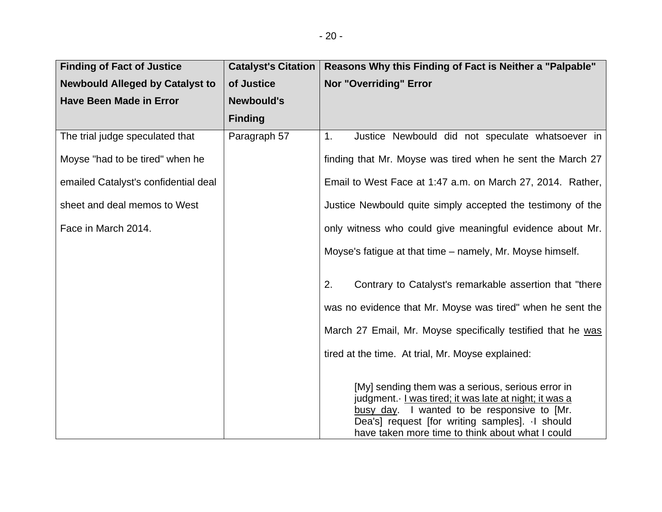| <b>Finding of Fact of Justice</b>      | <b>Catalyst's Citation</b> | Reasons Why this Finding of Fact is Neither a "Palpable"                                                                                                                                                                                                           |
|----------------------------------------|----------------------------|--------------------------------------------------------------------------------------------------------------------------------------------------------------------------------------------------------------------------------------------------------------------|
| <b>Newbould Alleged by Catalyst to</b> | of Justice                 | <b>Nor "Overriding" Error</b>                                                                                                                                                                                                                                      |
| <b>Have Been Made in Error</b>         | <b>Newbould's</b>          |                                                                                                                                                                                                                                                                    |
|                                        | <b>Finding</b>             |                                                                                                                                                                                                                                                                    |
| The trial judge speculated that        | Paragraph 57               | 1.<br>Justice Newbould did not speculate whatsoever in                                                                                                                                                                                                             |
| Moyse "had to be tired" when he        |                            | finding that Mr. Moyse was tired when he sent the March 27                                                                                                                                                                                                         |
| emailed Catalyst's confidential deal   |                            | Email to West Face at 1:47 a.m. on March 27, 2014. Rather,                                                                                                                                                                                                         |
| sheet and deal memos to West           |                            | Justice Newbould quite simply accepted the testimony of the                                                                                                                                                                                                        |
| Face in March 2014.                    |                            | only witness who could give meaningful evidence about Mr.                                                                                                                                                                                                          |
|                                        |                            | Moyse's fatigue at that time – namely, Mr. Moyse himself.                                                                                                                                                                                                          |
|                                        |                            | Contrary to Catalyst's remarkable assertion that "there<br>2.                                                                                                                                                                                                      |
|                                        |                            | was no evidence that Mr. Moyse was tired" when he sent the                                                                                                                                                                                                         |
|                                        |                            | March 27 Email, Mr. Moyse specifically testified that he was                                                                                                                                                                                                       |
|                                        |                            | tired at the time. At trial, Mr. Moyse explained:                                                                                                                                                                                                                  |
|                                        |                            | [My] sending them was a serious, serious error in<br>judgment. I was tired; it was late at night; it was a<br>I wanted to be responsive to [Mr.<br>busy day.<br>Dea's] request [for writing samples]. I should<br>have taken more time to think about what I could |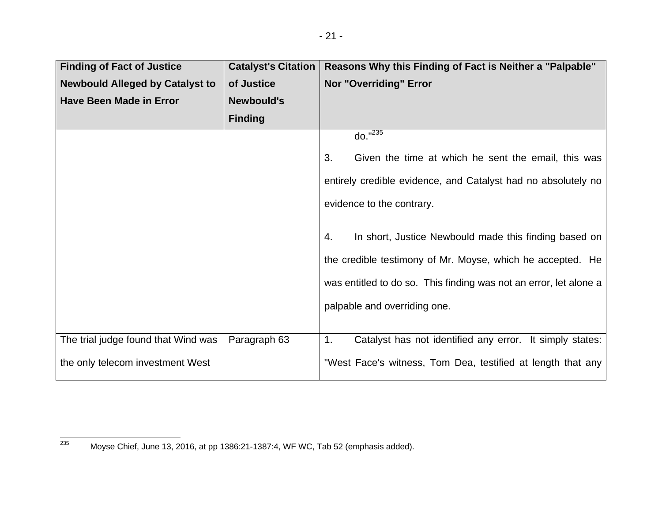| <b>Finding of Fact of Justice</b>      | <b>Catalyst's Citation</b> | Reasons Why this Finding of Fact is Neither a "Palpable"          |
|----------------------------------------|----------------------------|-------------------------------------------------------------------|
| <b>Newbould Alleged by Catalyst to</b> | of Justice                 | <b>Nor "Overriding" Error</b>                                     |
| <b>Have Been Made in Error</b>         | <b>Newbould's</b>          |                                                                   |
|                                        | <b>Finding</b>             |                                                                   |
|                                        |                            | $do. "^{235}$                                                     |
|                                        |                            | Given the time at which he sent the email, this was<br>3.         |
|                                        |                            | entirely credible evidence, and Catalyst had no absolutely no     |
|                                        |                            | evidence to the contrary.                                         |
|                                        |                            | In short, Justice Newbould made this finding based on<br>4.       |
|                                        |                            | the credible testimony of Mr. Moyse, which he accepted. He        |
|                                        |                            | was entitled to do so. This finding was not an error, let alone a |
|                                        |                            | palpable and overriding one.                                      |
|                                        |                            |                                                                   |
| The trial judge found that Wind was    | Paragraph 63               | Catalyst has not identified any error. It simply states:<br>1.    |
| the only telecom investment West       |                            | "West Face's witness, Tom Dea, testified at length that any       |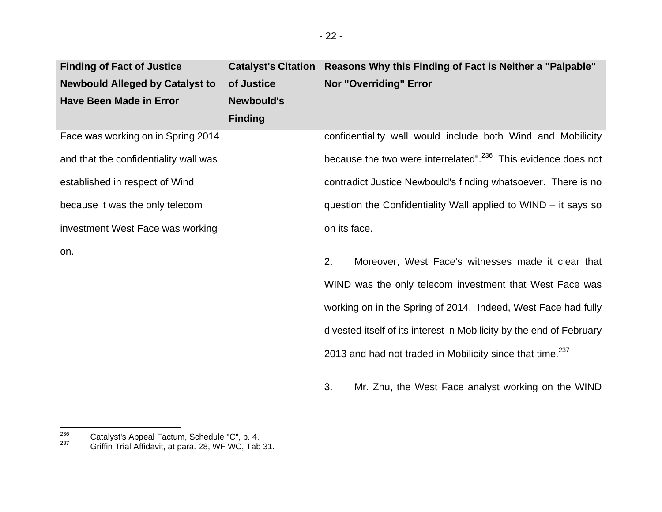| <b>Finding of Fact of Justice</b>      | <b>Catalyst's Citation</b> | Reasons Why this Finding of Fact is Neither a "Palpable"                                                                                                                                                                                                                                                                              |
|----------------------------------------|----------------------------|---------------------------------------------------------------------------------------------------------------------------------------------------------------------------------------------------------------------------------------------------------------------------------------------------------------------------------------|
| <b>Newbould Alleged by Catalyst to</b> | of Justice                 | <b>Nor "Overriding" Error</b>                                                                                                                                                                                                                                                                                                         |
| <b>Have Been Made in Error</b>         | <b>Newbould's</b>          |                                                                                                                                                                                                                                                                                                                                       |
|                                        | <b>Finding</b>             |                                                                                                                                                                                                                                                                                                                                       |
| Face was working on in Spring 2014     |                            | confidentiality wall would include both Wind and Mobilicity                                                                                                                                                                                                                                                                           |
| and that the confidentiality wall was  |                            | because the two were interrelated". <sup>236</sup> This evidence does not                                                                                                                                                                                                                                                             |
| established in respect of Wind         |                            | contradict Justice Newbould's finding whatsoever. There is no                                                                                                                                                                                                                                                                         |
| because it was the only telecom        |                            | question the Confidentiality Wall applied to WIND – it says so                                                                                                                                                                                                                                                                        |
| investment West Face was working       |                            | on its face.                                                                                                                                                                                                                                                                                                                          |
| on.                                    |                            | Moreover, West Face's witnesses made it clear that<br>2.<br>WIND was the only telecom investment that West Face was<br>working on in the Spring of 2014. Indeed, West Face had fully<br>divested itself of its interest in Mobilicity by the end of February<br>2013 and had not traded in Mobilicity since that time. <sup>237</sup> |

3. Mr. Zhu, the West Face analyst working on the WIND

<sup>&</sup>lt;sup>236</sup> Catalyst's Appeal Factum, Schedule "C", p. 4.<br><sup>237</sup> Griffin Trial Affidavit, at para. 28, WF WC, Tab 31.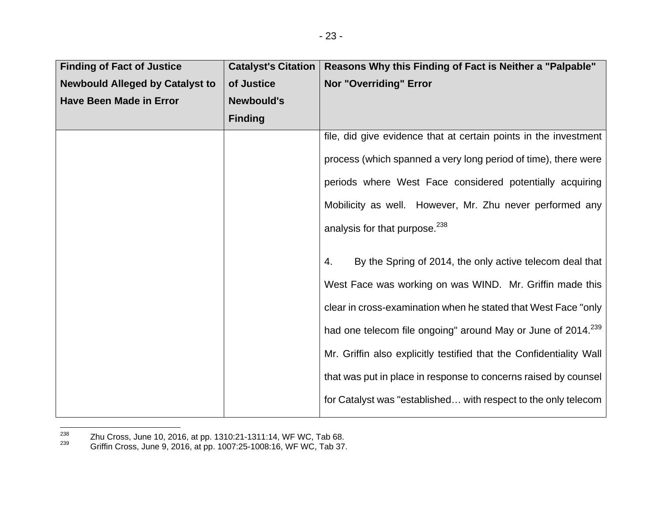| <b>Finding of Fact of Justice</b>      | <b>Catalyst's Citation</b> | Reasons Why this Finding of Fact is Neither a "Palpable"                 |
|----------------------------------------|----------------------------|--------------------------------------------------------------------------|
| <b>Newbould Alleged by Catalyst to</b> | of Justice                 | <b>Nor "Overriding" Error</b>                                            |
| <b>Have Been Made in Error</b>         | <b>Newbould's</b>          |                                                                          |
|                                        | <b>Finding</b>             |                                                                          |
|                                        |                            | file, did give evidence that at certain points in the investment         |
|                                        |                            | process (which spanned a very long period of time), there were           |
|                                        |                            | periods where West Face considered potentially acquiring                 |
|                                        |                            | Mobilicity as well. However, Mr. Zhu never performed any                 |
|                                        |                            | analysis for that purpose. <sup>238</sup>                                |
|                                        |                            | By the Spring of 2014, the only active telecom deal that<br>4.           |
|                                        |                            | West Face was working on was WIND. Mr. Griffin made this                 |
|                                        |                            | clear in cross-examination when he stated that West Face "only           |
|                                        |                            | had one telecom file ongoing" around May or June of 2014. <sup>239</sup> |
|                                        |                            | Mr. Griffin also explicitly testified that the Confidentiality Wall      |
|                                        |                            | that was put in place in response to concerns raised by counsel          |
|                                        |                            | for Catalyst was "established with respect to the only telecom           |

<sup>&</sup>lt;sup>238</sup> Zhu Cross, June 10, 2016, at pp. 1310:21-1311:14, WF WC, Tab 68.<br><sup>239</sup> Griffin Cross, June 9, 2016, at pp. 1007:25-1008:16, WF WC, Tab 37.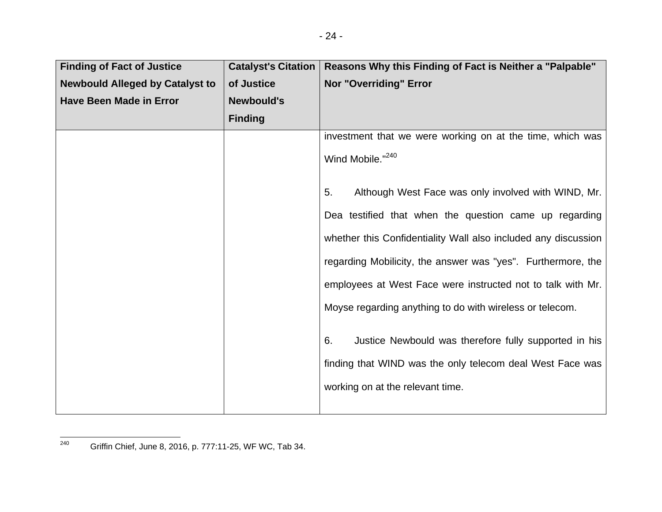| <b>Finding of Fact of Justice</b>      | <b>Catalyst's Citation</b> | Reasons Why this Finding of Fact is Neither a "Palpable"       |
|----------------------------------------|----------------------------|----------------------------------------------------------------|
| <b>Newbould Alleged by Catalyst to</b> | of Justice                 | <b>Nor "Overriding" Error</b>                                  |
| <b>Have Been Made in Error</b>         | <b>Newbould's</b>          |                                                                |
|                                        | <b>Finding</b>             |                                                                |
|                                        |                            | investment that we were working on at the time, which was      |
|                                        |                            | Wind Mobile."240                                               |
|                                        |                            | Although West Face was only involved with WIND, Mr.<br>5.      |
|                                        |                            | Dea testified that when the question came up regarding         |
|                                        |                            | whether this Confidentiality Wall also included any discussion |
|                                        |                            | regarding Mobilicity, the answer was "yes". Furthermore, the   |
|                                        |                            | employees at West Face were instructed not to talk with Mr.    |
|                                        |                            | Moyse regarding anything to do with wireless or telecom.       |
|                                        |                            | Justice Newbould was therefore fully supported in his<br>6.    |
|                                        |                            | finding that WIND was the only telecom deal West Face was      |
|                                        |                            | working on at the relevant time.                               |
|                                        |                            |                                                                |

<sup>240</sup> Griffin Chief, June 8, 2016, p. 777:11-25, WF WC, Tab 34.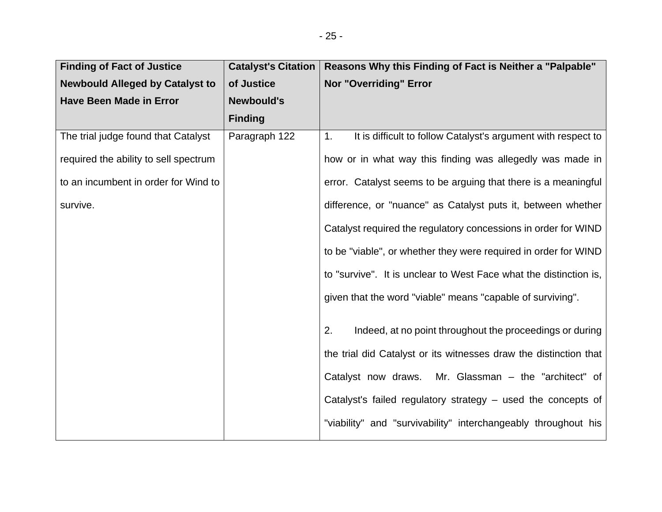| <b>Finding of Fact of Justice</b>      | <b>Catalyst's Citation</b> | Reasons Why this Finding of Fact is Neither a "Palpable"            |
|----------------------------------------|----------------------------|---------------------------------------------------------------------|
| <b>Newbould Alleged by Catalyst to</b> | of Justice                 | Nor "Overriding" Error                                              |
| <b>Have Been Made in Error</b>         | <b>Newbould's</b>          |                                                                     |
|                                        | <b>Finding</b>             |                                                                     |
| The trial judge found that Catalyst    | Paragraph 122              | It is difficult to follow Catalyst's argument with respect to<br>1. |
| required the ability to sell spectrum  |                            | how or in what way this finding was allegedly was made in           |
| to an incumbent in order for Wind to   |                            | error. Catalyst seems to be arguing that there is a meaningful      |
| survive.                               |                            | difference, or "nuance" as Catalyst puts it, between whether        |
|                                        |                            | Catalyst required the regulatory concessions in order for WIND      |
|                                        |                            | to be "viable", or whether they were required in order for WIND     |
|                                        |                            | to "survive". It is unclear to West Face what the distinction is,   |
|                                        |                            | given that the word "viable" means "capable of surviving".          |
|                                        |                            | Indeed, at no point throughout the proceedings or during<br>2.      |
|                                        |                            | the trial did Catalyst or its witnesses draw the distinction that   |
|                                        |                            | Mr. Glassman - the "architect" of<br>Catalyst now draws.            |
|                                        |                            | Catalyst's failed regulatory strategy – used the concepts of        |
|                                        |                            | "viability" and "survivability" interchangeably throughout his      |
|                                        |                            |                                                                     |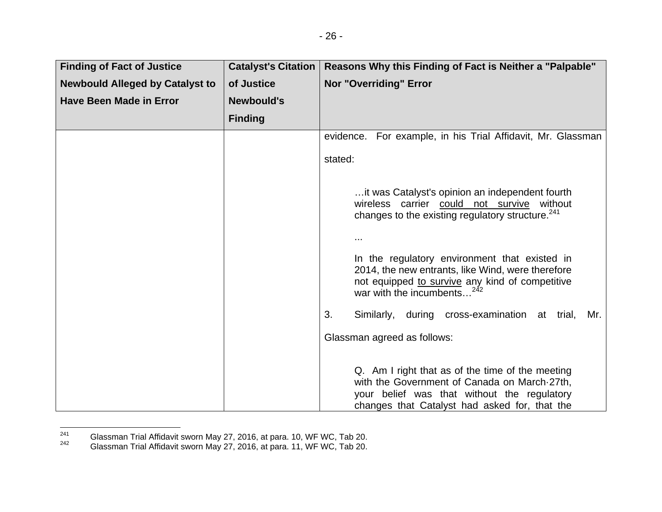| <b>Finding of Fact of Justice</b>      | <b>Catalyst's Citation</b> | Reasons Why this Finding of Fact is Neither a "Palpable"                                                                                                                                         |
|----------------------------------------|----------------------------|--------------------------------------------------------------------------------------------------------------------------------------------------------------------------------------------------|
| <b>Newbould Alleged by Catalyst to</b> | of Justice                 | Nor "Overriding" Error                                                                                                                                                                           |
| <b>Have Been Made in Error</b>         | <b>Newbould's</b>          |                                                                                                                                                                                                  |
|                                        | <b>Finding</b>             |                                                                                                                                                                                                  |
|                                        |                            | evidence. For example, in his Trial Affidavit, Mr. Glassman                                                                                                                                      |
|                                        |                            | stated:                                                                                                                                                                                          |
|                                        |                            | it was Catalyst's opinion an independent fourth<br>wireless carrier could not survive without<br>changes to the existing regulatory structure. <sup>241</sup>                                    |
|                                        |                            |                                                                                                                                                                                                  |
|                                        |                            | In the regulatory environment that existed in<br>2014, the new entrants, like Wind, were therefore<br>not equipped to survive any kind of competitive<br>war with the incumbents <sup>2</sup>    |
|                                        |                            | 3.<br>Similarly, during cross-examination at trial,<br>Mr.                                                                                                                                       |
|                                        |                            | Glassman agreed as follows:                                                                                                                                                                      |
|                                        |                            | Q. Am I right that as of the time of the meeting<br>with the Government of Canada on March 27th,<br>your belief was that without the regulatory<br>changes that Catalyst had asked for, that the |

<sup>&</sup>lt;sup>241</sup> Glassman Trial Affidavit sworn May 27, 2016, at para. 10, WF WC, Tab 20.<br><sup>242</sup> Glassman Trial Affidavit sworn May 27, 2016, at para. 11, WF WC, Tab 20.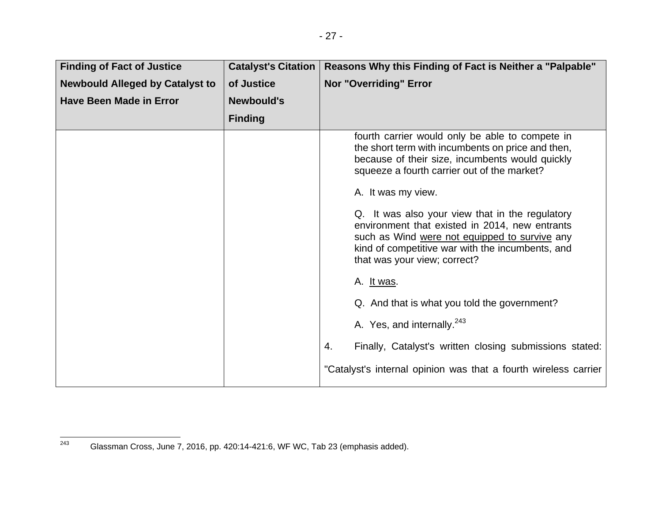| <b>Finding of Fact of Justice</b>      | <b>Catalyst's Citation</b> | Reasons Why this Finding of Fact is Neither a "Palpable"                                                                                                                                                                               |
|----------------------------------------|----------------------------|----------------------------------------------------------------------------------------------------------------------------------------------------------------------------------------------------------------------------------------|
| <b>Newbould Alleged by Catalyst to</b> | of Justice                 | <b>Nor "Overriding" Error</b>                                                                                                                                                                                                          |
| <b>Have Been Made in Error</b>         | <b>Newbould's</b>          |                                                                                                                                                                                                                                        |
|                                        | <b>Finding</b>             |                                                                                                                                                                                                                                        |
|                                        |                            | fourth carrier would only be able to compete in<br>the short term with incumbents on price and then,<br>because of their size, incumbents would quickly<br>squeeze a fourth carrier out of the market?                                 |
|                                        |                            | A. It was my view.                                                                                                                                                                                                                     |
|                                        |                            | Q. It was also your view that in the regulatory<br>environment that existed in 2014, new entrants<br>such as Wind were not equipped to survive any<br>kind of competitive war with the incumbents, and<br>that was your view; correct? |
|                                        |                            | A. <u>It was</u> .                                                                                                                                                                                                                     |
|                                        |                            | Q. And that is what you told the government?                                                                                                                                                                                           |
|                                        |                            | A. Yes, and internally. <sup>243</sup>                                                                                                                                                                                                 |
|                                        |                            | Finally, Catalyst's written closing submissions stated:<br>4.                                                                                                                                                                          |
|                                        |                            | "Catalyst's internal opinion was that a fourth wireless carrier                                                                                                                                                                        |

 $\frac{1}{243}$  Glassman Cross, June 7, 2016, pp. 420:14-421:6, WF WC, Tab 23 (emphasis added).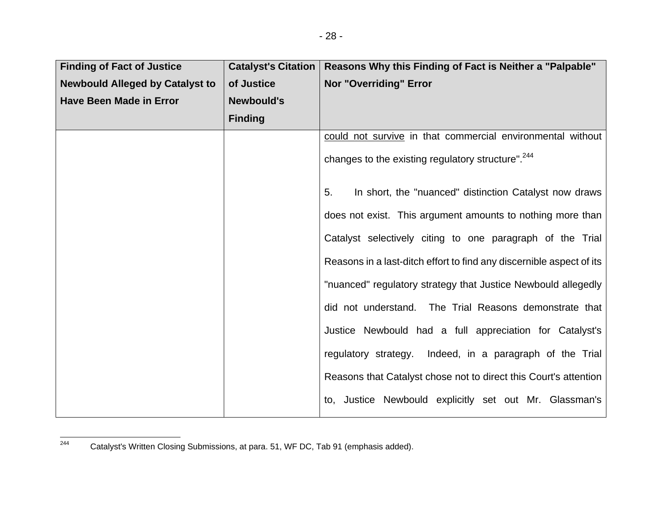| <b>Finding of Fact of Justice</b>      | <b>Catalyst's Citation</b> | Reasons Why this Finding of Fact is Neither a "Palpable"             |
|----------------------------------------|----------------------------|----------------------------------------------------------------------|
| <b>Newbould Alleged by Catalyst to</b> | of Justice                 | <b>Nor "Overriding" Error</b>                                        |
| <b>Have Been Made in Error</b>         | <b>Newbould's</b>          |                                                                      |
|                                        | <b>Finding</b>             |                                                                      |
|                                        |                            | could not survive in that commercial environmental without           |
|                                        |                            | changes to the existing regulatory structure". <sup>244</sup>        |
|                                        |                            | In short, the "nuanced" distinction Catalyst now draws<br>5.         |
|                                        |                            | does not exist. This argument amounts to nothing more than           |
|                                        |                            | Catalyst selectively citing to one paragraph of the Trial            |
|                                        |                            | Reasons in a last-ditch effort to find any discernible aspect of its |
|                                        |                            | "nuanced" regulatory strategy that Justice Newbould allegedly        |
|                                        |                            | did not understand. The Trial Reasons demonstrate that               |
|                                        |                            | Justice Newbould had a full appreciation for Catalyst's              |
|                                        |                            | regulatory strategy. Indeed, in a paragraph of the Trial             |
|                                        |                            | Reasons that Catalyst chose not to direct this Court's attention     |
|                                        |                            | to, Justice Newbould explicitly set out Mr. Glassman's               |

<sup>&</sup>lt;sup>244</sup> Catalyst's Written Closing Submissions, at para. 51, WF DC, Tab 91 (emphasis added).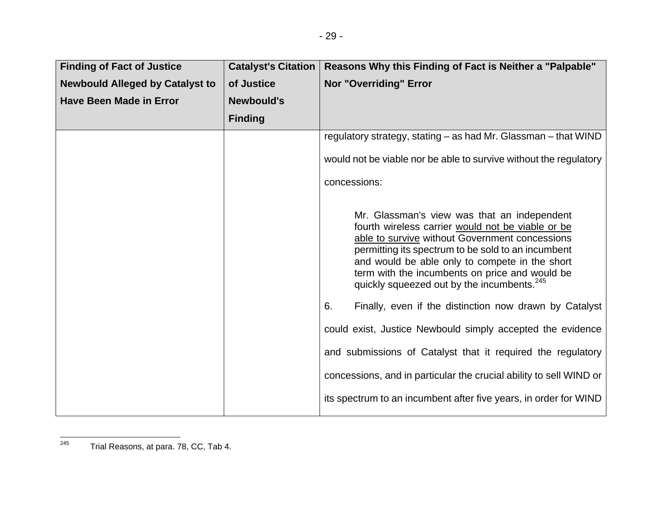| <b>Finding of Fact of Justice</b>      | <b>Catalyst's Citation</b> | Reasons Why this Finding of Fact is Neither a "Palpable"                                                                                                                                                                                                                                                                                                                                                                                                                                                                                                            |
|----------------------------------------|----------------------------|---------------------------------------------------------------------------------------------------------------------------------------------------------------------------------------------------------------------------------------------------------------------------------------------------------------------------------------------------------------------------------------------------------------------------------------------------------------------------------------------------------------------------------------------------------------------|
| <b>Newbould Alleged by Catalyst to</b> | of Justice                 | <b>Nor "Overriding" Error</b>                                                                                                                                                                                                                                                                                                                                                                                                                                                                                                                                       |
| <b>Have Been Made in Error</b>         | <b>Newbould's</b>          |                                                                                                                                                                                                                                                                                                                                                                                                                                                                                                                                                                     |
|                                        | <b>Finding</b>             |                                                                                                                                                                                                                                                                                                                                                                                                                                                                                                                                                                     |
|                                        |                            | regulatory strategy, stating – as had Mr. Glassman – that WIND                                                                                                                                                                                                                                                                                                                                                                                                                                                                                                      |
|                                        |                            | would not be viable nor be able to survive without the regulatory                                                                                                                                                                                                                                                                                                                                                                                                                                                                                                   |
|                                        |                            | concessions:                                                                                                                                                                                                                                                                                                                                                                                                                                                                                                                                                        |
|                                        |                            | Mr. Glassman's view was that an independent<br>fourth wireless carrier would not be viable or be<br>able to survive without Government concessions<br>permitting its spectrum to be sold to an incumbent<br>and would be able only to compete in the short<br>term with the incumbents on price and would be<br>quickly squeezed out by the incumbents. <sup>245</sup><br>Finally, even if the distinction now drawn by Catalyst<br>6.<br>could exist, Justice Newbould simply accepted the evidence<br>and submissions of Catalyst that it required the regulatory |
|                                        |                            | concessions, and in particular the crucial ability to sell WIND or                                                                                                                                                                                                                                                                                                                                                                                                                                                                                                  |
|                                        |                            | its spectrum to an incumbent after five years, in order for WIND                                                                                                                                                                                                                                                                                                                                                                                                                                                                                                    |

 $245$  Trial Reasons, at para. 78, CC, Tab 4.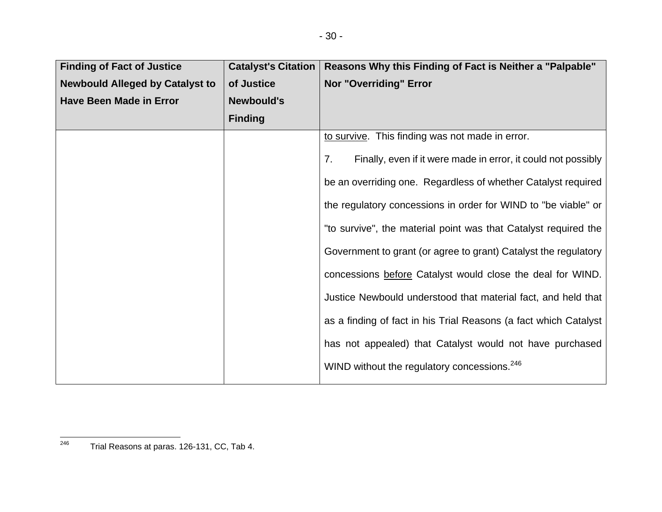| <b>Finding of Fact of Justice</b>      | <b>Catalyst's Citation</b> | Reasons Why this Finding of Fact is Neither a "Palpable"            |
|----------------------------------------|----------------------------|---------------------------------------------------------------------|
| <b>Newbould Alleged by Catalyst to</b> | of Justice                 | <b>Nor "Overriding" Error</b>                                       |
| <b>Have Been Made in Error</b>         | <b>Newbould's</b>          |                                                                     |
|                                        | <b>Finding</b>             |                                                                     |
|                                        |                            | to survive. This finding was not made in error.                     |
|                                        |                            | Finally, even if it were made in error, it could not possibly<br>7. |
|                                        |                            | be an overriding one. Regardless of whether Catalyst required       |
|                                        |                            | the regulatory concessions in order for WIND to "be viable" or      |
|                                        |                            | "to survive", the material point was that Catalyst required the     |
|                                        |                            | Government to grant (or agree to grant) Catalyst the regulatory     |
|                                        |                            | concessions before Catalyst would close the deal for WIND.          |
|                                        |                            | Justice Newbould understood that material fact, and held that       |
|                                        |                            | as a finding of fact in his Trial Reasons (a fact which Catalyst    |
|                                        |                            | has not appealed) that Catalyst would not have purchased            |
|                                        |                            | WIND without the regulatory concessions. <sup>246</sup>             |

 $246$  Trial Reasons at paras. 126-131, CC, Tab 4.